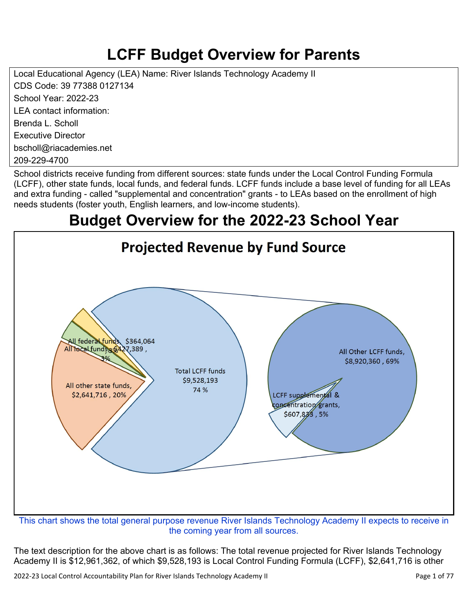## **LCFF Budget Overview for Parents**

Local Educational Agency (LEA) Name: River Islands Technology Academy II CDS Code: 39 77388 0127134 School Year: 2022-23 LEA contact information: Brenda L. Scholl Executive Director bscholl@riacademies.net 209-229-4700

School districts receive funding from different sources: state funds under the Local Control Funding Formula (LCFF), other state funds, local funds, and federal funds. LCFF funds include a base level of funding for all LEAs and extra funding - called "supplemental and concentration" grants - to LEAs based on the enrollment of high needs students (foster youth, English learners, and low-income students).

## **Budget Overview for the 2022-23 School Year**



the coming year from all sources.

The text description for the above chart is as follows: The total revenue projected for River Islands Technology Academy II is \$12,961,362, of which \$9,528,193 is Local Control Funding Formula (LCFF), \$2,641,716 is other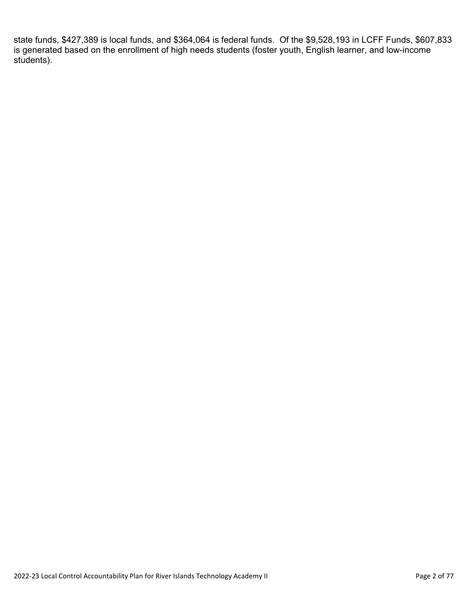state funds, \$427,389 is local funds, and \$364,064 is federal funds. Of the \$9,528,193 in LCFF Funds, \$607,833 is generated based on the enrollment of high needs students (foster youth, English learner, and low-income students).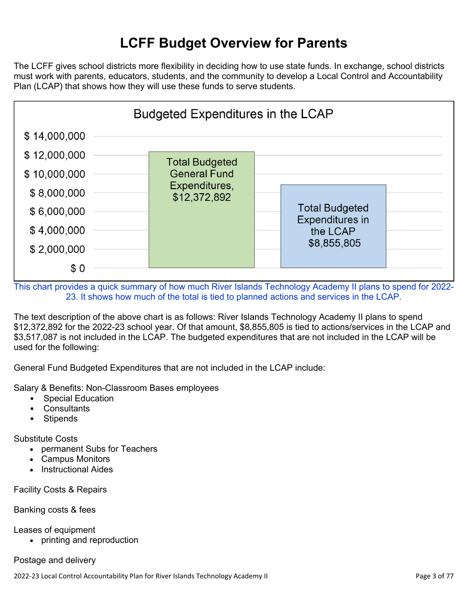## **LCFF Budget Overview for Parents**

The LCFF gives school districts more flexibility in deciding how to use state funds. In exchange, school districts must work with parents, educators, students, and the community to develop a Local Control and Accountability Plan (LCAP) that shows how they will use these funds to serve students.



This chart provides a quick summary of how much River Islands Technology Academy II plans to spend for 2022- 23. It shows how much of the total is tied to planned actions and services in the LCAP.

The text description of the above chart is as follows: River Islands Technology Academy II plans to spend \$12,372,892 for the 2022-23 school year. Of that amount, \$8,855,805 is tied to actions/services in the LCAP and \$3,517,087 is not included in the LCAP. The budgeted expenditures that are not included in the LCAP will be used for the following:

General Fund Budgeted Expenditures that are not included in the LCAP include:

Salary & Benefits: Non-Classroom Bases employees

- Special Education
- Consultants
- Stipends

Substitute Costs

- permanent Subs for Teachers
- Campus Monitors
- Instructional Aides

Facility Costs & Repairs

#### Banking costs & fees

Leases of equipment

• printing and reproduction

#### Postage and delivery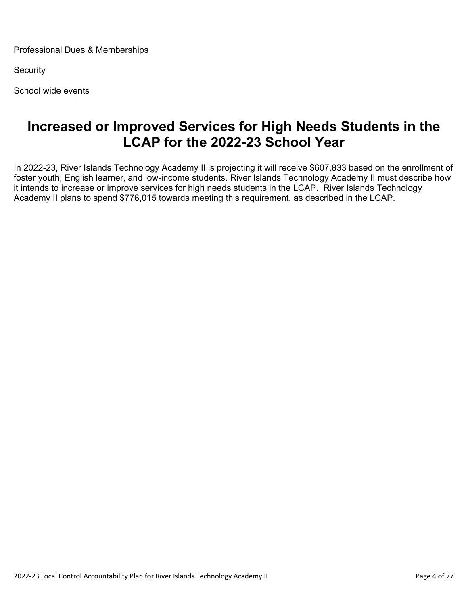Professional Dues & Memberships

**Security** 

School wide events

### **Increased or Improved Services for High Needs Students in the LCAP for the 2022-23 School Year**

In 2022-23, River Islands Technology Academy II is projecting it will receive \$607,833 based on the enrollment of foster youth, English learner, and low-income students. River Islands Technology Academy II must describe how it intends to increase or improve services for high needs students in the LCAP. River Islands Technology Academy II plans to spend \$776,015 towards meeting this requirement, as described in the LCAP.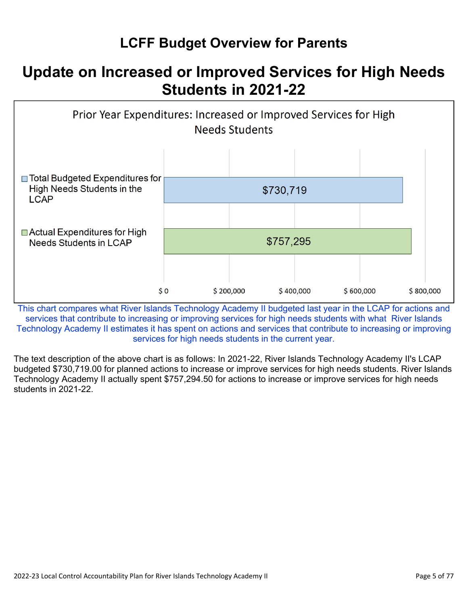## **LCFF Budget Overview for Parents**

## **Update on Increased or Improved Services for High Needs Students in 2021-22**



This chart compares what River Islands Technology Academy II budgeted last year in the LCAP for actions and services that contribute to increasing or improving services for high needs students with what River Islands Technology Academy II estimates it has spent on actions and services that contribute to increasing or improving services for high needs students in the current year.

The text description of the above chart is as follows: In 2021-22, River Islands Technology Academy II's LCAP budgeted \$730,719.00 for planned actions to increase or improve services for high needs students. River Islands Technology Academy II actually spent \$757,294.50 for actions to increase or improve services for high needs students in 2021-22.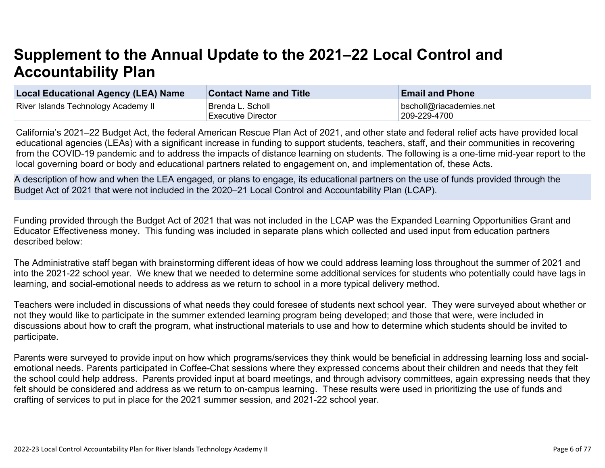# **Supplement to the Annual Update to the 2021–22 Local Control and Accountability Plan**

| Local Educational Agency (LEA) Name        | <b>Contact Name and Title</b> | <b>Email and Phone</b>  |
|--------------------------------------------|-------------------------------|-------------------------|
| <b>River Islands Technology Academy II</b> | Brenda L. Scholl              | bscholl@riacademies.net |
|                                            | <b>Executive Director</b>     | 209-229-4700            |

California's 2021–22 Budget Act, the federal American Rescue Plan Act of 2021, and other state and federal relief acts have provided local educational agencies (LEAs) with a significant increase in funding to support students, teachers, staff, and their communities in recovering from the COVID-19 pandemic and to address the impacts of distance learning on students. The following is a one-time mid-year report to the local governing board or body and educational partners related to engagement on, and implementation of, these Acts.

A description of how and when the LEA engaged, or plans to engage, its educational partners on the use of funds provided through the Budget Act of 2021 that were not included in the 2020–21 Local Control and Accountability Plan (LCAP).

Funding provided through the Budget Act of 2021 that was not included in the LCAP was the Expanded Learning Opportunities Grant and Educator Effectiveness money. This funding was included in separate plans which collected and used input from education partners described below:

The Administrative staff began with brainstorming different ideas of how we could address learning loss throughout the summer of 2021 and into the 2021-22 school year. We knew that we needed to determine some additional services for students who potentially could have lags in learning, and social-emotional needs to address as we return to school in a more typical delivery method.

Teachers were included in discussions of what needs they could foresee of students next school year. They were surveyed about whether or not they would like to participate in the summer extended learning program being developed; and those that were, were included in discussions about how to craft the program, what instructional materials to use and how to determine which students should be invited to participate.

Parents were surveyed to provide input on how which programs/services they think would be beneficial in addressing learning loss and socialemotional needs. Parents participated in Coffee-Chat sessions where they expressed concerns about their children and needs that they felt the school could help address. Parents provided input at board meetings, and through advisory committees, again expressing needs that they felt should be considered and address as we return to on-campus learning. These results were used in prioritizing the use of funds and crafting of services to put in place for the 2021 summer session, and 2021-22 school year.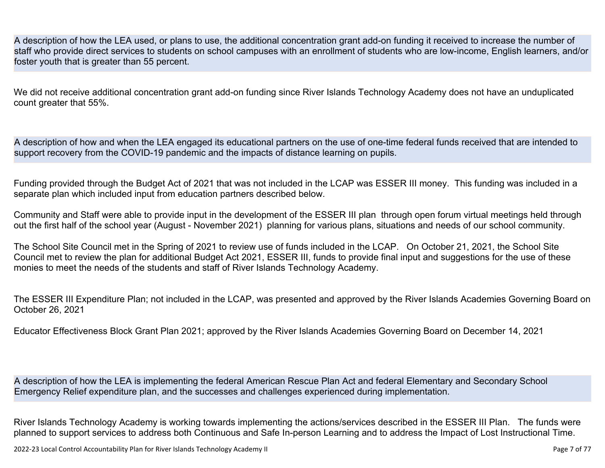A description of how the LEA used, or plans to use, the additional concentration grant add-on funding it received to increase the number of staff who provide direct services to students on school campuses with an enrollment of students who are low-income, English learners, and/or foster youth that is greater than 55 percent.

We did not receive additional concentration grant add-on funding since River Islands Technology Academy does not have an unduplicated count greater that 55%.

A description of how and when the LEA engaged its educational partners on the use of one-time federal funds received that are intended to support recovery from the COVID-19 pandemic and the impacts of distance learning on pupils.

Funding provided through the Budget Act of 2021 that was not included in the LCAP was ESSER III money. This funding was included in a separate plan which included input from education partners described below.

Community and Staff were able to provide input in the development of the ESSER III plan through open forum virtual meetings held through out the first half of the school year (August - November 2021) planning for various plans, situations and needs of our school community.

The School Site Council met in the Spring of 2021 to review use of funds included in the LCAP. On October 21, 2021, the School Site Council met to review the plan for additional Budget Act 2021, ESSER III, funds to provide final input and suggestions for the use of these monies to meet the needs of the students and staff of River Islands Technology Academy.

The ESSER III Expenditure Plan; not included in the LCAP, was presented and approved by the River Islands Academies Governing Board on October 26, 2021

Educator Effectiveness Block Grant Plan 2021; approved by the River Islands Academies Governing Board on December 14, 2021

A description of how the LEA is implementing the federal American Rescue Plan Act and federal Elementary and Secondary School Emergency Relief expenditure plan, and the successes and challenges experienced during implementation.

River Islands Technology Academy is working towards implementing the actions/services described in the ESSER III Plan. The funds were planned to support services to address both Continuous and Safe In-person Learning and to address the Impact of Lost Instructional Time.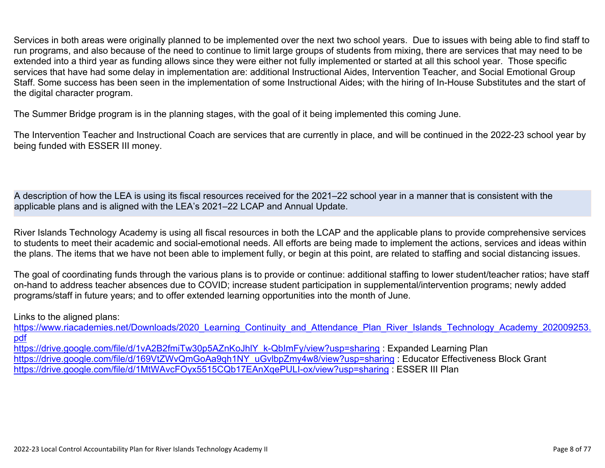Services in both areas were originally planned to be implemented over the next two school years. Due to issues with being able to find staff to run programs, and also because of the need to continue to limit large groups of students from mixing, there are services that may need to be extended into a third year as funding allows since they were either not fully implemented or started at all this school year. Those specific services that have had some delay in implementation are: additional Instructional Aides, Intervention Teacher, and Social Emotional Group Staff. Some success has been seen in the implementation of some Instructional Aides; with the hiring of In-House Substitutes and the start of the digital character program.

The Summer Bridge program is in the planning stages, with the goal of it being implemented this coming June.

The Intervention Teacher and Instructional Coach are services that are currently in place, and will be continued in the 2022-23 school year by being funded with ESSER III money.

A description of how the LEA is using its fiscal resources received for the 2021–22 school year in a manner that is consistent with the applicable plans and is aligned with the LEA's 2021–22 LCAP and Annual Update.

River Islands Technology Academy is using all fiscal resources in both the LCAP and the applicable plans to provide comprehensive services to students to meet their academic and social-emotional needs. All efforts are being made to implement the actions, services and ideas within the plans. The items that we have not been able to implement fully, or begin at this point, are related to staffing and social distancing issues.

The goal of coordinating funds through the various plans is to provide or continue: additional staffing to lower student/teacher ratios; have staff on-hand to address teacher absences due to COVID; increase student participation in supplemental/intervention programs; newly added programs/staff in future years; and to offer extended learning opportunities into the month of June.

Links to the aligned plans:

https://www.riacademies.net/Downloads/2020 Learning Continuity and Attendance Plan River Islands Technology Academy 202009253. [pdf](https://www.riacademies.net/Downloads/2020_Learning_Continuity_and_Attendance_Plan_River_Islands_Technology_Academy_202009253.pdf)

[https://drive.google.com/file/d/1vA2B2fmiTw30p5AZnKoJhlY\\_k-QbImFy/view?usp=sharing](https://drive.google.com/file/d/1vA2B2fmiTw30p5AZnKoJhlY_k-QbImFy/view?usp=sharing) : Expanded Learning Plan [https://drive.google.com/file/d/169VtZWvQmGoAa9qh1NY\\_uGvlbpZmy4w8/view?usp=sharing](https://drive.google.com/file/d/169VtZWvQmGoAa9qh1NY_uGvlbpZmy4w8/view?usp=sharing) : Educator Effectiveness Block Grant <https://drive.google.com/file/d/1MtWAvcFOyx5515CQb17EAnXqePULI-ox/view?usp=sharing> : ESSER III Plan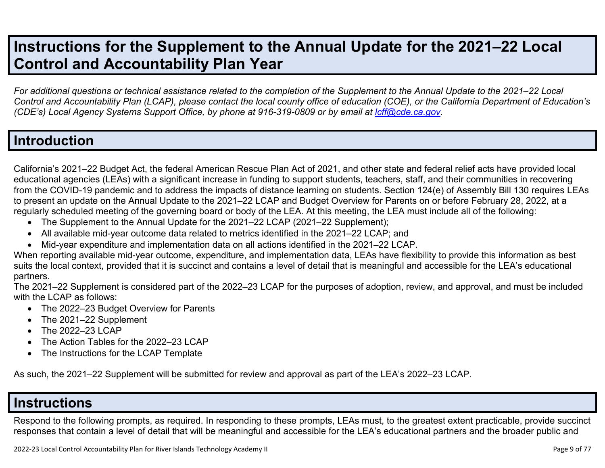## **Instructions for the Supplement to the Annual Update for the 2021–22 Local Control and Accountability Plan Year**

*For additional questions or technical assistance related to the completion of the Supplement to the Annual Update to the 2021–22 Local Control and Accountability Plan (LCAP), please contact the local county office of education (COE), or the California Department of Education's (CDE's)* Local Agency Systems Support Office, by phone at 916-319-0809 or by email at *[lcff@cde.ca.gov](mailto:lcff@cde.ca.gov)*.

### **Introduction**

California's 2021–22 Budget Act, the federal American Rescue Plan Act of 2021, and other state and federal relief acts have provided local educational agencies (LEAs) with a significant increase in funding to support students, teachers, staff, and their communities in recovering from the COVID-19 pandemic and to address the impacts of distance learning on students. Section 124(e) of Assembly Bill 130 requires LEAs to present an update on the Annual Update to the 2021–22 LCAP and Budget Overview for Parents on or before February 28, 2022, at a regularly scheduled meeting of the governing board or body of the LEA. At this meeting, the LEA must include all of the following:

- The Supplement to the Annual Update for the 2021–22 LCAP (2021–22 Supplement);
- All available mid-year outcome data related to metrics identified in the 2021–22 LCAP; and
- Mid-year expenditure and implementation data on all actions identified in the 2021–22 LCAP.

When reporting available mid-year outcome, expenditure, and implementation data, LEAs have flexibility to provide this information as best suits the local context, provided that it is succinct and contains a level of detail that is meaningful and accessible for the LEA's educational partners.

The 2021–22 Supplement is considered part of the 2022–23 LCAP for the purposes of adoption, review, and approval, and must be included with the LCAP as follows:

- The 2022–23 Budget Overview for Parents
- The 2021-22 Supplement
- The 2022-23 LCAP
- The Action Tables for the 2022–23 LCAP
- The Instructions for the LCAP Template

As such, the 2021–22 Supplement will be submitted for review and approval as part of the LEA's 2022–23 LCAP.

### **Instructions**

Respond to the following prompts, as required. In responding to these prompts, LEAs must, to the greatest extent practicable, provide succinct responses that contain a level of detail that will be meaningful and accessible for the LEA's educational partners and the broader public and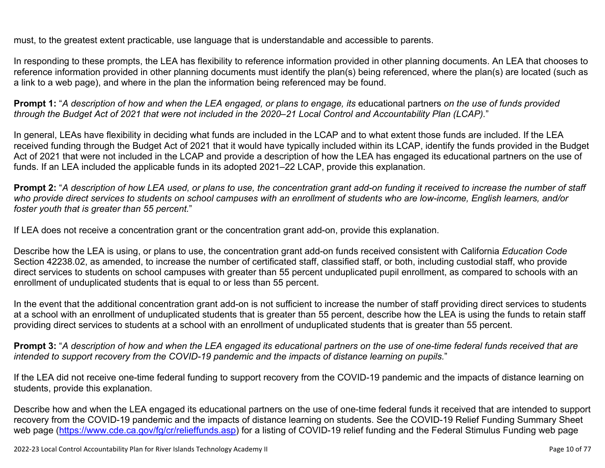must, to the greatest extent practicable, use language that is understandable and accessible to parents.

In responding to these prompts, the LEA has flexibility to reference information provided in other planning documents. An LEA that chooses to reference information provided in other planning documents must identify the plan(s) being referenced, where the plan(s) are located (such as a link to a web page), and where in the plan the information being referenced may be found.

**Prompt 1:** "*A description of how and when the LEA engaged, or plans to engage, its* educational partners *on the use of funds provided through the Budget Act of 2021 that were not included in the 2020–21 Local Control and Accountability Plan (LCAP).*"

In general, LEAs have flexibility in deciding what funds are included in the LCAP and to what extent those funds are included. If the LEA received funding through the Budget Act of 2021 that it would have typically included within its LCAP, identify the funds provided in the Budget Act of 2021 that were not included in the LCAP and provide a description of how the LEA has engaged its educational partners on the use of funds. If an LEA included the applicable funds in its adopted 2021–22 LCAP, provide this explanation.

**Prompt 2:** "*A description of how LEA used, or plans to use, the concentration grant add-on funding it received to increase the number of staff who provide direct services to students on school campuses with an enrollment of students who are low-income, English learners, and/or foster youth that is greater than 55 percent.*"

If LEA does not receive a concentration grant or the concentration grant add-on, provide this explanation.

Describe how the LEA is using, or plans to use, the concentration grant add-on funds received consistent with California *Education Code* Section 42238.02, as amended, to increase the number of certificated staff, classified staff, or both, including custodial staff, who provide direct services to students on school campuses with greater than 55 percent unduplicated pupil enrollment, as compared to schools with an enrollment of unduplicated students that is equal to or less than 55 percent.

In the event that the additional concentration grant add-on is not sufficient to increase the number of staff providing direct services to students at a school with an enrollment of unduplicated students that is greater than 55 percent, describe how the LEA is using the funds to retain staff providing direct services to students at a school with an enrollment of unduplicated students that is greater than 55 percent.

**Prompt 3:** "*A description of how and when the LEA engaged its educational partners on the use of one-time federal funds received that are intended to support recovery from the COVID-19 pandemic and the impacts of distance learning on pupils.*"

If the LEA did not receive one-time federal funding to support recovery from the COVID-19 pandemic and the impacts of distance learning on students, provide this explanation.

Describe how and when the LEA engaged its educational partners on the use of one-time federal funds it received that are intended to support recovery from the COVID-19 pandemic and the impacts of distance learning on students. See the COVID-19 Relief Funding Summary Sheet web page [\(https://www.cde.ca.gov/fg/cr/relieffunds.asp\)](https://www.cde.ca.gov/fg/cr/relieffunds.asp) for a listing of COVID-19 relief funding and the Federal Stimulus Funding web page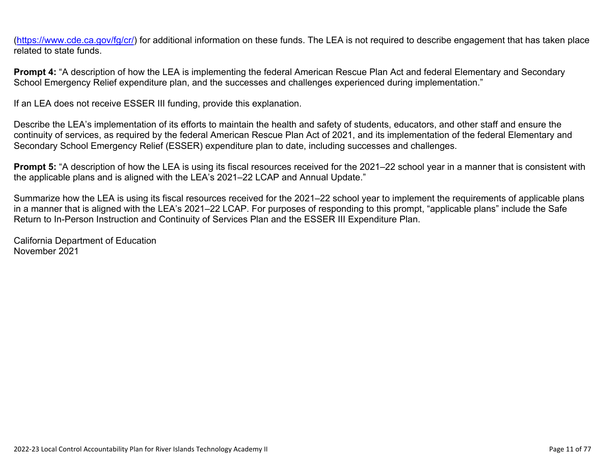(<https://www.cde.ca.gov/fg/cr/>) for additional information on these funds. The LEA is not required to describe engagement that has taken place related to state funds.

**Prompt 4:** "A description of how the LEA is implementing the federal American Rescue Plan Act and federal Elementary and Secondary School Emergency Relief expenditure plan, and the successes and challenges experienced during implementation."

If an LEA does not receive ESSER III funding, provide this explanation.

Describe the LEA's implementation of its efforts to maintain the health and safety of students, educators, and other staff and ensure the continuity of services, as required by the federal American Rescue Plan Act of 2021, and its implementation of the federal Elementary and Secondary School Emergency Relief (ESSER) expenditure plan to date, including successes and challenges.

**Prompt 5:** "A description of how the LEA is using its fiscal resources received for the 2021–22 school year in a manner that is consistent with the applicable plans and is aligned with the LEA's 2021–22 LCAP and Annual Update."

Summarize how the LEA is using its fiscal resources received for the 2021–22 school year to implement the requirements of applicable plans in a manner that is aligned with the LEA's 2021–22 LCAP. For purposes of responding to this prompt, "applicable plans" include the Safe Return to In-Person Instruction and Continuity of Services Plan and the ESSER III Expenditure Plan.

California Department of Education November 2021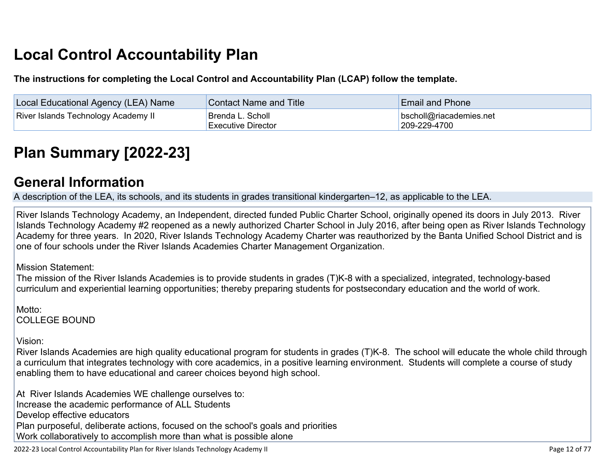# **Local Control Accountability Plan**

**The instructions for completing the Local Control and Accountability Plan (LCAP) follow the template.**

| <b>Local Educational Agency (LEA) Name</b> | <b>Contact Name and Title</b>                  | <b>Email and Phone</b>                          |
|--------------------------------------------|------------------------------------------------|-------------------------------------------------|
| <b>River Islands Technology Academy II</b> | Brenda L. Scholl_<br><b>Executive Director</b> | $\vert$ bscholl@riacademies.net<br>209-229-4700 |

# **[Plan Summary \[2022-23\]](http://www.doc-tracking.com/screenshots/22LCAP/Instructions/22LCAPInstructions.htm#PlanSummary)**

### **[General Information](http://www.doc-tracking.com/screenshots/22LCAP/Instructions/22LCAPInstructions.htm#generalinformation)**

A description of the LEA, its schools, and its students in grades transitional kindergarten–12, as applicable to the LEA.

River Islands Technology Academy, an Independent, directed funded Public Charter School, originally opened its doors in July 2013. River Islands Technology Academy #2 reopened as a newly authorized Charter School in July 2016, after being open as River Islands Technology Academy for three years. In 2020, River Islands Technology Academy Charter was reauthorized by the Banta Unified School District and is one of four schools under the River Islands Academies Charter Management Organization.

Mission Statement:

The mission of the River Islands Academies is to provide students in grades (T)K-8 with a specialized, integrated, technology-based curriculum and experiential learning opportunities; thereby preparing students for postsecondary education and the world of work.

Motto: COLLEGE BOUND

Vision:

River Islands Academies are high quality educational program for students in grades (T)K-8. The school will educate the whole child through a curriculum that integrates technology with core academics, in a positive learning environment. Students will complete a course of study enabling them to have educational and career choices beyond high school.

At River Islands Academies WE challenge ourselves to: Increase the academic performance of ALL Students Develop effective educators Plan purposeful, deliberate actions, focused on the school's goals and priorities Work collaboratively to accomplish more than what is possible alone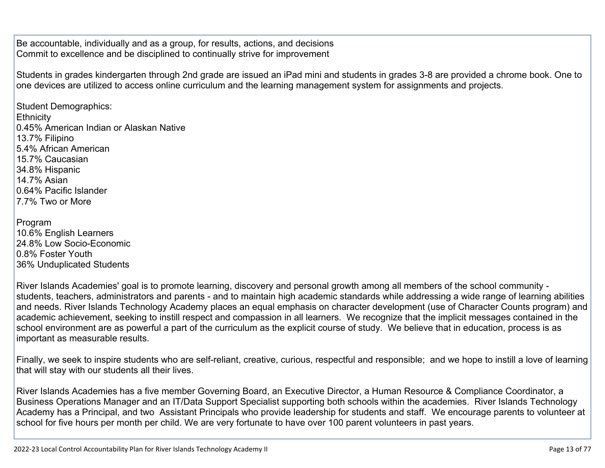Be accountable, individually and as a group, for results, actions, and decisions Commit to excellence and be disciplined to continually strive for improvement

Students in grades kindergarten through 2nd grade are issued an iPad mini and students in grades 3-8 are provided a chrome book. One to one devices are utilized to access online curriculum and the learning management system for assignments and projects.

Student Demographics: **Ethnicity** 0.45% American Indian or Alaskan Native 13.7% Filipino 5.4% African American 15.7% Caucasian 34.8% Hispanic 14.7% Asian 0.64% Pacific Islander 7.7% Two or More

| Program                   |
|---------------------------|
| 10.6% English Learners    |
| 24.8% Low Socio-Economic  |
| 0.8% Foster Youth         |
| 36% Unduplicated Students |

River Islands Academies' goal is to promote learning, discovery and personal growth among all members of the school community students, teachers, administrators and parents - and to maintain high academic standards while addressing a wide range of learning abilities and needs. River Islands Technology Academy places an equal emphasis on character development (use of Character Counts program) and academic achievement, seeking to instill respect and compassion in all learners. We recognize that the implicit messages contained in the school environment are as powerful a part of the curriculum as the explicit course of study. We believe that in education, process is as important as measurable results.

Finally, we seek to inspire students who are self-reliant, creative, curious, respectful and responsible; and we hope to instill a love of learning that will stay with our students all their lives.

River Islands Academies has a five member Governing Board, an Executive Director, a Human Resource & Compliance Coordinator, a Business Operations Manager and an IT/Data Support Specialist supporting both schools within the academies. River Islands Technology Academy has a Principal, and two Assistant Principals who provide leadership for students and staff. We encourage parents to volunteer at school for five hours per month per child. We are very fortunate to have over 100 parent volunteers in past years.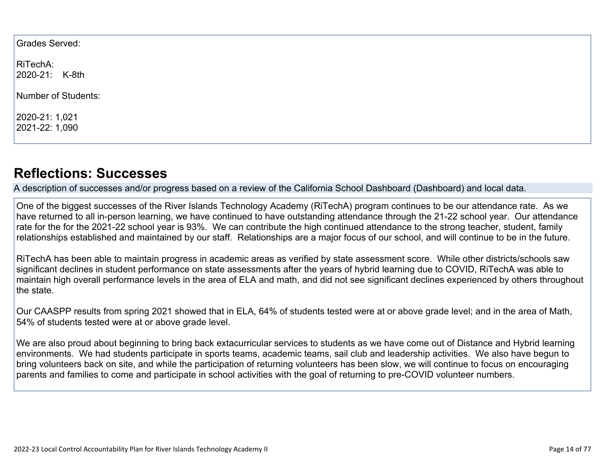Grades Served:

RiTechA: 2020-21: K-8th

Number of Students:

2020-21: 1,021 2021-22: 1,090

### **[Reflections: Successes](http://www.doc-tracking.com/screenshots/22LCAP/Instructions/22LCAPInstructions.htm#ReflectionsSuccesses)**

A description of successes and/or progress based on a review of the California School Dashboard (Dashboard) and local data.

One of the biggest successes of the River Islands Technology Academy (RiTechA) program continues to be our attendance rate. As we have returned to all in-person learning, we have continued to have outstanding attendance through the 21-22 school year. Our attendance rate for the for the 2021-22 school year is 93%. We can contribute the high continued attendance to the strong teacher, student, family relationships established and maintained by our staff. Relationships are a major focus of our school, and will continue to be in the future.

RiTechA has been able to maintain progress in academic areas as verified by state assessment score. While other districts/schools saw significant declines in student performance on state assessments after the years of hybrid learning due to COVID, RiTechA was able to maintain high overall performance levels in the area of ELA and math, and did not see significant declines experienced by others throughout the state.

Our CAASPP results from spring 2021 showed that in ELA, 64% of students tested were at or above grade level; and in the area of Math, 54% of students tested were at or above grade level.

We are also proud about beginning to bring back extacurricular services to students as we have come out of Distance and Hybrid learning environments. We had students participate in sports teams, academic teams, sail club and leadership activities. We also have begun to bring volunteers back on site, and while the participation of returning volunteers has been slow, we will continue to focus on encouraging parents and families to come and participate in school activities with the goal of returning to pre-COVID volunteer numbers.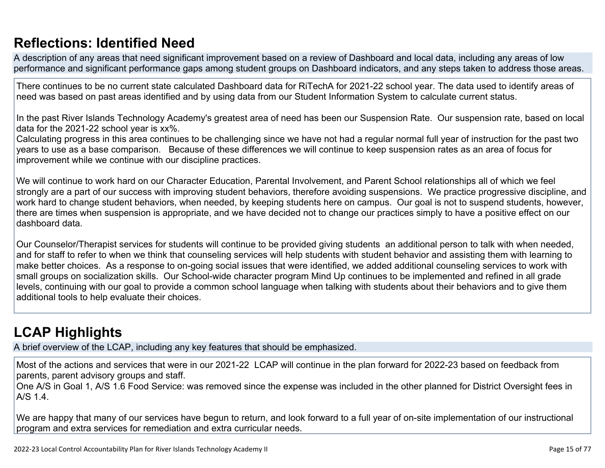## **[Reflections: Identified Need](http://www.doc-tracking.com/screenshots/22LCAP/Instructions/22LCAPInstructions.htm#ReflectionsIdentifiedNeed)**

A description of any areas that need significant improvement based on a review of Dashboard and local data, including any areas of low performance and significant performance gaps among student groups on Dashboard indicators, and any steps taken to address those areas.

There continues to be no current state calculated Dashboard data for RiTechA for 2021-22 school year. The data used to identify areas of need was based on past areas identified and by using data from our Student Information System to calculate current status.

In the past River Islands Technology Academy's greatest area of need has been our Suspension Rate. Our suspension rate, based on local data for the 2021-22 school year is xx%.

Calculating progress in this area continues to be challenging since we have not had a regular normal full year of instruction for the past two years to use as a base comparison. Because of these differences we will continue to keep suspension rates as an area of focus for improvement while we continue with our discipline practices.

We will continue to work hard on our Character Education, Parental Involvement, and Parent School relationships all of which we feel strongly are a part of our success with improving student behaviors, therefore avoiding suspensions. We practice progressive discipline, and work hard to change student behaviors, when needed, by keeping students here on campus. Our goal is not to suspend students, however, there are times when suspension is appropriate, and we have decided not to change our practices simply to have a positive effect on our dashboard data.

Our Counselor/Therapist services for students will continue to be provided giving students an additional person to talk with when needed, and for staff to refer to when we think that counseling services will help students with student behavior and assisting them with learning to make better choices. As a response to on-going social issues that were identified, we added additional counseling services to work with small groups on socialization skills. Our School-wide character program Mind Up continues to be implemented and refined in all grade levels, continuing with our goal to provide a common school language when talking with students about their behaviors and to give them additional tools to help evaluate their choices.

## **[LCAP Highlights](http://www.doc-tracking.com/screenshots/22LCAP/Instructions/22LCAPInstructions.htm#LCAPHighlights)**

A brief overview of the LCAP, including any key features that should be emphasized.

Most of the actions and services that were in our 2021-22 LCAP will continue in the plan forward for 2022-23 based on feedback from parents, parent advisory groups and staff.

One A/S in Goal 1, A/S 1.6 Food Service: was removed since the expense was included in the other planned for District Oversight fees in A/S 1.4.

We are happy that many of our services have begun to return, and look forward to a full year of on-site implementation of our instructional program and extra services for remediation and extra curricular needs.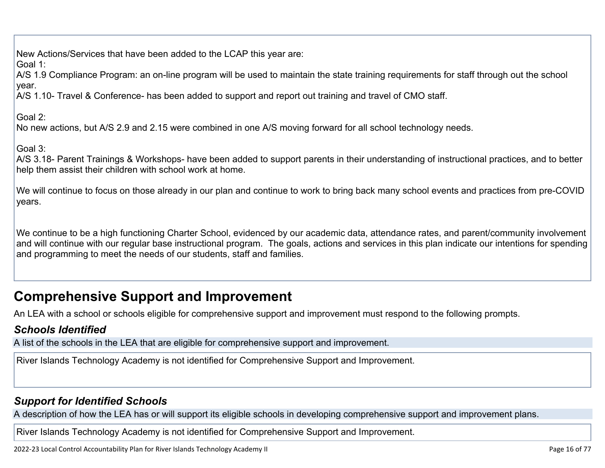New Actions/Services that have been added to the LCAP this year are:

Goal 1:

A/S 1.9 Compliance Program: an on-line program will be used to maintain the state training requirements for staff through out the school year.

A/S 1.10- Travel & Conference- has been added to support and report out training and travel of CMO staff.

Goal 2:

No new actions, but A/S 2.9 and 2.15 were combined in one A/S moving forward for all school technology needs.

Goal 3:

A/S 3.18- Parent Trainings & Workshops- have been added to support parents in their understanding of instructional practices, and to better help them assist their children with school work at home.

We will continue to focus on those already in our plan and continue to work to bring back many school events and practices from pre-COVID years.

We continue to be a high functioning Charter School, evidenced by our academic data, attendance rates, and parent/community involvement and will continue with our regular base instructional program. The goals, actions and services in this plan indicate our intentions for spending and programming to meet the needs of our students, staff and families.

## **Comprehensive Support and Improvement**

An LEA with a school or schools eligible for comprehensive support and improvement must respond to the following prompts.

### *[Schools Identified](http://www.doc-tracking.com/screenshots/22LCAP/Instructions/22LCAPInstructions.htm#SchoolsIdentified)*

A list of the schools in the LEA that are eligible for comprehensive support and improvement.

River Islands Technology Academy is not identified for Comprehensive Support and Improvement.

### *[Support for Identified Schools](http://www.doc-tracking.com/screenshots/22LCAP/Instructions/22LCAPInstructions.htm#SupportforIdentifiedSchools)*

A description of how the LEA has or will support its eligible schools in developing comprehensive support and improvement plans.

River Islands Technology Academy is not identified for Comprehensive Support and Improvement.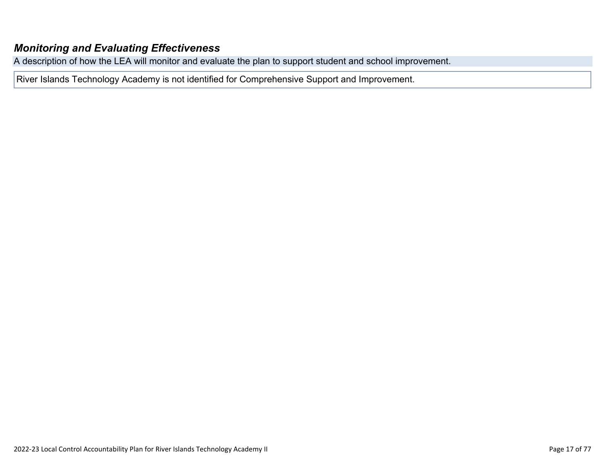#### *[Monitoring and Evaluating Effectiveness](http://www.doc-tracking.com/screenshots/22LCAP/Instructions/22LCAPInstructions.htm#MonitoringandEvaluatingEffectiveness)*

A description of how the LEA will monitor and evaluate the plan to support student and school improvement.

River Islands Technology Academy is not identified for Comprehensive Support and Improvement.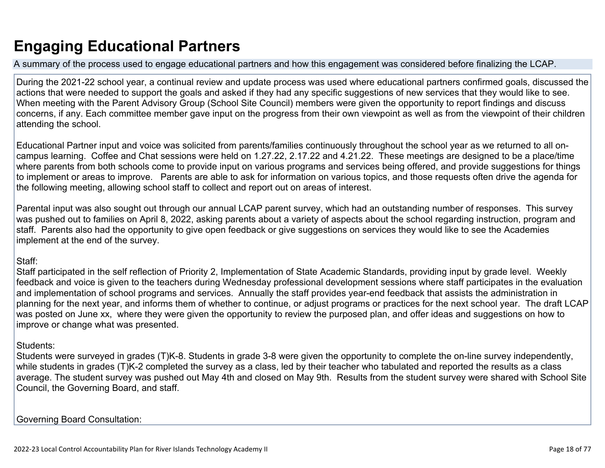## **Engaging Educational Partners**

A summary of the process used to engage educational partners and how this engagement was considered before finalizing the LCAP.

During the 2021-22 school year, a continual review and update process was used where educational partners confirmed goals, discussed the actions that were needed to support the goals and asked if they had any specific suggestions of new services that they would like to see. When meeting with the Parent Advisory Group (School Site Council) members were given the opportunity to report findings and discuss concerns, if any. Each committee member gave input on the progress from their own viewpoint as well as from the viewpoint of their children attending the school.

Educational Partner input and voice was solicited from parents/families continuously throughout the school year as we returned to all oncampus learning. Coffee and Chat sessions were held on 1.27.22, 2.17.22 and 4.21.22. These meetings are designed to be a place/time where parents from both schools come to provide input on various programs and services being offered, and provide suggestions for things to implement or areas to improve. Parents are able to ask for information on various topics, and those requests often drive the agenda for the following meeting, allowing school staff to collect and report out on areas of interest.

Parental input was also sought out through our annual LCAP parent survey, which had an outstanding number of responses. This survey was pushed out to families on April 8, 2022, asking parents about a variety of aspects about the school regarding instruction, program and staff. Parents also had the opportunity to give open feedback or give suggestions on services they would like to see the Academies implement at the end of the survey.

#### Staff:

Staff participated in the self reflection of Priority 2, Implementation of State Academic Standards, providing input by grade level. Weekly feedback and voice is given to the teachers during Wednesday professional development sessions where staff participates in the evaluation and implementation of school programs and services. Annually the staff provides year-end feedback that assists the administration in planning for the next year, and informs them of whether to continue, or adjust programs or practices for the next school year. The draft LCAP was posted on June xx, where they were given the opportunity to review the purposed plan, and offer ideas and suggestions on how to improve or change what was presented.

#### Students:

Students were surveyed in grades (T)K-8. Students in grade 3-8 were given the opportunity to complete the on-line survey independently, while students in grades (T)K-2 completed the survey as a class, led by their teacher who tabulated and reported the results as a class average. The student survey was pushed out May 4th and closed on May 9th. Results from the student survey were shared with School Site Council, the Governing Board, and staff.

Governing Board Consultation: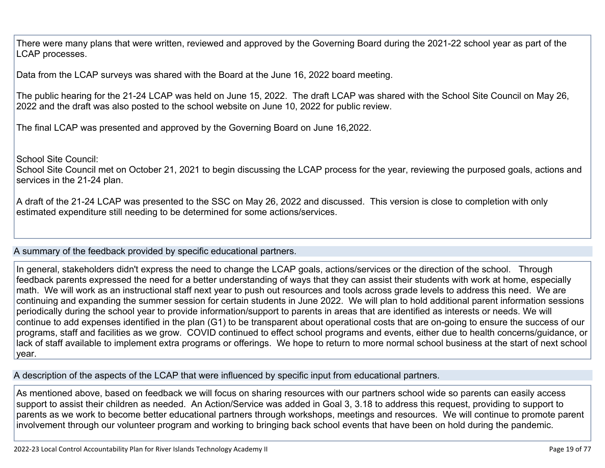There were many plans that were written, reviewed and approved by the Governing Board during the 2021-22 school year as part of the LCAP processes.

Data from the LCAP surveys was shared with the Board at the June 16, 2022 board meeting.

The public hearing for the 21-24 LCAP was held on June 15, 2022. The draft LCAP was shared with the School Site Council on May 26, 2022 and the draft was also posted to the school website on June 10, 2022 for public review.

The final LCAP was presented and approved by the Governing Board on June 16,2022.

School Site Council:

School Site Council met on October 21, 2021 to begin discussing the LCAP process for the year, reviewing the purposed goals, actions and services in the 21-24 plan.

A draft of the 21-24 LCAP was presented to the SSC on May 26, 2022 and discussed. This version is close to completion with only estimated expenditure still needing to be determined for some actions/services.

A summary of the feedback provided by specific educational partners.

In general, stakeholders didn't express the need to change the LCAP goals, actions/services or the direction of the school. Through feedback parents expressed the need for a better understanding of ways that they can assist their students with work at home, especially math. We will work as an instructional staff next year to push out resources and tools across grade levels to address this need. We are continuing and expanding the summer session for certain students in June 2022. We will plan to hold additional parent information sessions periodically during the school year to provide information/support to parents in areas that are identified as interests or needs. We will continue to add expenses identified in the plan (G1) to be transparent about operational costs that are on-going to ensure the success of our programs, staff and facilities as we grow. COVID continued to effect school programs and events, either due to health concerns/guidance, or lack of staff available to implement extra programs or offerings. We hope to return to more normal school business at the start of next school year.

A description of the aspects of the LCAP that were influenced by specific input from educational partners.

As mentioned above, based on feedback we will focus on sharing resources with our partners school wide so parents can easily access support to assist their children as needed. An Action/Service was added in Goal 3, 3.18 to address this request, providing to support to parents as we work to become better educational partners through workshops, meetings and resources. We will continue to promote parent involvement through our volunteer program and working to bringing back school events that have been on hold during the pandemic.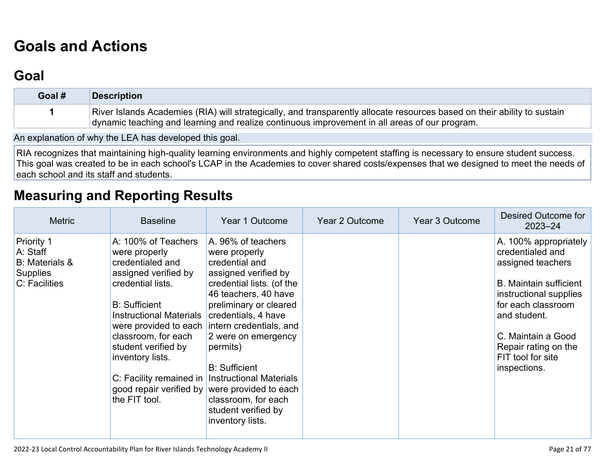# **[Goals and Actions](http://www.doc-tracking.com/screenshots/22LCAP/Instructions/22LCAPInstructions.htm#GoalsandActions)**

## **[Goal](http://www.doc-tracking.com/screenshots/22LCAP/Instructions/22LCAPInstructions.htm#goalDescription)**

| Goal # | Description                                                                                                                                                                                                               |
|--------|---------------------------------------------------------------------------------------------------------------------------------------------------------------------------------------------------------------------------|
|        | River Islands Academies (RIA) will strategically, and transparently allocate resources based on their ability to sustain<br>dynamic teaching and learning and realize continuous improvement in all areas of our program. |

An explanation of why the LEA has developed this goal.

RIA recognizes that maintaining high-quality learning environments and highly competent staffing is necessary to ensure student success. This goal was created to be in each school's LCAP in the Academies to cover shared costs/expenses that we designed to meet the needs of each school and its staff and students.

### **[Measuring and Reporting Results](http://www.doc-tracking.com/screenshots/22LCAP/Instructions/22LCAPInstructions.htm#MeasuringandReportingResults)**

| <b>Metric</b>                                                                       | <b>Baseline</b>                                                                                                                                                                                                                                                               | Year 1 Outcome                                                                                                                                                                                                                                                                                                                                                                                                                                | Year 2 Outcome | Year 3 Outcome | Desired Outcome for<br>$2023 - 24$                                                                                                                                                                                                                 |
|-------------------------------------------------------------------------------------|-------------------------------------------------------------------------------------------------------------------------------------------------------------------------------------------------------------------------------------------------------------------------------|-----------------------------------------------------------------------------------------------------------------------------------------------------------------------------------------------------------------------------------------------------------------------------------------------------------------------------------------------------------------------------------------------------------------------------------------------|----------------|----------------|----------------------------------------------------------------------------------------------------------------------------------------------------------------------------------------------------------------------------------------------------|
| Priority 1<br>A: Staff<br><b>B:</b> Materials &<br><b>Supplies</b><br>C: Facilities | A: 100% of Teachers<br>were properly<br>credentialed and<br>assigned verified by<br>credential lists.<br><b>B:</b> Sufficient<br><b>Instructional Materials</b><br>classroom, for each<br>student verified by<br>inventory lists.<br>good repair verified by<br>the FIT tool. | A. 96% of teachers<br>were properly<br>credential and<br>assigned verified by<br>credential lists. (of the<br>46 teachers, 40 have<br>preliminary or cleared<br>credentials, 4 have<br>were provided to each intern credentials, and<br>2 were on emergency<br>permits)<br><b>B: Sufficient</b><br>C: Facility remained in Instructional Materials<br>were provided to each<br>classroom, for each<br>student verified by<br>inventory lists. |                |                | A. 100% appropriately<br>credentialed and<br>assigned teachers<br><b>B.</b> Maintain sufficient<br>instructional supplies<br>for each classroom<br>and student.<br>C. Maintain a Good<br>Repair rating on the<br>FIT tool for site<br>inspections. |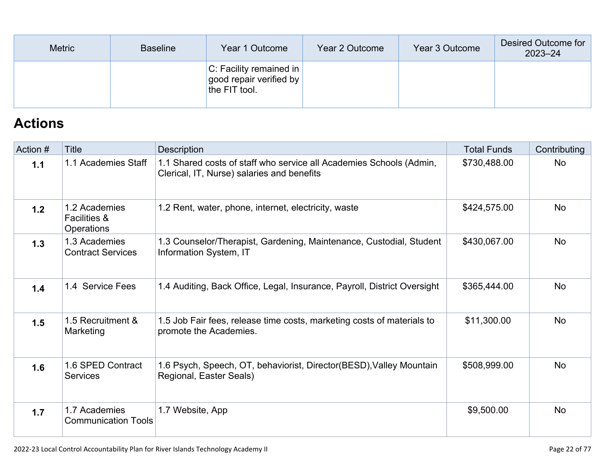| <b>Metric</b> | <b>Baseline</b> | Year 1 Outcome                                                               | Year 2 Outcome | Year 3 Outcome | Desired Outcome for<br>$2023 - 24$ |
|---------------|-----------------|------------------------------------------------------------------------------|----------------|----------------|------------------------------------|
|               |                 | $ C $ : Facility remained in<br>  good repair verified by  <br>the FIT tool. |                |                |                                    |

## **[Actions](http://www.doc-tracking.com/screenshots/22LCAP/Instructions/22LCAPInstructions.htm#actions)**

| Action # | Title                                                  | Description                                                                                                       | <b>Total Funds</b> | Contributing |
|----------|--------------------------------------------------------|-------------------------------------------------------------------------------------------------------------------|--------------------|--------------|
| 1.1      | 1.1 Academies Staff                                    | 1.1 Shared costs of staff who service all Academies Schools (Admin,<br>Clerical, IT, Nurse) salaries and benefits | \$730,488.00       | <b>No</b>    |
| 1.2      | 1.2 Academies<br><b>Facilities &amp;</b><br>Operations | 1.2 Rent, water, phone, internet, electricity, waste                                                              | \$424,575.00       | <b>No</b>    |
| 1.3      | 1.3 Academies<br><b>Contract Services</b>              | 1.3 Counselor/Therapist, Gardening, Maintenance, Custodial, Student<br>Information System, IT                     | \$430,067.00       | <b>No</b>    |
| 1.4      | 1.4 Service Fees                                       | 1.4 Auditing, Back Office, Legal, Insurance, Payroll, District Oversight                                          | \$365,444.00       | <b>No</b>    |
| 1.5      | 1.5 Recruitment &<br>Marketing                         | 1.5 Job Fair fees, release time costs, marketing costs of materials to<br>promote the Academies.                  | \$11,300.00        | <b>No</b>    |
| 1.6      | 1.6 SPED Contract<br>Services                          | 1.6 Psych, Speech, OT, behaviorist, Director(BESD), Valley Mountain<br>Regional, Easter Seals)                    | \$508,999.00       | <b>No</b>    |
| 1.7      | 1.7 Academies<br><b>Communication Tools</b>            | 1.7 Website, App                                                                                                  | \$9,500.00         | <b>No</b>    |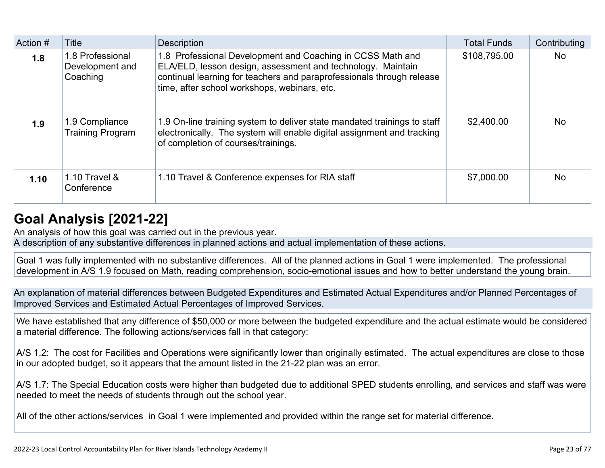| Action # | Title                                           | <b>Description</b>                                                                                                                                                                                                                                 | <b>Total Funds</b> | Contributing |
|----------|-------------------------------------------------|----------------------------------------------------------------------------------------------------------------------------------------------------------------------------------------------------------------------------------------------------|--------------------|--------------|
| 1.8      | 1.8 Professional<br>Development and<br>Coaching | 1.8 Professional Development and Coaching in CCSS Math and<br>ELA/ELD, lesson design, assessment and technology. Maintain<br>continual learning for teachers and paraprofessionals through release<br>time, after school workshops, webinars, etc. | \$108,795.00       | <b>No</b>    |
| 1.9      | 1.9 Compliance<br><b>Training Program</b>       | 1.9 On-line training system to deliver state mandated trainings to staff<br>electronically. The system will enable digital assignment and tracking<br>of completion of courses/trainings.                                                          | \$2,400.00         | <b>No</b>    |
| 1.10     | 1.10 Travel &<br>Conference                     | 1.10 Travel & Conference expenses for RIA staff                                                                                                                                                                                                    | \$7,000.00         | <b>No</b>    |

## **[Goal Analysis \[2021-22\]](http://www.doc-tracking.com/screenshots/22LCAP/Instructions/22LCAPInstructions.htm#GoalAnalysis)**

An analysis of how this goal was carried out in the previous year.

A description of any substantive differences in planned actions and actual implementation of these actions.

Goal 1 was fully implemented with no substantive differences. All of the planned actions in Goal 1 were implemented. The professional development in A/S 1.9 focused on Math, reading comprehension, socio-emotional issues and how to better understand the young brain.

An explanation of material differences between Budgeted Expenditures and Estimated Actual Expenditures and/or Planned Percentages of Improved Services and Estimated Actual Percentages of Improved Services.

We have established that any difference of \$50,000 or more between the budgeted expenditure and the actual estimate would be considered a material difference. The following actions/services fall in that category:

A/S 1.2: The cost for Facilities and Operations were significantly lower than originally estimated. The actual expenditures are close to those in our adopted budget, so it appears that the amount listed in the 21-22 plan was an error.

A/S 1.7: The Special Education costs were higher than budgeted due to additional SPED students enrolling, and services and staff was were needed to meet the needs of students through out the school year.

All of the other actions/services in Goal 1 were implemented and provided within the range set for material difference.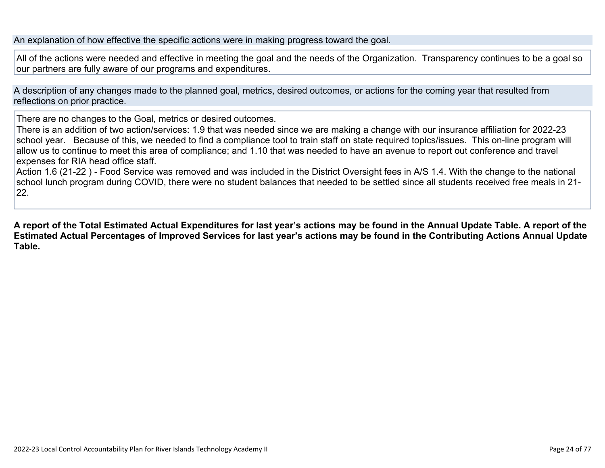An explanation of how effective the specific actions were in making progress toward the goal.

All of the actions were needed and effective in meeting the goal and the needs of the Organization. Transparency continues to be a goal so our partners are fully aware of our programs and expenditures.

A description of any changes made to the planned goal, metrics, desired outcomes, or actions for the coming year that resulted from reflections on prior practice.

There are no changes to the Goal, metrics or desired outcomes.

There is an addition of two action/services: 1.9 that was needed since we are making a change with our insurance affiliation for 2022-23 school year. Because of this, we needed to find a compliance tool to train staff on state required topics/issues. This on-line program will allow us to continue to meet this area of compliance; and 1.10 that was needed to have an avenue to report out conference and travel expenses for RIA head office staff.

Action 1.6 (21-22 ) - Food Service was removed and was included in the District Oversight fees in A/S 1.4. With the change to the national school lunch program during COVID, there were no student balances that needed to be settled since all students received free meals in 21- 22.

**A report of the Total Estimated Actual Expenditures for last year's actions may be found in the Annual Update Table. A report of the Estimated Actual Percentages of Improved Services for last year's actions may be found in the Contributing Actions Annual Update Table.**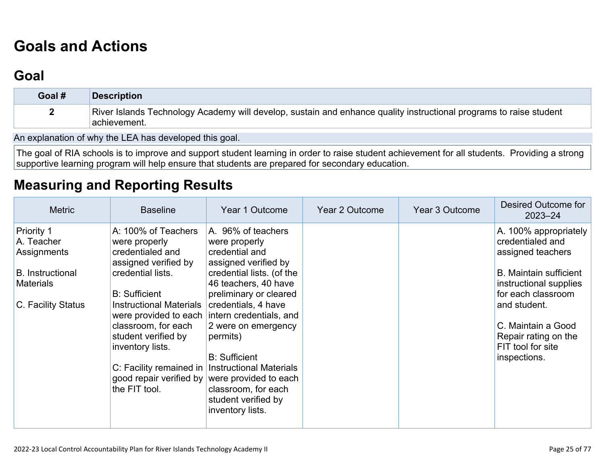## **[Goals and Actions](http://www.doc-tracking.com/screenshots/22LCAP/Instructions/22LCAPInstructions.htm#GoalsandActions)**

### **[Goal](http://www.doc-tracking.com/screenshots/22LCAP/Instructions/22LCAPInstructions.htm#goalDescription)**

| Goal # | <b>Description</b>                                                                                                                  |
|--------|-------------------------------------------------------------------------------------------------------------------------------------|
|        | River Islands Technology Academy will develop, sustain and enhance quality instructional programs to raise student<br>Hachievement. |

An explanation of why the LEA has developed this goal.

The goal of RIA schools is to improve and support student learning in order to raise student achievement for all students. Providing a strong supportive learning program will help ensure that students are prepared for secondary education.

### **[Measuring and Reporting Results](http://www.doc-tracking.com/screenshots/22LCAP/Instructions/22LCAPInstructions.htm#MeasuringandReportingResults)**

| <b>Metric</b>                                                                                                | <b>Baseline</b>                                                                                                                                                                                                                                                               | Year 1 Outcome                                                                                                                                                                                                                                                                                                                                                                                                                                  | Year 2 Outcome | Year 3 Outcome | <b>Desired Outcome for</b><br>$2023 - 24$                                                                                                                                                                                                          |
|--------------------------------------------------------------------------------------------------------------|-------------------------------------------------------------------------------------------------------------------------------------------------------------------------------------------------------------------------------------------------------------------------------|-------------------------------------------------------------------------------------------------------------------------------------------------------------------------------------------------------------------------------------------------------------------------------------------------------------------------------------------------------------------------------------------------------------------------------------------------|----------------|----------------|----------------------------------------------------------------------------------------------------------------------------------------------------------------------------------------------------------------------------------------------------|
| Priority 1<br>A. Teacher<br>Assignments<br><b>B.</b> Instructional<br><b>Materials</b><br>C. Facility Status | A: 100% of Teachers<br>were properly<br>credentialed and<br>assigned verified by<br>credential lists.<br><b>B:</b> Sufficient<br><b>Instructional Materials</b><br>classroom, for each<br>student verified by<br>inventory lists.<br>good repair verified by<br>the FIT tool. | A. 96% of teachers<br>were properly<br>credential and<br>assigned verified by<br>credential lists. (of the<br>46 teachers, 40 have<br>preliminary or cleared<br>credentials, 4 have<br>were provided to each intern credentials, and<br>2 were on emergency<br>permits)<br><b>B:</b> Sufficient<br>C: Facility remained in   Instructional Materials<br>were provided to each<br>classroom, for each<br>student verified by<br>inventory lists. |                |                | A. 100% appropriately<br>credentialed and<br>assigned teachers<br><b>B.</b> Maintain sufficient<br>instructional supplies<br>for each classroom<br>and student.<br>C. Maintain a Good<br>Repair rating on the<br>FIT tool for site<br>inspections. |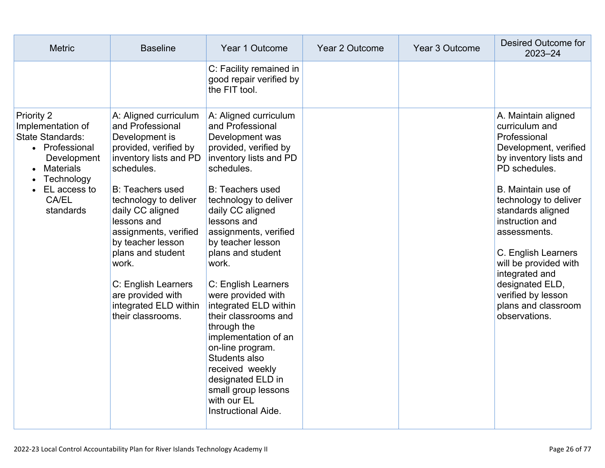| <b>Metric</b>                                                                                                                                                              | <b>Baseline</b>                                                                                                                                                                                                                                                                                                                                                                           | Year 1 Outcome                                                                                                                                                                                                                                                                                                                                                                                                                                                                                                                                                                  | Year 2 Outcome | Year 3 Outcome | Desired Outcome for<br>$2023 - 24$                                                                                                                                                                                                                                                                                                                                                  |
|----------------------------------------------------------------------------------------------------------------------------------------------------------------------------|-------------------------------------------------------------------------------------------------------------------------------------------------------------------------------------------------------------------------------------------------------------------------------------------------------------------------------------------------------------------------------------------|---------------------------------------------------------------------------------------------------------------------------------------------------------------------------------------------------------------------------------------------------------------------------------------------------------------------------------------------------------------------------------------------------------------------------------------------------------------------------------------------------------------------------------------------------------------------------------|----------------|----------------|-------------------------------------------------------------------------------------------------------------------------------------------------------------------------------------------------------------------------------------------------------------------------------------------------------------------------------------------------------------------------------------|
|                                                                                                                                                                            |                                                                                                                                                                                                                                                                                                                                                                                           | C: Facility remained in<br>good repair verified by<br>the FIT tool.                                                                                                                                                                                                                                                                                                                                                                                                                                                                                                             |                |                |                                                                                                                                                                                                                                                                                                                                                                                     |
| <b>Priority 2</b><br>Implementation of<br>State Standards:<br>• Professional<br>Development<br><b>Materials</b><br>Technology<br>EL access to<br><b>CA/EL</b><br>standards | A: Aligned curriculum<br>and Professional<br>Development is<br>provided, verified by<br>inventory lists and PD<br>schedules.<br><b>B: Teachers used</b><br>technology to deliver<br>daily CC aligned<br>lessons and<br>assignments, verified<br>by teacher lesson<br>plans and student<br>work.<br>C: English Learners<br>are provided with<br>integrated ELD within<br>their classrooms. | A: Aligned curriculum<br>and Professional<br>Development was<br>provided, verified by<br>inventory lists and PD<br>schedules.<br><b>B: Teachers used</b><br>technology to deliver<br>daily CC aligned<br>lessons and<br>assignments, verified<br>by teacher lesson<br>plans and student<br>work.<br>C: English Learners<br>were provided with<br>integrated ELD within<br>their classrooms and<br>through the<br>implementation of an<br>on-line program.<br>Students also<br>received weekly<br>designated ELD in<br>small group lessons<br>with our EL<br>Instructional Aide. |                |                | A. Maintain aligned<br>curriculum and<br>Professional<br>Development, verified<br>by inventory lists and<br>PD schedules.<br>B. Maintain use of<br>technology to deliver<br>standards aligned<br>instruction and<br>assessments.<br>C. English Learners<br>will be provided with<br>integrated and<br>designated ELD,<br>verified by lesson<br>plans and classroom<br>observations. |
|                                                                                                                                                                            |                                                                                                                                                                                                                                                                                                                                                                                           |                                                                                                                                                                                                                                                                                                                                                                                                                                                                                                                                                                                 |                |                |                                                                                                                                                                                                                                                                                                                                                                                     |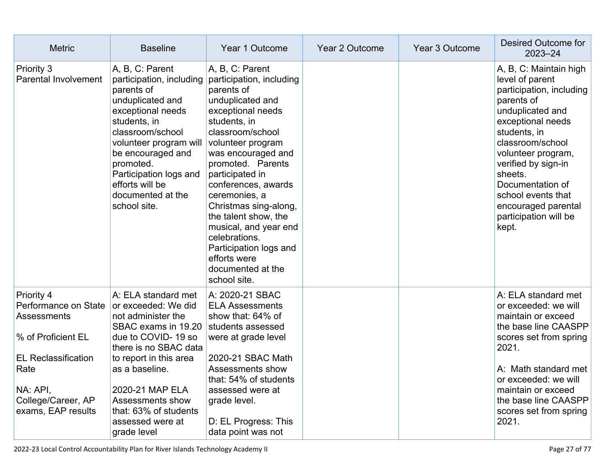| <b>Metric</b>                                                                                                 | <b>Baseline</b>                                                                                                                                                                                                                                                                      | Year 1 Outcome                                                                                                                                                                                                                                                                                                                                                                                                                              | <b>Year 2 Outcome</b> | <b>Year 3 Outcome</b> | Desired Outcome for<br>$2023 - 24$                                                                                                                                                                                                                                                                                          |
|---------------------------------------------------------------------------------------------------------------|--------------------------------------------------------------------------------------------------------------------------------------------------------------------------------------------------------------------------------------------------------------------------------------|---------------------------------------------------------------------------------------------------------------------------------------------------------------------------------------------------------------------------------------------------------------------------------------------------------------------------------------------------------------------------------------------------------------------------------------------|-----------------------|-----------------------|-----------------------------------------------------------------------------------------------------------------------------------------------------------------------------------------------------------------------------------------------------------------------------------------------------------------------------|
| Priority 3<br><b>Parental Involvement</b>                                                                     | A, B, C: Parent<br>participation, including<br>parents of<br>unduplicated and<br>exceptional needs<br>students, in<br>classroom/school<br>volunteer program will<br>be encouraged and<br>promoted.<br>Participation logs and<br>efforts will be<br>documented at the<br>school site. | A, B, C: Parent<br>participation, including<br>parents of<br>unduplicated and<br>exceptional needs<br>students, in<br>classroom/school<br>volunteer program<br>was encouraged and<br>promoted. Parents<br>participated in<br>conferences, awards<br>ceremonies, a<br>Christmas sing-along,<br>the talent show, the<br>musical, and year end<br>celebrations.<br>Participation logs and<br>efforts were<br>documented at the<br>school site. |                       |                       | A, B, C: Maintain high<br>level of parent<br>participation, including<br>parents of<br>unduplicated and<br>exceptional needs<br>students, in<br>classroom/school<br>volunteer program,<br>verified by sign-in<br>sheets.<br>Documentation of<br>school events that<br>encouraged parental<br>participation will be<br>kept. |
| Priority 4<br>Performance on State<br>Assessments<br>% of Proficient EL<br><b>EL Reclassification</b><br>Rate | A: ELA standard met<br>or exceeded: We did<br>not administer the<br>SBAC exams in 19.20 students assessed<br>due to COVID-19 so<br>there is no SBAC data<br>to report in this area<br>as a baseline.                                                                                 | A: 2020-21 SBAC<br><b>ELA Assessments</b><br>show that: 64% of<br>were at grade level<br>2020-21 SBAC Math<br>Assessments show                                                                                                                                                                                                                                                                                                              |                       |                       | A: ELA standard met<br>or exceeded: we will<br>maintain or exceed<br>the base line CAASPP<br>scores set from spring<br>2021.<br>A: Math standard met                                                                                                                                                                        |
| NA: API,<br>College/Career, AP<br>exams, EAP results                                                          | 2020-21 MAP ELA<br>Assessments show<br>that: 63% of students<br>assessed were at<br>grade level                                                                                                                                                                                      | that: 54% of students<br>assessed were at<br>grade level.<br>D: EL Progress: This<br>data point was not                                                                                                                                                                                                                                                                                                                                     |                       |                       | or exceeded: we will<br>maintain or exceed<br>the base line CAASPP<br>scores set from spring<br>2021.                                                                                                                                                                                                                       |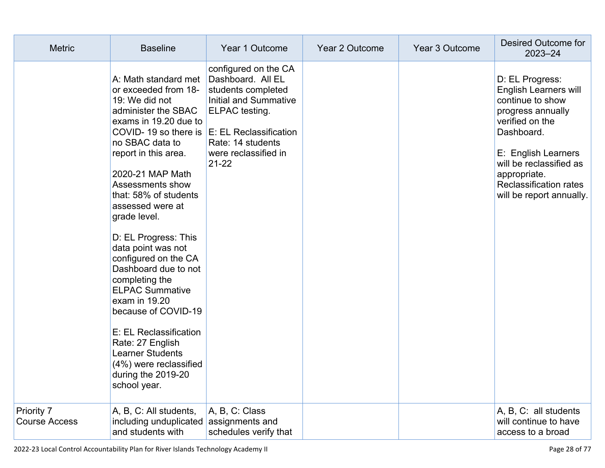| <b>Metric</b>                      | <b>Baseline</b>                                                                                                                                                                                                                                                                                                                                                                                                                                                                                                                                                                                                                             | Year 1 Outcome                                                                                                                                                       | Year 2 Outcome | Year 3 Outcome | Desired Outcome for<br>$2023 - 24$                                                                                                                                                                                                                |
|------------------------------------|---------------------------------------------------------------------------------------------------------------------------------------------------------------------------------------------------------------------------------------------------------------------------------------------------------------------------------------------------------------------------------------------------------------------------------------------------------------------------------------------------------------------------------------------------------------------------------------------------------------------------------------------|----------------------------------------------------------------------------------------------------------------------------------------------------------------------|----------------|----------------|---------------------------------------------------------------------------------------------------------------------------------------------------------------------------------------------------------------------------------------------------|
|                                    | A: Math standard met<br>or exceeded from 18-<br>19: We did not<br>administer the SBAC<br>exams in 19.20 due to<br>COVID-19 so there is $E$ : EL Reclassification<br>no SBAC data to<br>report in this area.<br>2020-21 MAP Math<br>Assessments show<br>that: 58% of students<br>assessed were at<br>grade level.<br>D: EL Progress: This<br>data point was not<br>configured on the CA<br>Dashboard due to not<br>completing the<br><b>ELPAC Summative</b><br>exam in 19.20<br>because of COVID-19<br>E: EL Reclassification<br>Rate: 27 English<br><b>Learner Students</b><br>(4%) were reclassified<br>during the 2019-20<br>school year. | configured on the CA<br>Dashboard. All EL<br>students completed<br>Initial and Summative<br>ELPAC testing.<br>Rate: 14 students<br>were reclassified in<br>$21 - 22$ |                |                | D: EL Progress:<br><b>English Learners will</b><br>continue to show<br>progress annually<br>verified on the<br>Dashboard.<br>E: English Learners<br>will be reclassified as<br>appropriate.<br>Reclassification rates<br>will be report annually. |
| Priority 7<br><b>Course Access</b> | A, B, C: All students,<br>including unduplicated assignments and<br>and students with                                                                                                                                                                                                                                                                                                                                                                                                                                                                                                                                                       | A, B, C: Class<br>schedules verify that                                                                                                                              |                |                | A, B, C: all students<br>will continue to have<br>access to a broad                                                                                                                                                                               |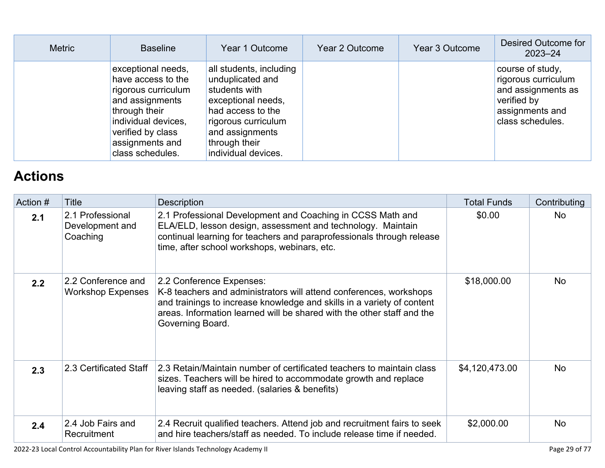| <b>Metric</b> | <b>Baseline</b>                                                                                                                                                                        | Year 1 Outcome                                                                                                                                                                            | Year 2 Outcome | Year 3 Outcome | Desired Outcome for<br>$2023 - 24$                                                                                  |
|---------------|----------------------------------------------------------------------------------------------------------------------------------------------------------------------------------------|-------------------------------------------------------------------------------------------------------------------------------------------------------------------------------------------|----------------|----------------|---------------------------------------------------------------------------------------------------------------------|
|               | exceptional needs,<br>have access to the<br>rigorous curriculum<br>and assignments<br>through their<br>individual devices,<br>verified by class<br>assignments and<br>class schedules. | all students, including<br>unduplicated and<br>students with<br>exceptional needs,<br>had access to the<br>rigorous curriculum<br>and assignments<br>through their<br>individual devices. |                |                | course of study,<br>rigorous curriculum<br>and assignments as<br>verified by<br>assignments and<br>class schedules. |

## **[Actions](http://www.doc-tracking.com/screenshots/22LCAP/Instructions/22LCAPInstructions.htm#actions)**

| Action # | Title                                           | Description                                                                                                                                                                                                                                                            | <b>Total Funds</b> | Contributing |
|----------|-------------------------------------------------|------------------------------------------------------------------------------------------------------------------------------------------------------------------------------------------------------------------------------------------------------------------------|--------------------|--------------|
| 2.1      | 2.1 Professional<br>Development and<br>Coaching | 2.1 Professional Development and Coaching in CCSS Math and<br>ELA/ELD, lesson design, assessment and technology. Maintain<br>continual learning for teachers and paraprofessionals through release<br>time, after school workshops, webinars, etc.                     | \$0.00             | <b>No</b>    |
| 2.2      | 2.2 Conference and<br><b>Workshop Expenses</b>  | 2.2 Conference Expenses:<br>K-8 teachers and administrators will attend conferences, workshops<br>and trainings to increase knowledge and skills in a variety of content<br>areas. Information learned will be shared with the other staff and the<br>Governing Board. | \$18,000.00        | No.          |
| 2.3      | 2.3 Certificated Staff                          | 2.3 Retain/Maintain number of certificated teachers to maintain class<br>sizes. Teachers will be hired to accommodate growth and replace<br>leaving staff as needed. (salaries & benefits)                                                                             | \$4,120,473.00     | <b>No</b>    |
| 2.4      | 2.4 Job Fairs and<br>Recruitment                | 2.4 Recruit qualified teachers. Attend job and recruitment fairs to seek<br>and hire teachers/staff as needed. To include release time if needed.                                                                                                                      | \$2,000.00         | <b>No</b>    |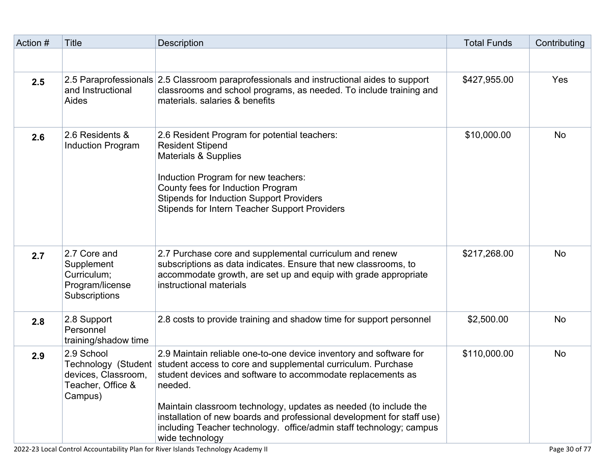| Action # | <b>Title</b>                                                                  | Description                                                                                                                                                                                                                                                                                                                                                                                                                                                              | <b>Total Funds</b> | Contributing |
|----------|-------------------------------------------------------------------------------|--------------------------------------------------------------------------------------------------------------------------------------------------------------------------------------------------------------------------------------------------------------------------------------------------------------------------------------------------------------------------------------------------------------------------------------------------------------------------|--------------------|--------------|
|          |                                                                               |                                                                                                                                                                                                                                                                                                                                                                                                                                                                          |                    |              |
| 2.5      | and Instructional<br><b>Aides</b>                                             | 2.5 Paraprofessionals 2.5 Classroom paraprofessionals and instructional aides to support<br>classrooms and school programs, as needed. To include training and<br>materials, salaries & benefits                                                                                                                                                                                                                                                                         | \$427,955.00       | Yes          |
| 2.6      | 2.6 Residents &<br><b>Induction Program</b>                                   | 2.6 Resident Program for potential teachers:<br><b>Resident Stipend</b><br><b>Materials &amp; Supplies</b><br>Induction Program for new teachers:<br>County fees for Induction Program<br><b>Stipends for Induction Support Providers</b><br><b>Stipends for Intern Teacher Support Providers</b>                                                                                                                                                                        | \$10,000.00        | <b>No</b>    |
| 2.7      | 2.7 Core and<br>Supplement<br>Curriculum;<br>Program/license<br>Subscriptions | 2.7 Purchase core and supplemental curriculum and renew<br>subscriptions as data indicates. Ensure that new classrooms, to<br>accommodate growth, are set up and equip with grade appropriate<br>instructional materials                                                                                                                                                                                                                                                 | \$217,268.00       | <b>No</b>    |
| 2.8      | 2.8 Support<br>Personnel<br>training/shadow time                              | 2.8 costs to provide training and shadow time for support personnel                                                                                                                                                                                                                                                                                                                                                                                                      | \$2,500.00         | <b>No</b>    |
| 2.9      | 2.9 School<br>devices, Classroom,<br>Teacher, Office &<br>Campus)             | 2.9 Maintain reliable one-to-one device inventory and software for<br>Technology (Student student access to core and supplemental curriculum. Purchase<br>student devices and software to accommodate replacements as<br>needed.<br>Maintain classroom technology, updates as needed (to include the<br>installation of new boards and professional development for staff use)<br>including Teacher technology. office/admin staff technology; campus<br>wide technology | \$110,000.00       | <b>No</b>    |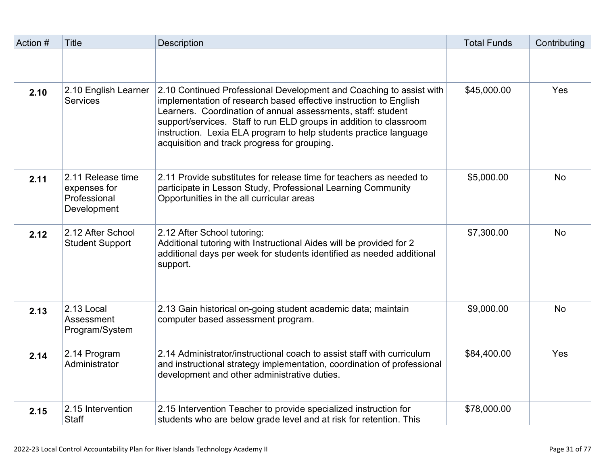| Action # | <b>Title</b>                                                     | <b>Description</b>                                                                                                                                                                                                                                                                                                                                                                                  | <b>Total Funds</b> | Contributing |
|----------|------------------------------------------------------------------|-----------------------------------------------------------------------------------------------------------------------------------------------------------------------------------------------------------------------------------------------------------------------------------------------------------------------------------------------------------------------------------------------------|--------------------|--------------|
|          |                                                                  |                                                                                                                                                                                                                                                                                                                                                                                                     |                    |              |
| 2.10     | 2.10 English Learner<br><b>Services</b>                          | 2.10 Continued Professional Development and Coaching to assist with<br>implementation of research based effective instruction to English<br>Learners. Coordination of annual assessments, staff: student<br>support/services. Staff to run ELD groups in addition to classroom<br>instruction. Lexia ELA program to help students practice language<br>acquisition and track progress for grouping. | \$45,000.00        | Yes          |
| 2.11     | 2.11 Release time<br>expenses for<br>Professional<br>Development | 2.11 Provide substitutes for release time for teachers as needed to<br>participate in Lesson Study, Professional Learning Community<br>Opportunities in the all curricular areas                                                                                                                                                                                                                    | \$5,000.00         | <b>No</b>    |
| 2.12     | 2.12 After School<br><b>Student Support</b>                      | 2.12 After School tutoring:<br>Additional tutoring with Instructional Aides will be provided for 2<br>additional days per week for students identified as needed additional<br>support.                                                                                                                                                                                                             | \$7,300.00         | <b>No</b>    |
| 2.13     | 2.13 Local<br>Assessment<br>Program/System                       | 2.13 Gain historical on-going student academic data; maintain<br>computer based assessment program.                                                                                                                                                                                                                                                                                                 | \$9,000.00         | <b>No</b>    |
| 2.14     | 2.14 Program<br>Administrator                                    | 2.14 Administrator/instructional coach to assist staff with curriculum<br>and instructional strategy implementation, coordination of professional<br>development and other administrative duties.                                                                                                                                                                                                   | \$84,400.00        | Yes          |
| 2.15     | 2.15 Intervention<br><b>Staff</b>                                | 2.15 Intervention Teacher to provide specialized instruction for<br>students who are below grade level and at risk for retention. This                                                                                                                                                                                                                                                              | \$78,000.00        |              |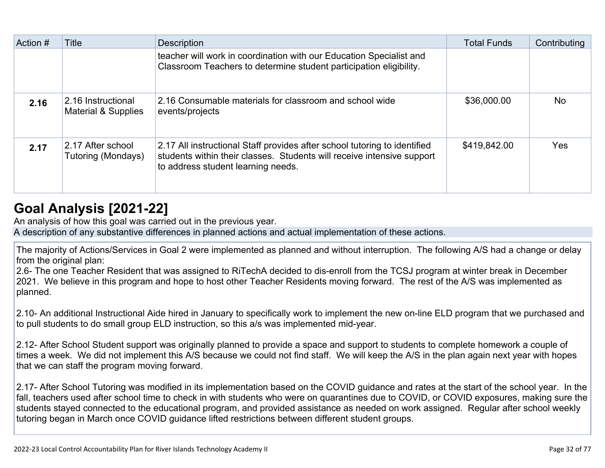| Action # | Title                                          | <b>Description</b>                                                                                                                                                                        | <b>Total Funds</b> | Contributing |
|----------|------------------------------------------------|-------------------------------------------------------------------------------------------------------------------------------------------------------------------------------------------|--------------------|--------------|
|          |                                                | teacher will work in coordination with our Education Specialist and<br>Classroom Teachers to determine student participation eligibility.                                                 |                    |              |
| 2.16     | 2.16 Instructional<br>Material & Supplies      | 2.16 Consumable materials for classroom and school wide<br>events/projects                                                                                                                | \$36,000.00        | <b>No</b>    |
| 2.17     | 2.17 After school<br><b>Tutoring (Mondays)</b> | 2.17 All instructional Staff provides after school tutoring to identified<br>students within their classes. Students will receive intensive support<br>to address student learning needs. | \$419,842.00       | <b>Yes</b>   |

## **[Goal Analysis \[2021-22\]](http://www.doc-tracking.com/screenshots/22LCAP/Instructions/22LCAPInstructions.htm#GoalAnalysis)**

An analysis of how this goal was carried out in the previous year.

A description of any substantive differences in planned actions and actual implementation of these actions.

The majority of Actions/Services in Goal 2 were implemented as planned and without interruption. The following A/S had a change or delay from the original plan:

2.6- The one Teacher Resident that was assigned to RiTechA decided to dis-enroll from the TCSJ program at winter break in December 2021. We believe in this program and hope to host other Teacher Residents moving forward. The rest of the A/S was implemented as planned.

2.10- An additional Instructional Aide hired in January to specifically work to implement the new on-line ELD program that we purchased and to pull students to do small group ELD instruction, so this a/s was implemented mid-year.

2.12- After School Student support was originally planned to provide a space and support to students to complete homework a couple of times a week. We did not implement this A/S because we could not find staff. We will keep the A/S in the plan again next year with hopes that we can staff the program moving forward.

2.17- After School Tutoring was modified in its implementation based on the COVID guidance and rates at the start of the school year. In the fall, teachers used after school time to check in with students who were on quarantines due to COVID, or COVID exposures, making sure the students stayed connected to the educational program, and provided assistance as needed on work assigned. Regular after school weekly tutoring began in March once COVID guidance lifted restrictions between different student groups.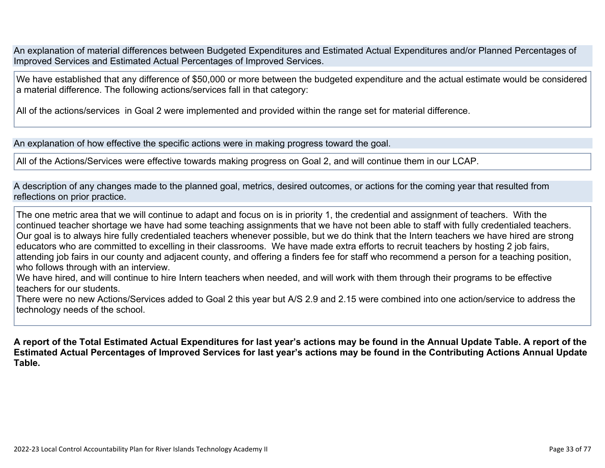An explanation of material differences between Budgeted Expenditures and Estimated Actual Expenditures and/or Planned Percentages of Improved Services and Estimated Actual Percentages of Improved Services.

We have established that any difference of \$50,000 or more between the budgeted expenditure and the actual estimate would be considered a material difference. The following actions/services fall in that category:

All of the actions/services in Goal 2 were implemented and provided within the range set for material difference.

An explanation of how effective the specific actions were in making progress toward the goal.

All of the Actions/Services were effective towards making progress on Goal 2, and will continue them in our LCAP.

A description of any changes made to the planned goal, metrics, desired outcomes, or actions for the coming year that resulted from reflections on prior practice.

The one metric area that we will continue to adapt and focus on is in priority 1, the credential and assignment of teachers. With the continued teacher shortage we have had some teaching assignments that we have not been able to staff with fully credentialed teachers. Our goal is to always hire fully credentialed teachers whenever possible, but we do think that the Intern teachers we have hired are strong educators who are committed to excelling in their classrooms. We have made extra efforts to recruit teachers by hosting 2 job fairs, attending job fairs in our county and adjacent county, and offering a finders fee for staff who recommend a person for a teaching position, who follows through with an interview.

We have hired, and will continue to hire Intern teachers when needed, and will work with them through their programs to be effective teachers for our students.

There were no new Actions/Services added to Goal 2 this year but A/S 2.9 and 2.15 were combined into one action/service to address the technology needs of the school.

**A report of the Total Estimated Actual Expenditures for last year's actions may be found in the Annual Update Table. A report of the Estimated Actual Percentages of Improved Services for last year's actions may be found in the Contributing Actions Annual Update Table.**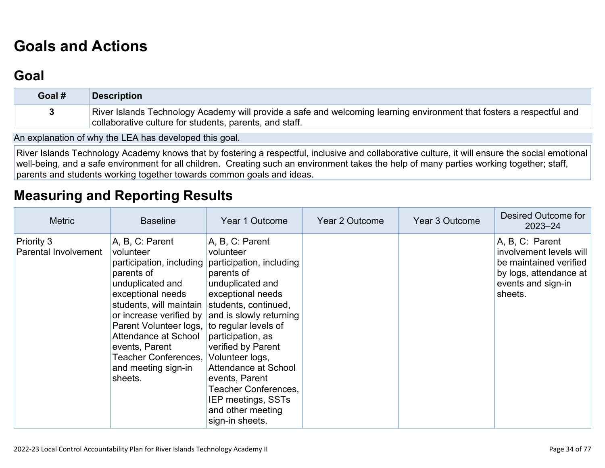## **[Goals and Actions](http://www.doc-tracking.com/screenshots/22LCAP/Instructions/22LCAPInstructions.htm#GoalsandActions)**

### **[Goal](http://www.doc-tracking.com/screenshots/22LCAP/Instructions/22LCAPInstructions.htm#goalDescription)**

| Goal # | Description                                                                                                                                                                      |
|--------|----------------------------------------------------------------------------------------------------------------------------------------------------------------------------------|
|        | River Islands Technology Academy will provide a safe and welcoming learning environment that fosters a respectful and<br>collaborative culture for students, parents, and staff. |

An explanation of why the LEA has developed this goal.

River Islands Technology Academy knows that by fostering a respectful, inclusive and collaborative culture, it will ensure the social emotional well-being, and a safe environment for all children. Creating such an environment takes the help of many parties working together; staff, parents and students working together towards common goals and ideas.

### **[Measuring and Reporting Results](http://www.doc-tracking.com/screenshots/22LCAP/Instructions/22LCAPInstructions.htm#MeasuringandReportingResults)**

| <b>Metric</b>                             | <b>Baseline</b>                                                                                                                                                                                                                                                                   | Year 1 Outcome                                                                                                                                                                                                                                                                                                                                                                                 | Year 2 Outcome | Year 3 Outcome | Desired Outcome for<br>$2023 - 24$                                                                                              |
|-------------------------------------------|-----------------------------------------------------------------------------------------------------------------------------------------------------------------------------------------------------------------------------------------------------------------------------------|------------------------------------------------------------------------------------------------------------------------------------------------------------------------------------------------------------------------------------------------------------------------------------------------------------------------------------------------------------------------------------------------|----------------|----------------|---------------------------------------------------------------------------------------------------------------------------------|
| <b>Priority 3</b><br>Parental Involvement | A, B, C: Parent<br>volunteer<br>parents of<br>unduplicated and<br>exceptional needs<br>students, will maintain students, continued,<br>Parent Volunteer logs,<br>Attendance at School<br>events, Parent<br>Teacher Conferences, Volunteer logs,<br>and meeting sign-in<br>sheets. | A, B, C: Parent<br>volunteer<br>participation, including participation, including<br>parents of<br>unduplicated and<br>exceptional needs<br>or increase verified by and is slowly returning<br>to regular levels of<br>participation, as<br>verified by Parent<br>Attendance at School<br>events, Parent<br>Teacher Conferences,<br>IEP meetings, SSTs<br>and other meeting<br>sign-in sheets. |                |                | A, B, C: Parent<br>involvement levels will<br>be maintained verified<br>by logs, attendance at<br>events and sign-in<br>sheets. |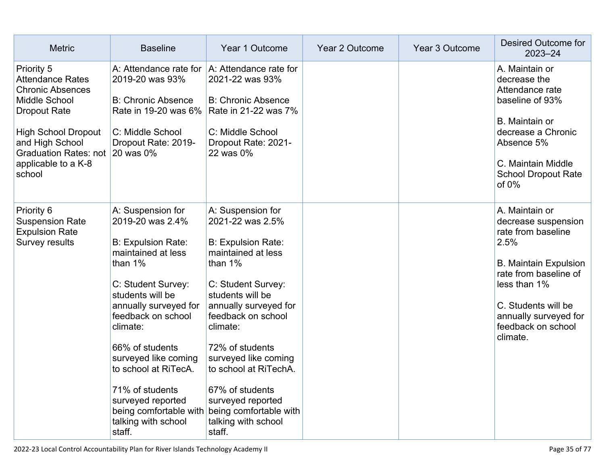| <b>Metric</b>                                                                                                                                                                                                                            | <b>Baseline</b>                                                                                                                                                                                                                                                                                                                                         | Year 1 Outcome                                                                                                                                                                                                                                                                                                                                                                                            | Year 2 Outcome | Year 3 Outcome | Desired Outcome for<br>$2023 - 24$                                                                                                                                                                                             |
|------------------------------------------------------------------------------------------------------------------------------------------------------------------------------------------------------------------------------------------|---------------------------------------------------------------------------------------------------------------------------------------------------------------------------------------------------------------------------------------------------------------------------------------------------------------------------------------------------------|-----------------------------------------------------------------------------------------------------------------------------------------------------------------------------------------------------------------------------------------------------------------------------------------------------------------------------------------------------------------------------------------------------------|----------------|----------------|--------------------------------------------------------------------------------------------------------------------------------------------------------------------------------------------------------------------------------|
| <b>Priority 5</b><br><b>Attendance Rates</b><br><b>Chronic Absences</b><br><b>Middle School</b><br><b>Dropout Rate</b><br><b>High School Dropout</b><br>and High School<br><b>Graduation Rates: not</b><br>applicable to a K-8<br>school | A: Attendance rate for<br>2019-20 was 93%<br><b>B: Chronic Absence</b><br>Rate in 19-20 was 6% Rate in 21-22 was 7%<br>C: Middle School<br>Dropout Rate: 2019-<br>20 was 0%                                                                                                                                                                             | A: Attendance rate for<br>2021-22 was 93%<br><b>B: Chronic Absence</b><br>C: Middle School<br>Dropout Rate: 2021-<br>22 was 0%                                                                                                                                                                                                                                                                            |                |                | A. Maintain or<br>decrease the<br>Attendance rate<br>baseline of 93%<br>B. Maintain or<br>decrease a Chronic<br>Absence 5%<br>C. Maintain Middle<br><b>School Dropout Rate</b><br>of $0\%$                                     |
| Priority 6<br><b>Suspension Rate</b><br><b>Expulsion Rate</b><br>Survey results                                                                                                                                                          | A: Suspension for<br>2019-20 was 2.4%<br><b>B: Expulsion Rate:</b><br>maintained at less<br>than $1\%$<br>C: Student Survey:<br>students will be<br>annually surveyed for<br>feedback on school<br>climate:<br>66% of students<br>surveyed like coming<br>to school at RiTecA.<br>71% of students<br>surveyed reported<br>talking with school<br>staff. | A: Suspension for<br>2021-22 was 2.5%<br><b>B: Expulsion Rate:</b><br>maintained at less<br>than $1\%$<br>C: Student Survey:<br>students will be<br>annually surveyed for<br>feedback on school<br>climate:<br>72% of students<br>surveyed like coming<br>to school at RiTechA.<br>67% of students<br>surveyed reported<br>being comfortable with being comfortable with<br>talking with school<br>staff. |                |                | A. Maintain or<br>decrease suspension<br>rate from baseline<br>2.5%<br><b>B. Maintain Expulsion</b><br>rate from baseline of<br>less than 1%<br>C. Students will be<br>annually surveyed for<br>feedback on school<br>climate. |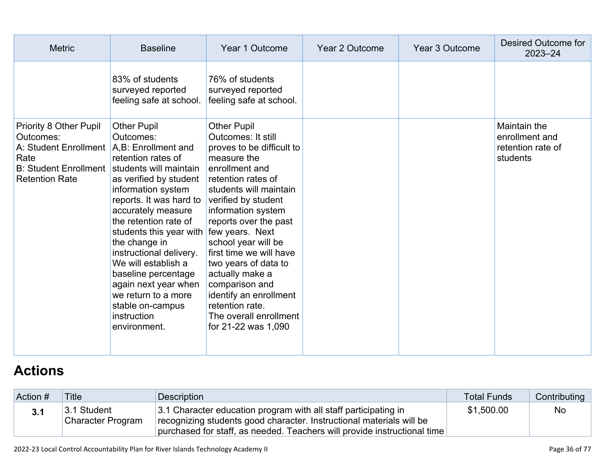| <b>Metric</b>                                                                                                                                                                 | <b>Baseline</b>                                                                                                                                                                                                                                                                                                                                                                                                        | Year 1 Outcome                                                                                                                                                                                                                                                                                                                                                                                                                                   | Year 2 Outcome | Year 3 Outcome | Desired Outcome for<br>$2023 - 24$                              |
|-------------------------------------------------------------------------------------------------------------------------------------------------------------------------------|------------------------------------------------------------------------------------------------------------------------------------------------------------------------------------------------------------------------------------------------------------------------------------------------------------------------------------------------------------------------------------------------------------------------|--------------------------------------------------------------------------------------------------------------------------------------------------------------------------------------------------------------------------------------------------------------------------------------------------------------------------------------------------------------------------------------------------------------------------------------------------|----------------|----------------|-----------------------------------------------------------------|
|                                                                                                                                                                               | 83% of students<br>surveyed reported<br>feeling safe at school.                                                                                                                                                                                                                                                                                                                                                        | 76% of students<br>surveyed reported<br>feeling safe at school.                                                                                                                                                                                                                                                                                                                                                                                  |                |                |                                                                 |
| <b>Priority 8 Other Pupil</b><br>Outcomes:<br>A: Student Enrollment   A, B: Enrollment and<br>Rate<br>B: Student Enrollment   students will maintain<br><b>Retention Rate</b> | <b>Other Pupil</b><br>Outcomes:<br>retention rates of<br>as verified by student<br>information system<br>reports. It was hard to<br>accurately measure<br>the retention rate of<br>students this year with few years. Next<br>the change in<br>instructional delivery.<br>We will establish a<br>baseline percentage<br>again next year when<br>we return to a more<br>stable on-campus<br>instruction<br>environment. | <b>Other Pupil</b><br><b>Outcomes: It still</b><br>proves to be difficult to<br>measure the<br>enrollment and<br>retention rates of<br>students will maintain<br>verified by student<br>information system<br>reports over the past<br>school year will be<br>first time we will have<br>two years of data to<br>actually make a<br>comparison and<br>identify an enrollment<br>retention rate.<br>The overall enrollment<br>for 21-22 was 1,090 |                |                | Maintain the<br>enrollment and<br>retention rate of<br>students |

# **[Actions](http://www.doc-tracking.com/screenshots/22LCAP/Instructions/22LCAPInstructions.htm#actions)**

| Action # | <b>Title</b>                     | Description                                                                                                                                                                                                         | <b>Total Funds</b> | Contributing |
|----------|----------------------------------|---------------------------------------------------------------------------------------------------------------------------------------------------------------------------------------------------------------------|--------------------|--------------|
| 3.1      | 3.1 Student<br>Character Program | 3.1 Character education program with all staff participating in<br>recognizing students good character. Instructional materials will be<br>purchased for staff, as needed. Teachers will provide instructional time | \$1,500.00         | <b>No</b>    |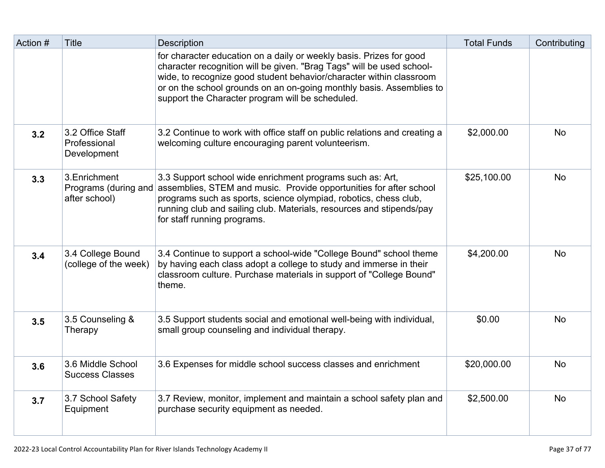| Action # | <b>Title</b>                                           | <b>Description</b>                                                                                                                                                                                                                                                                                                                              | <b>Total Funds</b> | Contributing |
|----------|--------------------------------------------------------|-------------------------------------------------------------------------------------------------------------------------------------------------------------------------------------------------------------------------------------------------------------------------------------------------------------------------------------------------|--------------------|--------------|
|          |                                                        | for character education on a daily or weekly basis. Prizes for good<br>character recognition will be given. "Brag Tags" will be used school-<br>wide, to recognize good student behavior/character within classroom<br>or on the school grounds on an on-going monthly basis. Assemblies to<br>support the Character program will be scheduled. |                    |              |
| 3.2      | 3.2 Office Staff<br>Professional<br>Development        | 3.2 Continue to work with office staff on public relations and creating a<br>welcoming culture encouraging parent volunteerism.                                                                                                                                                                                                                 | \$2,000.00         | <b>No</b>    |
| 3.3      | 3. Enrichment<br>Programs (during and<br>after school) | 3.3 Support school wide enrichment programs such as: Art,<br>assemblies, STEM and music. Provide opportunities for after school<br>programs such as sports, science olympiad, robotics, chess club,<br>running club and sailing club. Materials, resources and stipends/pay<br>for staff running programs.                                      | \$25,100.00        | <b>No</b>    |
| 3.4      | 3.4 College Bound<br>(college of the week)             | 3.4 Continue to support a school-wide "College Bound" school theme<br>by having each class adopt a college to study and immerse in their<br>classroom culture. Purchase materials in support of "College Bound"<br>theme.                                                                                                                       | \$4,200.00         | <b>No</b>    |
| 3.5      | 3.5 Counseling &<br>Therapy                            | 3.5 Support students social and emotional well-being with individual,<br>small group counseling and individual therapy.                                                                                                                                                                                                                         | \$0.00             | <b>No</b>    |
| 3.6      | 3.6 Middle School<br><b>Success Classes</b>            | 3.6 Expenses for middle school success classes and enrichment                                                                                                                                                                                                                                                                                   | \$20,000.00        | <b>No</b>    |
| 3.7      | 3.7 School Safety<br>Equipment                         | 3.7 Review, monitor, implement and maintain a school safety plan and<br>purchase security equipment as needed.                                                                                                                                                                                                                                  | \$2,500.00         | <b>No</b>    |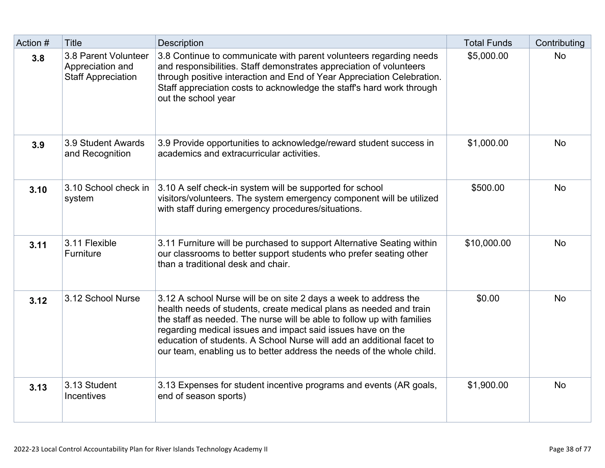| Action # | <b>Title</b>                                                          | Description                                                                                                                                                                                                                                                                                                                                                                                                                       | <b>Total Funds</b> | Contributing |
|----------|-----------------------------------------------------------------------|-----------------------------------------------------------------------------------------------------------------------------------------------------------------------------------------------------------------------------------------------------------------------------------------------------------------------------------------------------------------------------------------------------------------------------------|--------------------|--------------|
| 3.8      | 3.8 Parent Volunteer<br>Appreciation and<br><b>Staff Appreciation</b> | 3.8 Continue to communicate with parent volunteers regarding needs<br>and responsibilities. Staff demonstrates appreciation of volunteers<br>through positive interaction and End of Year Appreciation Celebration.<br>Staff appreciation costs to acknowledge the staff's hard work through<br>out the school year                                                                                                               | \$5,000.00         | <b>No</b>    |
| 3.9      | 3.9 Student Awards<br>and Recognition                                 | 3.9 Provide opportunities to acknowledge/reward student success in<br>academics and extracurricular activities.                                                                                                                                                                                                                                                                                                                   | \$1,000.00         | <b>No</b>    |
| 3.10     | 3.10 School check in<br>system                                        | 3.10 A self check-in system will be supported for school<br>visitors/volunteers. The system emergency component will be utilized<br>with staff during emergency procedures/situations.                                                                                                                                                                                                                                            | \$500.00           | <b>No</b>    |
| 3.11     | 3.11 Flexible<br>Furniture                                            | 3.11 Furniture will be purchased to support Alternative Seating within<br>our classrooms to better support students who prefer seating other<br>than a traditional desk and chair.                                                                                                                                                                                                                                                | \$10,000.00        | <b>No</b>    |
| 3.12     | 3.12 School Nurse                                                     | 3.12 A school Nurse will be on site 2 days a week to address the<br>health needs of students, create medical plans as needed and train<br>the staff as needed. The nurse will be able to follow up with families<br>regarding medical issues and impact said issues have on the<br>education of students. A School Nurse will add an additional facet to<br>our team, enabling us to better address the needs of the whole child. | \$0.00             | <b>No</b>    |
| 3.13     | 3.13 Student<br>Incentives                                            | 3.13 Expenses for student incentive programs and events (AR goals,<br>end of season sports)                                                                                                                                                                                                                                                                                                                                       | \$1,900.00         | <b>No</b>    |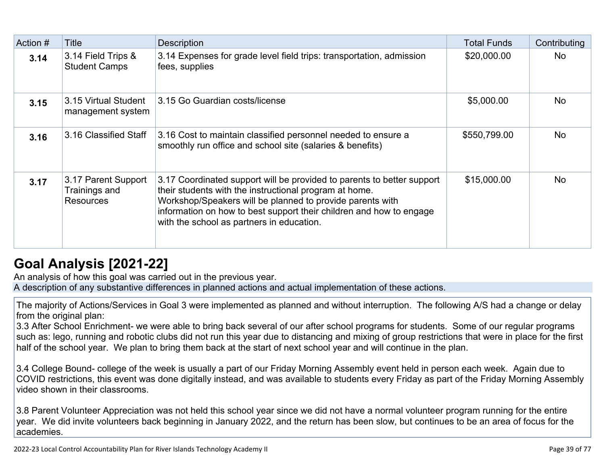| Action # | <b>Title</b>                                             | <b>Description</b>                                                                                                                                                                                                                                                                                                | <b>Total Funds</b> | Contributing |
|----------|----------------------------------------------------------|-------------------------------------------------------------------------------------------------------------------------------------------------------------------------------------------------------------------------------------------------------------------------------------------------------------------|--------------------|--------------|
| 3.14     | 3.14 Field Trips &<br><b>Student Camps</b>               | 3.14 Expenses for grade level field trips: transportation, admission<br>fees, supplies                                                                                                                                                                                                                            | \$20,000.00        | <b>No</b>    |
| 3.15     | 3.15 Virtual Student<br>management system                | 3.15 Go Guardian costs/license                                                                                                                                                                                                                                                                                    | \$5,000.00         | <b>No</b>    |
| 3.16     | 3.16 Classified Staff                                    | 3.16 Cost to maintain classified personnel needed to ensure a<br>smoothly run office and school site (salaries & benefits)                                                                                                                                                                                        | \$550,799.00       | <b>No</b>    |
| 3.17     | 3.17 Parent Support<br>Trainings and<br><b>Resources</b> | 3.17 Coordinated support will be provided to parents to better support<br>their students with the instructional program at home.<br>Workshop/Speakers will be planned to provide parents with<br>information on how to best support their children and how to engage<br>with the school as partners in education. | \$15,000.00        | <b>No</b>    |

## **[Goal Analysis \[2021-22\]](http://www.doc-tracking.com/screenshots/22LCAP/Instructions/22LCAPInstructions.htm#GoalAnalysis)**

An analysis of how this goal was carried out in the previous year.

A description of any substantive differences in planned actions and actual implementation of these actions.

The majority of Actions/Services in Goal 3 were implemented as planned and without interruption. The following A/S had a change or delay from the original plan:

3.3 After School Enrichment- we were able to bring back several of our after school programs for students. Some of our regular programs such as: lego, running and robotic clubs did not run this year due to distancing and mixing of group restrictions that were in place for the first half of the school year. We plan to bring them back at the start of next school year and will continue in the plan.

3.4 College Bound- college of the week is usually a part of our Friday Morning Assembly event held in person each week. Again due to COVID restrictions, this event was done digitally instead, and was available to students every Friday as part of the Friday Morning Assembly video shown in their classrooms.

3.8 Parent Volunteer Appreciation was not held this school year since we did not have a normal volunteer program running for the entire year. We did invite volunteers back beginning in January 2022, and the return has been slow, but continues to be an area of focus for the academies.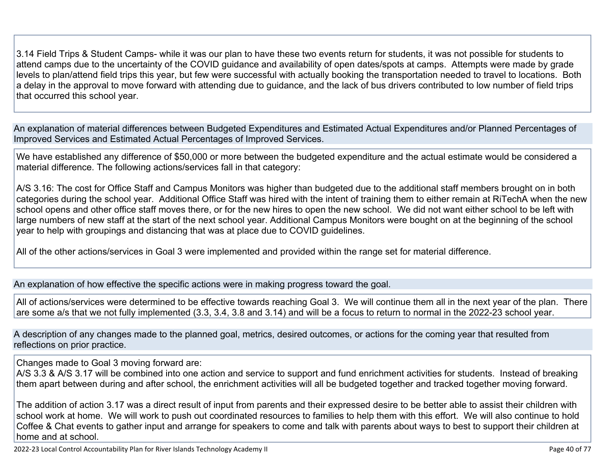3.14 Field Trips & Student Camps- while it was our plan to have these two events return for students, it was not possible for students to attend camps due to the uncertainty of the COVID guidance and availability of open dates/spots at camps. Attempts were made by grade levels to plan/attend field trips this year, but few were successful with actually booking the transportation needed to travel to locations. Both a delay in the approval to move forward with attending due to guidance, and the lack of bus drivers contributed to low number of field trips that occurred this school year.

An explanation of material differences between Budgeted Expenditures and Estimated Actual Expenditures and/or Planned Percentages of Improved Services and Estimated Actual Percentages of Improved Services.

We have established any difference of \$50,000 or more between the budgeted expenditure and the actual estimate would be considered a material difference. The following actions/services fall in that category:

A/S 3.16: The cost for Office Staff and Campus Monitors was higher than budgeted due to the additional staff members brought on in both categories during the school year. Additional Office Staff was hired with the intent of training them to either remain at RiTechA when the new school opens and other office staff moves there, or for the new hires to open the new school. We did not want either school to be left with large numbers of new staff at the start of the next school year. Additional Campus Monitors were bought on at the beginning of the school year to help with groupings and distancing that was at place due to COVID guidelines.

All of the other actions/services in Goal 3 were implemented and provided within the range set for material difference.

An explanation of how effective the specific actions were in making progress toward the goal.

All of actions/services were determined to be effective towards reaching Goal 3. We will continue them all in the next year of the plan. There are some a/s that we not fully implemented (3.3, 3.4, 3.8 and 3.14) and will be a focus to return to normal in the 2022-23 school year.

A description of any changes made to the planned goal, metrics, desired outcomes, or actions for the coming year that resulted from reflections on prior practice.

Changes made to Goal 3 moving forward are:

A/S 3.3 & A/S 3.17 will be combined into one action and service to support and fund enrichment activities for students. Instead of breaking them apart between during and after school, the enrichment activities will all be budgeted together and tracked together moving forward.

The addition of action 3.17 was a direct result of input from parents and their expressed desire to be better able to assist their children with school work at home. We will work to push out coordinated resources to families to help them with this effort. We will also continue to hold Coffee & Chat events to gather input and arrange for speakers to come and talk with parents about ways to best to support their children at home and at school.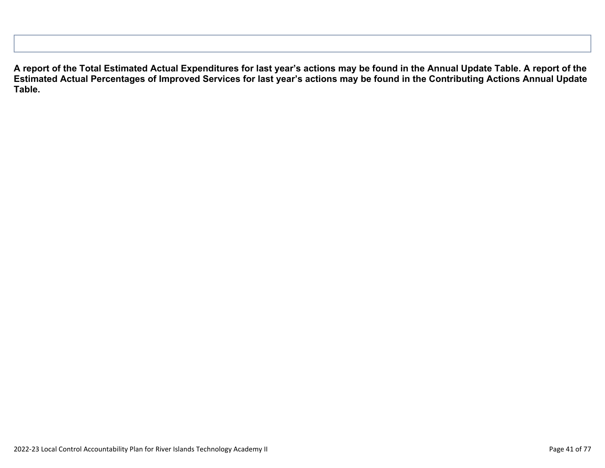**A report of the Total Estimated Actual Expenditures for last year's actions may be found in the Annual Update Table. A report of the Estimated Actual Percentages of Improved Services for last year's actions may be found in the Contributing Actions Annual Update Table.**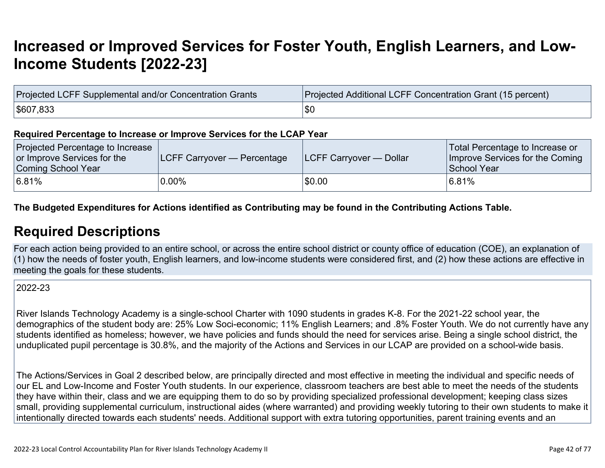# **[Increased or Improved Services for Foster Youth, English Learners, and Low-](http://www.doc-tracking.com/screenshots/22LCAP/Instructions/22LCAPInstructions.htm#IncreasedImprovedServices)[Income Students \[2022-23\]](http://www.doc-tracking.com/screenshots/22LCAP/Instructions/22LCAPInstructions.htm#IncreasedImprovedServices)**

| Projected LCFF Supplemental and/or Concentration Grants | Projected Additional LCFF Concentration Grant (15 percent) |
|---------------------------------------------------------|------------------------------------------------------------|
| \$607,833                                               | \$C                                                        |

#### **Required Percentage to Increase or Improve Services for the LCAP Year**

| Projected Percentage to Increase<br>or Improve Services for the<br>Coming School Year | <b>LCFF Carryover — Percentage</b> | <b>ILCFF Carryover — Dollar</b> | Total Percentage to Increase or<br>Improve Services for the Coming<br>School Year |
|---------------------------------------------------------------------------------------|------------------------------------|---------------------------------|-----------------------------------------------------------------------------------|
| 6.81%                                                                                 | $0.00\%$                           | \$0.00                          | <sup>≀</sup> 6.81%                                                                |

### **The Budgeted Expenditures for Actions identified as Contributing may be found in the Contributing Actions Table.**

### **[Required Descriptions](http://www.doc-tracking.com/screenshots/22LCAP/Instructions/22LCAPInstructions.htm#RequiredDescriptions)**

For each action being provided to an entire school, or across the entire school district or county office of education (COE), an explanation of (1) how the needs of foster youth, English learners, and low-income students were considered first, and (2) how these actions are effective in meeting the goals for these students.

2022-23

River Islands Technology Academy is a single-school Charter with 1090 students in grades K-8. For the 2021-22 school year, the demographics of the student body are: 25% Low Soci-economic; 11% English Learners; and .8% Foster Youth. We do not currently have any students identified as homeless; however, we have policies and funds should the need for services arise. Being a single school district, the unduplicated pupil percentage is 30.8%, and the majority of the Actions and Services in our LCAP are provided on a school-wide basis.

The Actions/Services in Goal 2 described below, are principally directed and most effective in meeting the individual and specific needs of our EL and Low-Income and Foster Youth students. In our experience, classroom teachers are best able to meet the needs of the students they have within their, class and we are equipping them to do so by providing specialized professional development; keeping class sizes small, providing supplemental curriculum, instructional aides (where warranted) and providing weekly tutoring to their own students to make it intentionally directed towards each students' needs. Additional support with extra tutoring opportunities, parent training events and an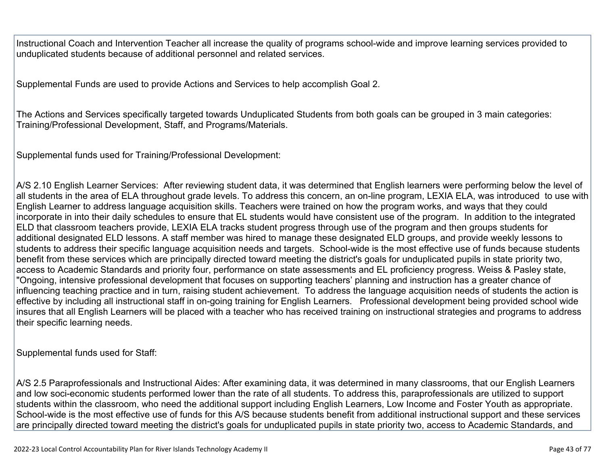Instructional Coach and Intervention Teacher all increase the quality of programs school-wide and improve learning services provided to unduplicated students because of additional personnel and related services.

Supplemental Funds are used to provide Actions and Services to help accomplish Goal 2.

The Actions and Services specifically targeted towards Unduplicated Students from both goals can be grouped in 3 main categories: Training/Professional Development, Staff, and Programs/Materials.

Supplemental funds used for Training/Professional Development:

A/S 2.10 English Learner Services: After reviewing student data, it was determined that English learners were performing below the level of all students in the area of ELA throughout grade levels. To address this concern, an on-line program, LEXIA ELA, was introduced to use with English Learner to address language acquisition skills. Teachers were trained on how the program works, and ways that they could incorporate in into their daily schedules to ensure that EL students would have consistent use of the program. In addition to the integrated ELD that classroom teachers provide, LEXIA ELA tracks student progress through use of the program and then groups students for additional designated ELD lessons. A staff member was hired to manage these designated ELD groups, and provide weekly lessons to students to address their specific language acquisition needs and targets. School-wide is the most effective use of funds because students benefit from these services which are principally directed toward meeting the district's goals for unduplicated pupils in state priority two, access to Academic Standards and priority four, performance on state assessments and EL proficiency progress. Weiss & Pasley state, "Ongoing, intensive professional development that focuses on supporting teachers' planning and instruction has a greater chance of influencing teaching practice and in turn, raising student achievement. To address the language acquisition needs of students the action is effective by including all instructional staff in on-going training for English Learners. Professional development being provided school wide insures that all English Learners will be placed with a teacher who has received training on instructional strategies and programs to address their specific learning needs.

Supplemental funds used for Staff:

A/S 2.5 Paraprofessionals and Instructional Aides: After examining data, it was determined in many classrooms, that our English Learners and low soci-economic students performed lower than the rate of all students. To address this, paraprofessionals are utilized to support students within the classroom, who need the additional support including English Learners, Low Income and Foster Youth as appropriate. School-wide is the most effective use of funds for this A/S because students benefit from additional instructional support and these services are principally directed toward meeting the district's goals for unduplicated pupils in state priority two, access to Academic Standards, and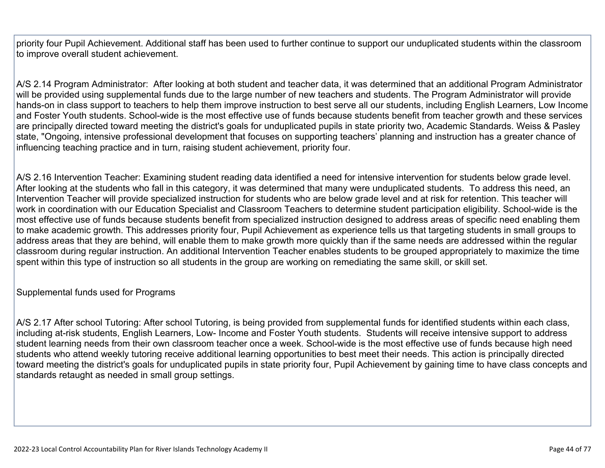priority four Pupil Achievement. Additional staff has been used to further continue to support our unduplicated students within the classroom to improve overall student achievement.

A/S 2.14 Program Administrator: After looking at both student and teacher data, it was determined that an additional Program Administrator will be provided using supplemental funds due to the large number of new teachers and students. The Program Administrator will provide hands-on in class support to teachers to help them improve instruction to best serve all our students, including English Learners, Low Income and Foster Youth students. School-wide is the most effective use of funds because students benefit from teacher growth and these services are principally directed toward meeting the district's goals for unduplicated pupils in state priority two, Academic Standards. Weiss & Pasley state, "Ongoing, intensive professional development that focuses on supporting teachers' planning and instruction has a greater chance of influencing teaching practice and in turn, raising student achievement, priority four.

A/S 2.16 Intervention Teacher: Examining student reading data identified a need for intensive intervention for students below grade level. After looking at the students who fall in this category, it was determined that many were unduplicated students. To address this need, an Intervention Teacher will provide specialized instruction for students who are below grade level and at risk for retention. This teacher will work in coordination with our Education Specialist and Classroom Teachers to determine student participation eligibility. School-wide is the most effective use of funds because students benefit from specialized instruction designed to address areas of specific need enabling them to make academic growth. This addresses priority four, Pupil Achievement as experience tells us that targeting students in small groups to address areas that they are behind, will enable them to make growth more quickly than if the same needs are addressed within the regular classroom during regular instruction. An additional Intervention Teacher enables students to be grouped appropriately to maximize the time spent within this type of instruction so all students in the group are working on remediating the same skill, or skill set.

Supplemental funds used for Programs

A/S 2.17 After school Tutoring: After school Tutoring, is being provided from supplemental funds for identified students within each class, including at-risk students, English Learners, Low- Income and Foster Youth students. Students will receive intensive support to address student learning needs from their own classroom teacher once a week. School-wide is the most effective use of funds because high need students who attend weekly tutoring receive additional learning opportunities to best meet their needs. This action is principally directed toward meeting the district's goals for unduplicated pupils in state priority four, Pupil Achievement by gaining time to have class concepts and standards retaught as needed in small group settings.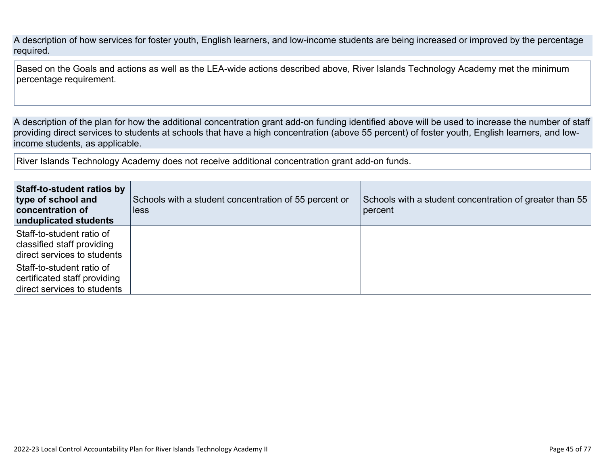A description of how services for foster youth, English learners, and low-income students are being increased or improved by the percentage required.

Based on the Goals and actions as well as the LEA-wide actions described above, River Islands Technology Academy met the minimum percentage requirement.

A description of the plan for how the additional concentration grant add-on funding identified above will be used to increase the number of staff providing direct services to students at schools that have a high concentration (above 55 percent) of foster youth, English learners, and lowincome students, as applicable.

River Islands Technology Academy does not receive additional concentration grant add-on funds.

| Staff-to-student ratios by<br>type of school and<br>concentration of<br>unduplicated students | Schools with a student concentration of 55 percent or<br>less | Schools with a student concentration of greater than 55<br>percent |
|-----------------------------------------------------------------------------------------------|---------------------------------------------------------------|--------------------------------------------------------------------|
| Staff-to-student ratio of<br>classified staff providing<br>direct services to students        |                                                               |                                                                    |
| Staff-to-student ratio of<br>certificated staff providing<br>direct services to students      |                                                               |                                                                    |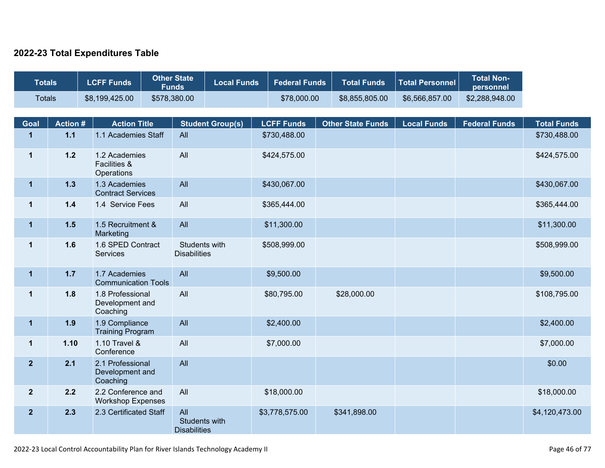### **2022-23 Total Expenditures Table**

| <b>Totals</b>  |                | <b>LCFF Funds</b>                                      | <b>Other State</b><br><b>Funds</b>          | <b>Local Funds</b>      | <b>Federal Funds</b> | <b>Total Funds</b>       | <b>Total Personnel</b> | <b>Total Non-</b><br>personnel |                    |
|----------------|----------------|--------------------------------------------------------|---------------------------------------------|-------------------------|----------------------|--------------------------|------------------------|--------------------------------|--------------------|
| <b>Totals</b>  |                | \$8,199,425.00                                         | \$578,380.00                                |                         | \$78,000.00          | \$8,855,805.00           | \$6,566,857.00         | \$2,288,948.00                 |                    |
| <b>Goal</b>    | <b>Action#</b> | <b>Action Title</b>                                    |                                             | <b>Student Group(s)</b> | <b>LCFF Funds</b>    | <b>Other State Funds</b> | <b>Local Funds</b>     | <b>Federal Funds</b>           | <b>Total Funds</b> |
| $\mathbf{1}$   | $1.1$          | 1.1 Academies Staff                                    | All                                         |                         | \$730,488.00         |                          |                        |                                | \$730,488.00       |
| $\mathbf{1}$   | $1.2$          | 1.2 Academies<br><b>Facilities &amp;</b><br>Operations | All                                         |                         | \$424,575.00         |                          |                        |                                | \$424,575.00       |
| $\mathbf 1$    | $1.3$          | 1.3 Academies<br><b>Contract Services</b>              | All                                         |                         | \$430,067.00         |                          |                        |                                | \$430,067.00       |
| $\mathbf 1$    | $1.4$          | 1.4 Service Fees                                       | All                                         |                         | \$365,444.00         |                          |                        |                                | \$365,444.00       |
| $\mathbf 1$    | 1.5            | 1.5 Recruitment &<br>Marketing                         | All                                         |                         | \$11,300.00          |                          |                        |                                | \$11,300.00        |
| $\mathbf 1$    | 1.6            | 1.6 SPED Contract<br><b>Services</b>                   | Students with<br><b>Disabilities</b>        |                         | \$508,999.00         |                          |                        |                                | \$508,999.00       |
| $\mathbf 1$    | $1.7$          | 1.7 Academies<br><b>Communication Tools</b>            | All                                         |                         | \$9,500.00           |                          |                        |                                | \$9,500.00         |
| $\mathbf 1$    | 1.8            | 1.8 Professional<br>Development and<br>Coaching        | All                                         |                         | \$80,795.00          | \$28,000.00              |                        |                                | \$108,795.00       |
| $\mathbf 1$    | 1.9            | 1.9 Compliance<br><b>Training Program</b>              | All                                         |                         | \$2,400.00           |                          |                        |                                | \$2,400.00         |
| $\mathbf{1}$   | 1.10           | 1.10 Travel &<br>Conference                            | All                                         |                         | \$7,000.00           |                          |                        |                                | \$7,000.00         |
| $\overline{2}$ | 2.1            | 2.1 Professional<br>Development and<br>Coaching        | All                                         |                         |                      |                          |                        |                                | \$0.00             |
| $\mathbf{2}$   | 2.2            | 2.2 Conference and<br><b>Workshop Expenses</b>         | All                                         |                         | \$18,000.00          |                          |                        |                                | \$18,000.00        |
| $\overline{2}$ | 2.3            | 2.3 Certificated Staff                                 | All<br>Students with<br><b>Disabilities</b> |                         | \$3,778,575.00       | \$341,898.00             |                        |                                | \$4,120,473.00     |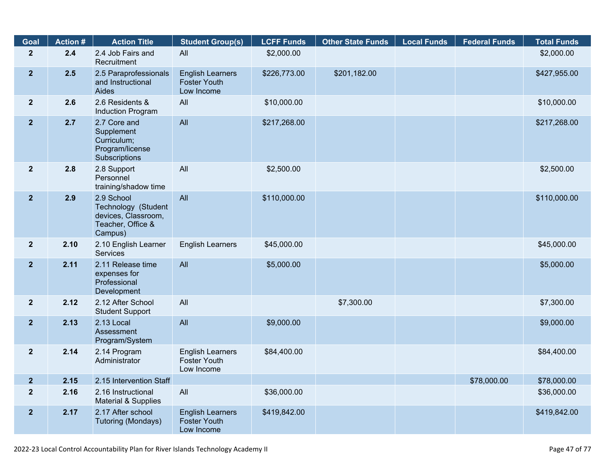| <b>Goal</b>     | <b>Action #</b> | <b>Action Title</b>                                                                      | <b>Student Group(s)</b>                                      | <b>LCFF Funds</b> | <b>Other State Funds</b> | <b>Local Funds</b> | <b>Federal Funds</b> | <b>Total Funds</b> |
|-----------------|-----------------|------------------------------------------------------------------------------------------|--------------------------------------------------------------|-------------------|--------------------------|--------------------|----------------------|--------------------|
| $\overline{2}$  | 2.4             | 2.4 Job Fairs and<br>Recruitment                                                         | All                                                          | \$2,000.00        |                          |                    |                      | \$2,000.00         |
| $\overline{2}$  | 2.5             | 2.5 Paraprofessionals<br>and Instructional<br>Aides                                      | <b>English Learners</b><br><b>Foster Youth</b><br>Low Income | \$226,773.00      | \$201,182.00             |                    |                      | \$427,955.00       |
| 2 <sup>1</sup>  | 2.6             | 2.6 Residents &<br>Induction Program                                                     | All                                                          | \$10,000.00       |                          |                    |                      | \$10,000.00        |
| $\overline{2}$  | 2.7             | 2.7 Core and<br>Supplement<br>Curriculum;<br>Program/license<br>Subscriptions            | All                                                          | \$217,268.00      |                          |                    |                      | \$217,268.00       |
| 2 <sup>1</sup>  | 2.8             | 2.8 Support<br>Personnel<br>training/shadow time                                         | All                                                          | \$2,500.00        |                          |                    |                      | \$2,500.00         |
| 2 <sup>1</sup>  | 2.9             | 2.9 School<br>Technology (Student<br>devices, Classroom,<br>Teacher, Office &<br>Campus) | All                                                          | \$110,000.00      |                          |                    |                      | \$110,000.00       |
| 2 <sub>2</sub>  | 2.10            | 2.10 English Learner<br><b>Services</b>                                                  | <b>English Learners</b>                                      | \$45,000.00       |                          |                    |                      | \$45,000.00        |
| $\overline{2}$  | 2.11            | 2.11 Release time<br>expenses for<br>Professional<br>Development                         | All                                                          | \$5,000.00        |                          |                    |                      | \$5,000.00         |
| 2 <sup>2</sup>  | 2.12            | 2.12 After School<br><b>Student Support</b>                                              | All                                                          |                   | \$7,300.00               |                    |                      | \$7,300.00         |
| 2 <sup>1</sup>  | 2.13            | 2.13 Local<br>Assessment<br>Program/System                                               | All                                                          | \$9,000.00        |                          |                    |                      | \$9,000.00         |
| $\overline{2}$  | 2.14            | 2.14 Program<br>Administrator                                                            | <b>English Learners</b><br>Foster Youth<br>Low Income        | \$84,400.00       |                          |                    |                      | \$84,400.00        |
| $2\overline{ }$ | 2.15            | 2.15 Intervention Staff                                                                  |                                                              |                   |                          |                    | \$78,000.00          | \$78,000.00        |
| $\overline{2}$  | 2.16            | 2.16 Instructional<br>Material & Supplies                                                | All                                                          | \$36,000.00       |                          |                    |                      | \$36,000.00        |
| $\overline{2}$  | 2.17            | 2.17 After school<br>Tutoring (Mondays)                                                  | <b>English Learners</b><br><b>Foster Youth</b><br>Low Income | \$419,842.00      |                          |                    |                      | \$419,842.00       |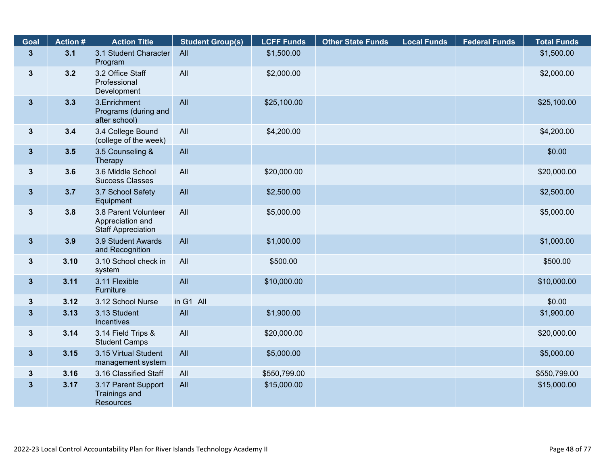| Goal                    | <b>Action #</b> | <b>Action Title</b>                                                   | <b>Student Group(s)</b> | <b>LCFF Funds</b> | <b>Other State Funds</b> | <b>Local Funds</b> | <b>Federal Funds</b> | <b>Total Funds</b> |
|-------------------------|-----------------|-----------------------------------------------------------------------|-------------------------|-------------------|--------------------------|--------------------|----------------------|--------------------|
| $\overline{\mathbf{3}}$ | 3.1             | 3.1 Student Character<br>Program                                      | All                     | \$1,500.00        |                          |                    |                      | \$1,500.00         |
| $3\phantom{a}$          | 3.2             | 3.2 Office Staff<br>Professional<br>Development                       | All                     | \$2,000.00        |                          |                    |                      | \$2,000.00         |
| 3 <sup>5</sup>          | 3.3             | 3. Enrichment<br>Programs (during and<br>after school)                | All                     | \$25,100.00       |                          |                    |                      | \$25,100.00        |
| $3\phantom{a}$          | 3.4             | 3.4 College Bound<br>(college of the week)                            | All                     | \$4,200.00        |                          |                    |                      | \$4,200.00         |
| $3\phantom{a}$          | 3.5             | 3.5 Counseling &<br>Therapy                                           | All                     |                   |                          |                    |                      | \$0.00             |
| $3\phantom{a}$          | 3.6             | 3.6 Middle School<br><b>Success Classes</b>                           | All                     | \$20,000.00       |                          |                    |                      | \$20,000.00        |
| 3 <sup>5</sup>          | 3.7             | 3.7 School Safety<br>Equipment                                        | All                     | \$2,500.00        |                          |                    |                      | \$2,500.00         |
| $3\phantom{a}$          | 3.8             | 3.8 Parent Volunteer<br>Appreciation and<br><b>Staff Appreciation</b> | All                     | \$5,000.00        |                          |                    |                      | \$5,000.00         |
| 3 <sup>5</sup>          | 3.9             | 3.9 Student Awards<br>and Recognition                                 | All                     | \$1,000.00        |                          |                    |                      | \$1,000.00         |
| $\mathbf{3}$            | 3.10            | 3.10 School check in<br>system                                        | All                     | \$500.00          |                          |                    |                      | \$500.00           |
| $3\phantom{a}$          | 3.11            | 3.11 Flexible<br>Furniture                                            | All                     | \$10,000.00       |                          |                    |                      | \$10,000.00        |
| $\mathbf{3}$            | 3.12            | 3.12 School Nurse                                                     | in G1 All               |                   |                          |                    |                      | \$0.00             |
| $\mathbf{3}$            | 3.13            | 3.13 Student<br>Incentives                                            | All                     | \$1,900.00        |                          |                    |                      | \$1,900.00         |
| $\mathbf{3}$            | 3.14            | 3.14 Field Trips &<br><b>Student Camps</b>                            | All                     | \$20,000.00       |                          |                    |                      | \$20,000.00        |
| 3 <sup>5</sup>          | 3.15            | 3.15 Virtual Student<br>management system                             | All                     | \$5,000.00        |                          |                    |                      | \$5,000.00         |
| $\boldsymbol{3}$        | 3.16            | 3.16 Classified Staff                                                 | All                     | \$550,799.00      |                          |                    |                      | \$550,799.00       |
| $\mathbf{3}$            | 3.17            | 3.17 Parent Support<br><b>Trainings and</b><br>Resources              | All                     | \$15,000.00       |                          |                    |                      | \$15,000.00        |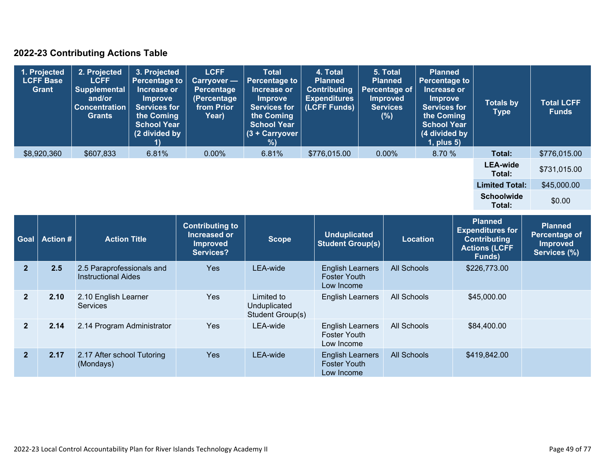### **2022-23 Contributing Actions Table**

| 1. Projected<br><b>LCFF Base</b><br>Grant | 2. Projected<br><b>LCFF</b><br>Supplemental<br>and/or<br><b>Concentration</b><br><b>Grants</b> | 3. Projected<br><b>Percentage to</b><br>Increase or<br><b>Improve</b><br><b>Services for</b><br>the Coming<br><b>School Year</b><br>(2 divided by | <b>LCFF</b><br><b>Carryover</b> —<br>Percentage<br>(Percentage<br>from Prior<br>Year) | <b>Total</b><br>Percentage to<br>Increase or<br><b>Improve</b><br><b>Services for</b><br>the Coming<br><b>School Year</b><br>$(3 +$ Carryover<br>%) | 4. Total<br><b>Planned</b><br><b>Contributing</b><br><b>Expenditures</b><br>(LCFF Funds) | 5. Total<br><b>Planned</b><br>Percentage of<br><b>Improved</b><br><b>Services</b><br>(%) | <b>Planned</b><br><b>Percentage to</b><br>Increase or<br><b>Improve</b><br><b>Services for</b><br>the Coming<br><b>School Year</b><br>(4 divided by<br>1, plus 5) | <b>Totals by</b><br><b>Type</b> | <b>Total LCFF</b><br><b>Funds</b> |
|-------------------------------------------|------------------------------------------------------------------------------------------------|---------------------------------------------------------------------------------------------------------------------------------------------------|---------------------------------------------------------------------------------------|-----------------------------------------------------------------------------------------------------------------------------------------------------|------------------------------------------------------------------------------------------|------------------------------------------------------------------------------------------|-------------------------------------------------------------------------------------------------------------------------------------------------------------------|---------------------------------|-----------------------------------|
| \$8,920,360                               | \$607,833                                                                                      | 6.81%                                                                                                                                             | $0.00\%$                                                                              | 6.81%                                                                                                                                               | \$776,015.00                                                                             | $0.00\%$                                                                                 | 8.70%                                                                                                                                                             | Total:                          | \$776,015.00                      |
|                                           |                                                                                                |                                                                                                                                                   |                                                                                       |                                                                                                                                                     |                                                                                          |                                                                                          |                                                                                                                                                                   | <b>LEA-wide</b><br>Total:       | \$731,015.00                      |
|                                           |                                                                                                |                                                                                                                                                   |                                                                                       |                                                                                                                                                     |                                                                                          |                                                                                          |                                                                                                                                                                   | <b>Limited Total:</b>           | \$45,000.00                       |
|                                           |                                                                                                |                                                                                                                                                   |                                                                                       |                                                                                                                                                     |                                                                                          |                                                                                          |                                                                                                                                                                   | <b>Schoolwide</b><br>Total:     | \$0.00                            |

| <b>Goal</b>    | <b>Action #</b> | <b>Action Title</b>                                     | <b>Contributing to</b><br>Increased or<br><b>Improved</b><br>Services? | Scope                                          | <b>Unduplicated</b><br><b>Student Group(s)</b>               | <b>Location</b>    | Planned<br><b>Expenditures for</b><br><b>Contributing</b><br><b>Actions (LCFF</b><br>Funds) | <b>Planned</b><br>Percentage of<br><b>Improved</b><br>Services (%) |
|----------------|-----------------|---------------------------------------------------------|------------------------------------------------------------------------|------------------------------------------------|--------------------------------------------------------------|--------------------|---------------------------------------------------------------------------------------------|--------------------------------------------------------------------|
| $\overline{2}$ | 2.5             | 2.5 Paraprofessionals and<br><b>Instructional Aides</b> | <b>Yes</b>                                                             | LEA-wide                                       | <b>English Learners</b><br><b>Foster Youth</b><br>Low Income | <b>All Schools</b> | \$226,773.00                                                                                |                                                                    |
| $\overline{2}$ | 2.10            | 2.10 English Learner<br><b>Services</b>                 | <b>Yes</b>                                                             | Limited to<br>Unduplicated<br>Student Group(s) | <b>English Learners</b>                                      | All Schools        | \$45,000.00                                                                                 |                                                                    |
| $\overline{2}$ | 2.14            | 2.14 Program Administrator                              | <b>Yes</b>                                                             | LEA-wide                                       | <b>English Learners</b><br><b>Foster Youth</b><br>Low Income | All Schools        | \$84,400.00                                                                                 |                                                                    |
| $\overline{2}$ | 2.17            | 2.17 After school Tutoring<br>(Mondays)                 | <b>Yes</b>                                                             | LEA-wide                                       | <b>English Learners</b><br><b>Foster Youth</b><br>Low Income | <b>All Schools</b> | \$419,842.00                                                                                |                                                                    |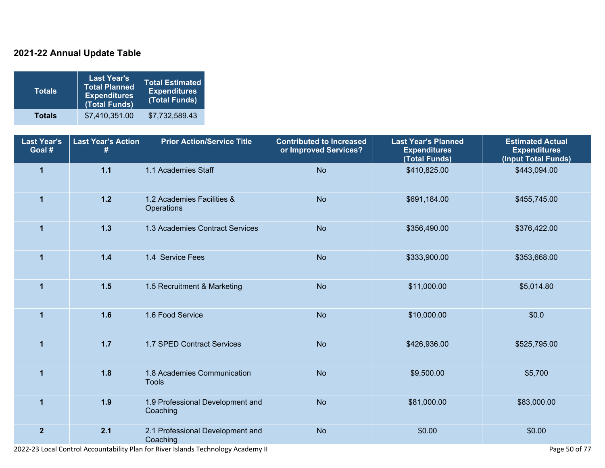### **2021-22 Annual Update Table**

| $\mathsf{Totals}^{\mathsf{T}}$ | <b>Last Year's</b><br><b>Total Planned</b><br><b>Expenditures</b><br>(Total Funds) | <b>Total Estimated</b><br><b>Expenditures</b><br>(Total Funds) |
|--------------------------------|------------------------------------------------------------------------------------|----------------------------------------------------------------|
| <b>Totals</b>                  | \$7,410,351.00                                                                     | \$7,732,589.43                                                 |

| <b>Last Year's</b><br>Goal # | <b>Last Year's Action</b><br># | <b>Prior Action/Service Title</b>            | <b>Contributed to Increased</b><br>or Improved Services? | <b>Last Year's Planned</b><br><b>Expenditures</b><br>(Total Funds) | <b>Estimated Actual</b><br><b>Expenditures</b><br>(Input Total Funds) |
|------------------------------|--------------------------------|----------------------------------------------|----------------------------------------------------------|--------------------------------------------------------------------|-----------------------------------------------------------------------|
| $\mathbf{1}$                 | $1.1$                          | 1.1 Academies Staff                          | <b>No</b>                                                | \$410,825.00                                                       | \$443,094.00                                                          |
| $\mathbf{1}$                 | $1.2$                          | 1.2 Academies Facilities &<br>Operations     | <b>No</b>                                                | \$691,184.00                                                       | \$455,745.00                                                          |
| $\mathbf{1}$                 | 1.3                            | 1.3 Academies Contract Services              | <b>No</b>                                                | \$356,490.00                                                       | \$376,422.00                                                          |
| $\mathbf{1}$                 | 1.4                            | 1.4 Service Fees                             | <b>No</b>                                                | \$333,900.00                                                       | \$353,668.00                                                          |
| $\mathbf 1$                  | $1.5$                          | 1.5 Recruitment & Marketing                  | <b>No</b>                                                | \$11,000.00                                                        | \$5,014.80                                                            |
| $\overline{1}$               | 1.6                            | 1.6 Food Service                             | <b>No</b>                                                | \$10,000.00                                                        | \$0.0                                                                 |
| $\overline{1}$               | $1.7$                          | 1.7 SPED Contract Services                   | <b>No</b>                                                | \$426,936.00                                                       | \$525,795.00                                                          |
| $\overline{1}$               | 1.8                            | 1.8 Academies Communication<br><b>Tools</b>  | <b>No</b>                                                | \$9,500.00                                                         | \$5,700                                                               |
| $\overline{1}$               | 1.9                            | 1.9 Professional Development and<br>Coaching | <b>No</b>                                                | \$81,000.00                                                        | \$83,000.00                                                           |
| $\mathbf{2}$                 | 2.1                            | 2.1 Professional Development and<br>Coaching | <b>No</b>                                                | \$0.00                                                             | \$0.00                                                                |

2022-23 Local Control Accountability Plan for River Islands Technology Academy II Page 50 of 77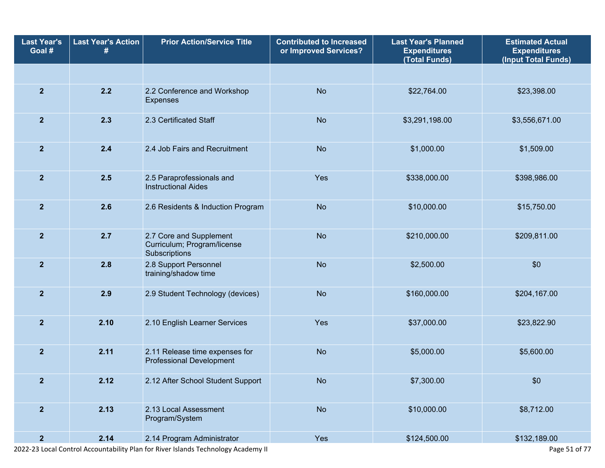| <b>Last Year's</b><br>Goal # | <b>Last Year's Action</b> | <b>Prior Action/Service Title</b>                                       | <b>Contributed to Increased</b><br>or Improved Services? | <b>Last Year's Planned</b><br><b>Expenditures</b><br>(Total Funds) | <b>Estimated Actual</b><br><b>Expenditures</b><br>(Input Total Funds) |
|------------------------------|---------------------------|-------------------------------------------------------------------------|----------------------------------------------------------|--------------------------------------------------------------------|-----------------------------------------------------------------------|
|                              |                           |                                                                         |                                                          |                                                                    |                                                                       |
| $\overline{2}$               | 2.2                       | 2.2 Conference and Workshop<br><b>Expenses</b>                          | <b>No</b>                                                | \$22,764.00                                                        | \$23,398.00                                                           |
| $\overline{2}$               | 2.3                       | 2.3 Certificated Staff                                                  | <b>No</b>                                                | \$3,291,198.00                                                     | \$3,556,671.00                                                        |
| $\overline{2}$               | 2.4                       | 2.4 Job Fairs and Recruitment                                           | <b>No</b>                                                | \$1,000.00                                                         | \$1,509.00                                                            |
| $\overline{2}$               | 2.5                       | 2.5 Paraprofessionals and<br><b>Instructional Aides</b>                 | Yes                                                      | \$338,000.00                                                       | \$398,986.00                                                          |
| $\overline{2}$               | 2.6                       | 2.6 Residents & Induction Program                                       | <b>No</b>                                                | \$10,000.00                                                        | \$15,750.00                                                           |
| $\overline{2}$               | 2.7                       | 2.7 Core and Supplement<br>Curriculum; Program/license<br>Subscriptions | <b>No</b>                                                | \$210,000.00                                                       | \$209,811.00                                                          |
| $\overline{2}$               | 2.8                       | 2.8 Support Personnel<br>training/shadow time                           | <b>No</b>                                                | \$2,500.00                                                         | \$0                                                                   |
| $\overline{2}$               | 2.9                       | 2.9 Student Technology (devices)                                        | <b>No</b>                                                | \$160,000.00                                                       | \$204,167.00                                                          |
| $\overline{2}$               | 2.10                      | 2.10 English Learner Services                                           | Yes                                                      | \$37,000.00                                                        | \$23,822.90                                                           |
| $\overline{2}$               | 2.11                      | 2.11 Release time expenses for<br><b>Professional Development</b>       | <b>No</b>                                                | \$5,000.00                                                         | \$5,600.00                                                            |
| $\mathbf{2}$                 | 2.12                      | 2.12 After School Student Support                                       | <b>No</b>                                                | \$7,300.00                                                         | \$0                                                                   |
| $\overline{2}$               | 2.13                      | 2.13 Local Assessment<br>Program/System                                 | <b>No</b>                                                | \$10,000.00                                                        | \$8,712.00                                                            |
| $\overline{2}$               | 2.14                      | 2.14 Program Administrator                                              | Yes                                                      | \$124,500.00                                                       | \$132,189.00                                                          |

2022-23 Local Control Accountability Plan for River Islands Technology Academy II Page 51 of 77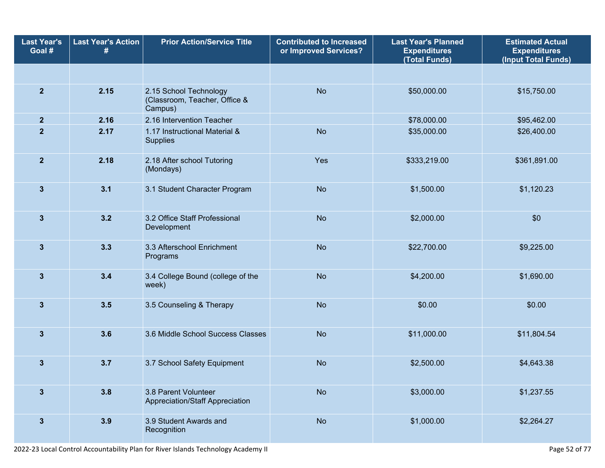| <b>Last Year's</b><br>Goal # | <b>Last Year's Action</b> | <b>Prior Action/Service Title</b>                                  | <b>Contributed to Increased</b><br>or Improved Services? | <b>Last Year's Planned</b><br><b>Expenditures</b><br>(Total Funds) | <b>Estimated Actual</b><br><b>Expenditures</b><br>(Input Total Funds) |
|------------------------------|---------------------------|--------------------------------------------------------------------|----------------------------------------------------------|--------------------------------------------------------------------|-----------------------------------------------------------------------|
|                              |                           |                                                                    |                                                          |                                                                    |                                                                       |
| $\overline{2}$               | 2.15                      | 2.15 School Technology<br>(Classroom, Teacher, Office &<br>Campus) | <b>No</b>                                                | \$50,000.00                                                        | \$15,750.00                                                           |
| $\mathbf{2}$                 | 2.16                      | 2.16 Intervention Teacher                                          |                                                          | \$78,000.00                                                        | \$95,462.00                                                           |
| $\mathbf{2}$                 | 2.17                      | 1.17 Instructional Material &<br>Supplies                          | <b>No</b>                                                | \$35,000.00                                                        | \$26,400.00                                                           |
| $\mathbf{2}$                 | 2.18                      | 2.18 After school Tutoring<br>(Mondays)                            | Yes                                                      | \$333,219.00                                                       | \$361,891.00                                                          |
| $\mathbf{3}$                 | 3.1                       | 3.1 Student Character Program                                      | <b>No</b>                                                | \$1,500.00                                                         | \$1,120.23                                                            |
| $\mathbf{3}$                 | 3.2                       | 3.2 Office Staff Professional<br>Development                       | <b>No</b>                                                | \$2,000.00                                                         | \$0                                                                   |
| $\mathbf{3}$                 | 3.3                       | 3.3 Afterschool Enrichment<br>Programs                             | <b>No</b>                                                | \$22,700.00                                                        | \$9,225.00                                                            |
| 3                            | 3.4                       | 3.4 College Bound (college of the<br>week)                         | <b>No</b>                                                | \$4,200.00                                                         | \$1,690.00                                                            |
| $\mathbf{3}$                 | 3.5                       | 3.5 Counseling & Therapy                                           | <b>No</b>                                                | \$0.00                                                             | \$0.00                                                                |
| $\mathbf{3}$                 | 3.6                       | 3.6 Middle School Success Classes                                  | <b>No</b>                                                | \$11,000.00                                                        | \$11,804.54                                                           |
| $\mathbf{3}$                 | 3.7                       | 3.7 School Safety Equipment                                        | <b>No</b>                                                | \$2,500.00                                                         | \$4,643.38                                                            |
| $\mathbf{3}$                 | 3.8                       | 3.8 Parent Volunteer<br>Appreciation/Staff Appreciation            | <b>No</b>                                                | \$3,000.00                                                         | \$1,237.55                                                            |
| $\mathbf{3}$                 | 3.9                       | 3.9 Student Awards and<br>Recognition                              | <b>No</b>                                                | \$1,000.00                                                         | \$2,264.27                                                            |

2022-23 Local Control Accountability Plan for River Islands Technology Academy II Page 52 of 77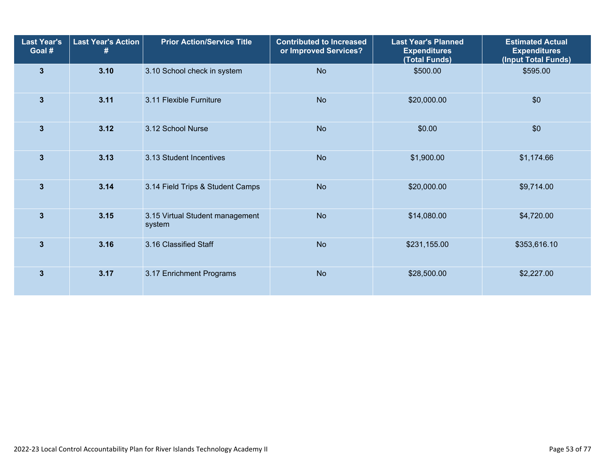| <b>Last Year's</b><br>Goal # | <b>Last Year's Action</b><br># | <b>Prior Action/Service Title</b>         | <b>Contributed to Increased</b><br>or Improved Services? | <b>Last Year's Planned</b><br><b>Expenditures</b><br>(Total Funds) | <b>Estimated Actual</b><br><b>Expenditures</b><br>(Input Total Funds) |
|------------------------------|--------------------------------|-------------------------------------------|----------------------------------------------------------|--------------------------------------------------------------------|-----------------------------------------------------------------------|
| 3                            | 3.10                           | 3.10 School check in system               | <b>No</b>                                                | \$500.00                                                           | \$595.00                                                              |
| 3                            | 3.11                           | 3.11 Flexible Furniture                   | <b>No</b>                                                | \$20,000.00                                                        | \$0                                                                   |
| $\overline{\mathbf{3}}$      | 3.12                           | 3.12 School Nurse                         | <b>No</b>                                                | \$0.00                                                             | \$0                                                                   |
| $\overline{\mathbf{3}}$      | 3.13                           | 3.13 Student Incentives                   | <b>No</b>                                                | \$1,900.00                                                         | \$1,174.66                                                            |
| 3                            | 3.14                           | 3.14 Field Trips & Student Camps          | <b>No</b>                                                | \$20,000.00                                                        | \$9,714.00                                                            |
| 3                            | 3.15                           | 3.15 Virtual Student management<br>system | <b>No</b>                                                | \$14,080.00                                                        | \$4,720.00                                                            |
| 3                            | 3.16                           | 3.16 Classified Staff                     | <b>No</b>                                                | \$231,155.00                                                       | \$353,616.10                                                          |
| $\overline{\mathbf{3}}$      | 3.17                           | 3.17 Enrichment Programs                  | <b>No</b>                                                | \$28,500.00                                                        | \$2,227.00                                                            |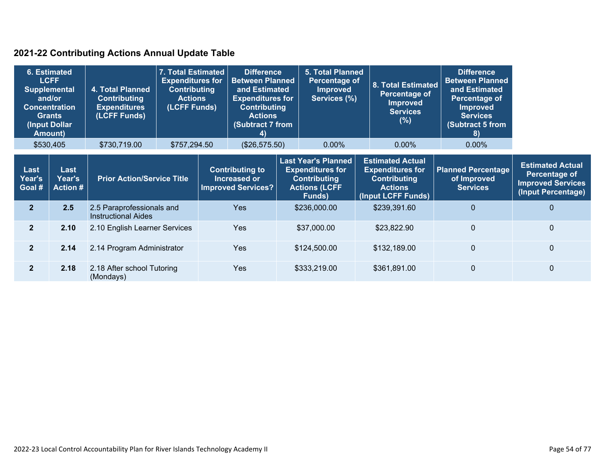### **2021-22 Contributing Actions Annual Update Table**

| <b>Amount</b> )          | 6. Estimated<br><b>LCFF</b><br><b>Supplemental</b><br>and/or<br><b>Concentration</b><br><b>Grants</b><br>(Input Dollar | 4. Total Planned<br><b>Contributing</b><br><b>Expenditures</b><br>(LCFF Funds) | 7. Total Estimated<br><b>Expenditures for</b><br><b>Contributing</b><br><b>Actions</b><br>(LCFF Funds) |            | <b>Difference</b><br><b>Between Planned</b><br>and Estimated<br><b>Expenditures for</b><br><b>Contributing</b><br><b>Actions</b><br><b>(Subtract 7 from</b><br>4)                                    |  | <b>5. Total Planned</b><br>Percentage of<br><b>Improved</b><br>Services (%)                                       |  | <b>8. Total Estimated</b><br>Percentage of<br><b>Improved</b><br><b>Services</b><br>(%) | <b>Difference</b><br><b>Between Planned</b><br>and Estimated<br>Percentage of<br><b>Improved</b><br><b>Services</b><br><b>Subtract 5 from</b><br>8) |             |
|--------------------------|------------------------------------------------------------------------------------------------------------------------|--------------------------------------------------------------------------------|--------------------------------------------------------------------------------------------------------|------------|------------------------------------------------------------------------------------------------------------------------------------------------------------------------------------------------------|--|-------------------------------------------------------------------------------------------------------------------|--|-----------------------------------------------------------------------------------------|-----------------------------------------------------------------------------------------------------------------------------------------------------|-------------|
|                          | \$530,405                                                                                                              | \$730,719.00                                                                   | \$757,294.50                                                                                           |            | (\$26,575.50)                                                                                                                                                                                        |  | $0.00\%$                                                                                                          |  | 0.00%                                                                                   | 0.00%                                                                                                                                               |             |
| Last<br>Year's<br>Goal # | Last<br>Year's<br><b>Action #</b>                                                                                      |                                                                                | <b>Prior Action/Service Title</b>                                                                      |            | <b>Last Year's Planned</b><br><b>Expenditures for</b><br><b>Contributing to</b><br><b>Increased or</b><br><b>Contributing</b><br><b>Improved Services?</b><br><b>Actions (LCFF</b><br><b>Funds</b> ) |  | <b>Estimated Actual</b><br><b>Expenditures for</b><br><b>Contributing</b><br><b>Actions</b><br>(Input LCFF Funds) |  | <b>Planned Percentage</b><br>of Improved<br><b>Services</b>                             | <b>Estimated Actual</b><br><b>Percentage of</b><br><b>Improved Services</b><br>(Input Percentage)                                                   |             |
| 2 <sup>1</sup>           | 2.5                                                                                                                    | 2.5 Paraprofessionals and<br><b>Instructional Aides</b>                        |                                                                                                        |            | <b>Yes</b>                                                                                                                                                                                           |  | \$236,000.00                                                                                                      |  | \$239,391.60                                                                            | $\mathbf{0}$                                                                                                                                        | $\mathbf 0$ |
| 2 <sup>1</sup>           | 2.10                                                                                                                   | 2.10 English Learner Services                                                  |                                                                                                        |            | <b>Yes</b>                                                                                                                                                                                           |  | \$37,000.00                                                                                                       |  | \$23,822.90                                                                             | $\mathbf{0}$                                                                                                                                        | $\mathbf 0$ |
| $\overline{2}$           | 2.14                                                                                                                   |                                                                                | 2.14 Program Administrator                                                                             |            | <b>Yes</b>                                                                                                                                                                                           |  | \$124,500.00                                                                                                      |  | \$132,189.00                                                                            | $\mathbf{0}$                                                                                                                                        | $\pmb{0}$   |
| $\overline{2}$           | 2.18                                                                                                                   | 2.18 After school Tutoring<br>(Mondays)                                        |                                                                                                        | <b>Yes</b> |                                                                                                                                                                                                      |  | \$333,219.00                                                                                                      |  | \$361,891.00                                                                            | $\mathbf{0}$                                                                                                                                        | $\mathbf 0$ |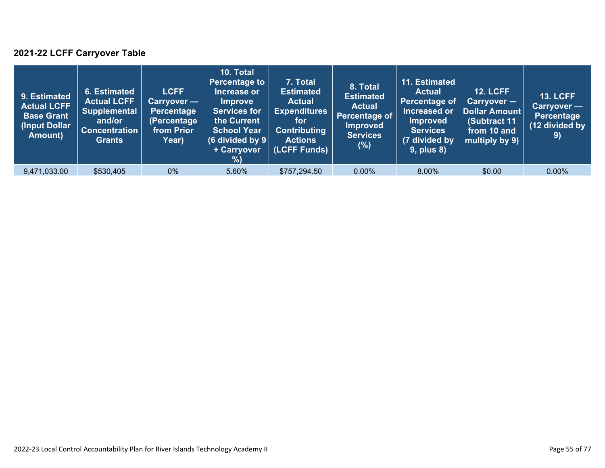### **2021-22 LCFF Carryover Table**

| 9. Estimated<br><b>Actual LCFF</b><br><b>Base Grant</b><br>(Input Dollar)<br>Amount) | 6. Estimated<br><b>Actual LCFF</b><br><b>Supplemental</b><br>and/or<br><b>Concentration</b><br><b>Grants</b> | <b>LCFF</b><br>Carryover —<br><b>Percentage</b><br>(Percentage<br>from Prior<br>Year) | 10. Total<br><b>Percentage to</b><br>Increase or<br><b>Improve</b><br><b>Services for</b><br>the Current<br><b>School Year</b><br>(6 divided by $9$ $ $<br>+ Carryover<br>% | 7. Total<br><b>Estimated</b><br><b>Actual</b><br><b>Expenditures</b><br>for<br><b>Contributing</b><br><b>Actions</b><br>(LCFF Funds) | 8. Total<br><b>Estimated</b><br><b>Actual</b><br>Percentage of<br><b>Improved</b><br><b>Services</b><br>(%) | 11. Estimated<br><b>Actual</b><br>Percentage of<br>Increased or<br><b>Improved</b><br><b>Services</b><br>(7 divided by<br><b>9, plus 8)</b> | <b>12. LCFF</b><br>$Carryover -$<br>Dollar Amount<br>(Subtract 11<br>from 10 and<br>multiply by 9) | <b>13. LCFF</b><br>Carryover -<br><b>Percentage</b><br>(12 divided by<br>9) |
|--------------------------------------------------------------------------------------|--------------------------------------------------------------------------------------------------------------|---------------------------------------------------------------------------------------|-----------------------------------------------------------------------------------------------------------------------------------------------------------------------------|--------------------------------------------------------------------------------------------------------------------------------------|-------------------------------------------------------------------------------------------------------------|---------------------------------------------------------------------------------------------------------------------------------------------|----------------------------------------------------------------------------------------------------|-----------------------------------------------------------------------------|
| 9,471,033.00                                                                         | \$530,405                                                                                                    | $0\%$                                                                                 | 5.60%                                                                                                                                                                       | \$757,294.50                                                                                                                         | $0.00\%$                                                                                                    | 8.00%                                                                                                                                       | \$0.00                                                                                             | $0.00\%$                                                                    |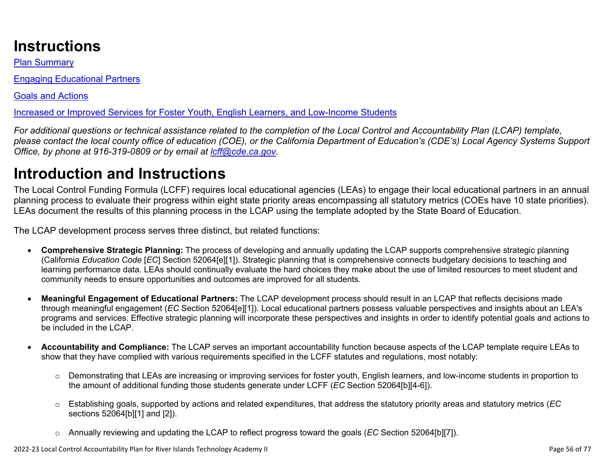# **Instructions**

Plan Summary

Engaging Educational Partners

Goals and Actions

Increased or Improved Services for Foster Youth, English Learners, and Low-Income Students

*For additional questions or technical assistance related to the completion of the Local Control and Accountability Plan (LCAP) template, please contact the local county office of education (COE), or the California Department of Education's (CDE's) Local Agency Systems Support Office, by phone at 916-319-0809 or by email at [lcff@cde.ca.gov](mailto:lcff@cde.ca.gov).*

# **Introduction and Instructions**

The Local Control Funding Formula (LCFF) requires local educational agencies (LEAs) to engage their local educational partners in an annual planning process to evaluate their progress within eight state priority areas encompassing all statutory metrics (COEs have 10 state priorities). LEAs document the results of this planning process in the LCAP using the template adopted by the State Board of Education.

The LCAP development process serves three distinct, but related functions:

- **Comprehensive Strategic Planning:** The process of developing and annually updating the LCAP supports comprehensive strategic planning (California *Education Code* [*EC*] Section 52064[e][1]). Strategic planning that is comprehensive connects budgetary decisions to teaching and learning performance data. LEAs should continually evaluate the hard choices they make about the use of limited resources to meet student and community needs to ensure opportunities and outcomes are improved for all students.
- **Meaningful Engagement of Educational Partners:** The LCAP development process should result in an LCAP that reflects decisions made through meaningful engagement (*EC* Section 52064[e][1]). Local educational partners possess valuable perspectives and insights about an LEA's programs and services. Effective strategic planning will incorporate these perspectives and insights in order to identify potential goals and actions to be included in the LCAP.
- **Accountability and Compliance:** The LCAP serves an important accountability function because aspects of the LCAP template require LEAs to show that they have complied with various requirements specified in the LCFF statutes and regulations, most notably:
	- o Demonstrating that LEAs are increasing or improving services for foster youth, English learners, and low-income students in proportion to the amount of additional funding those students generate under LCFF (*EC* Section 52064[b][4-6]).
	- o Establishing goals, supported by actions and related expenditures, that address the statutory priority areas and statutory metrics (*EC* sections 52064[b][1] and [2]).
	- o Annually reviewing and updating the LCAP to reflect progress toward the goals (*EC* Section 52064[b][7]).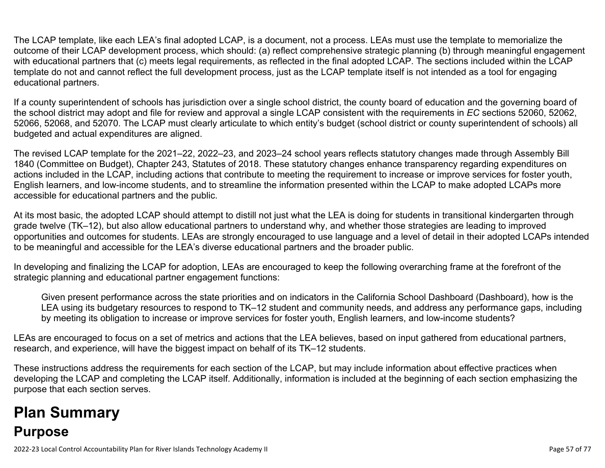The LCAP template, like each LEA's final adopted LCAP, is a document, not a process. LEAs must use the template to memorialize the outcome of their LCAP development process, which should: (a) reflect comprehensive strategic planning (b) through meaningful engagement with educational partners that (c) meets legal requirements, as reflected in the final adopted LCAP. The sections included within the LCAP template do not and cannot reflect the full development process, just as the LCAP template itself is not intended as a tool for engaging educational partners.

If a county superintendent of schools has jurisdiction over a single school district, the county board of education and the governing board of the school district may adopt and file for review and approval a single LCAP consistent with the requirements in *EC* sections 52060, 52062, 52066, 52068, and 52070. The LCAP must clearly articulate to which entity's budget (school district or county superintendent of schools) all budgeted and actual expenditures are aligned.

The revised LCAP template for the 2021–22, 2022–23, and 2023–24 school years reflects statutory changes made through Assembly Bill 1840 (Committee on Budget), Chapter 243, Statutes of 2018. These statutory changes enhance transparency regarding expenditures on actions included in the LCAP, including actions that contribute to meeting the requirement to increase or improve services for foster youth, English learners, and low-income students, and to streamline the information presented within the LCAP to make adopted LCAPs more accessible for educational partners and the public.

At its most basic, the adopted LCAP should attempt to distill not just what the LEA is doing for students in transitional kindergarten through grade twelve (TK–12), but also allow educational partners to understand why, and whether those strategies are leading to improved opportunities and outcomes for students. LEAs are strongly encouraged to use language and a level of detail in their adopted LCAPs intended to be meaningful and accessible for the LEA's diverse educational partners and the broader public.

In developing and finalizing the LCAP for adoption, LEAs are encouraged to keep the following overarching frame at the forefront of the strategic planning and educational partner engagement functions:

Given present performance across the state priorities and on indicators in the California School Dashboard (Dashboard), how is the LEA using its budgetary resources to respond to TK–12 student and community needs, and address any performance gaps, including by meeting its obligation to increase or improve services for foster youth, English learners, and low-income students?

LEAs are encouraged to focus on a set of metrics and actions that the LEA believes, based on input gathered from educational partners, research, and experience, will have the biggest impact on behalf of its TK–12 students.

These instructions address the requirements for each section of the LCAP, but may include information about effective practices when developing the LCAP and completing the LCAP itself. Additionally, information is included at the beginning of each section emphasizing the purpose that each section serves.

# **Plan Summary Purpose**

2022-23 Local Control Accountability Plan for River Islands Technology Academy II Page 57 of 77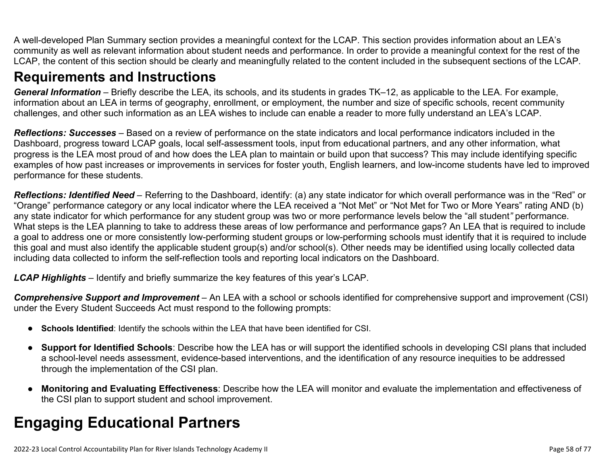A well-developed Plan Summary section provides a meaningful context for the LCAP. This section provides information about an LEA's community as well as relevant information about student needs and performance. In order to provide a meaningful context for the rest of the LCAP, the content of this section should be clearly and meaningfully related to the content included in the subsequent sections of the LCAP.

### **Requirements and Instructions**

*General Information* – Briefly describe the LEA, its schools, and its students in grades TK–12, as applicable to the LEA. For example, information about an LEA in terms of geography, enrollment, or employment, the number and size of specific schools, recent community challenges, and other such information as an LEA wishes to include can enable a reader to more fully understand an LEA's LCAP.

*Reflections: Successes* – Based on a review of performance on the state indicators and local performance indicators included in the Dashboard, progress toward LCAP goals, local self-assessment tools, input from educational partners, and any other information, what progress is the LEA most proud of and how does the LEA plan to maintain or build upon that success? This may include identifying specific examples of how past increases or improvements in services for foster youth, English learners, and low-income students have led to improved performance for these students.

*Reflections: Identified Need* – Referring to the Dashboard, identify: (a) any state indicator for which overall performance was in the "Red" or "Orange" performance category or any local indicator where the LEA received a "Not Met" or "Not Met for Two or More Years" rating AND (b) any state indicator for which performance for any student group was two or more performance levels below the "all student*"* performance. What steps is the LEA planning to take to address these areas of low performance and performance gaps? An LEA that is required to include a goal to address one or more consistently low-performing student groups or low-performing schools must identify that it is required to include this goal and must also identify the applicable student group(s) and/or school(s). Other needs may be identified using locally collected data including data collected to inform the self-reflection tools and reporting local indicators on the Dashboard.

*LCAP Highlights* – Identify and briefly summarize the key features of this year's LCAP.

*Comprehensive Support and Improvement* – An LEA with a school or schools identified for comprehensive support and improvement (CSI) under the Every Student Succeeds Act must respond to the following prompts:

- **Schools Identified**: Identify the schools within the LEA that have been identified for CSI.
- **Support for Identified Schools**: Describe how the LEA has or will support the identified schools in developing CSI plans that included a school-level needs assessment, evidence-based interventions, and the identification of any resource inequities to be addressed through the implementation of the CSI plan.
- **Monitoring and Evaluating Effectiveness**: Describe how the LEA will monitor and evaluate the implementation and effectiveness of the CSI plan to support student and school improvement.

# **Engaging Educational Partners**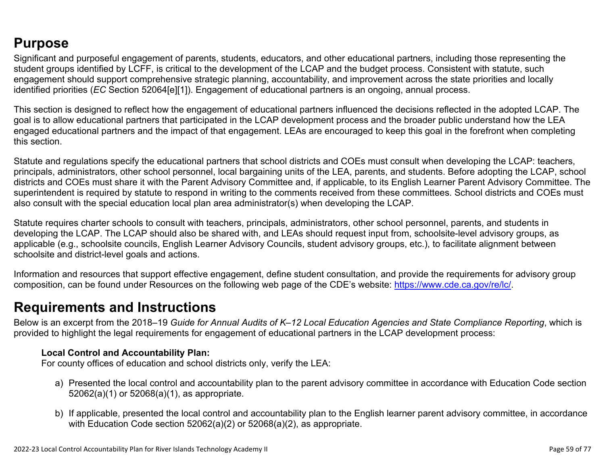## **Purpose**

Significant and purposeful engagement of parents, students, educators, and other educational partners, including those representing the student groups identified by LCFF, is critical to the development of the LCAP and the budget process. Consistent with statute, such engagement should support comprehensive strategic planning, accountability, and improvement across the state priorities and locally identified priorities (*EC* Section 52064[e][1]). Engagement of educational partners is an ongoing, annual process.

This section is designed to reflect how the engagement of educational partners influenced the decisions reflected in the adopted LCAP. The goal is to allow educational partners that participated in the LCAP development process and the broader public understand how the LEA engaged educational partners and the impact of that engagement. LEAs are encouraged to keep this goal in the forefront when completing this section.

Statute and regulations specify the educational partners that school districts and COEs must consult when developing the LCAP: teachers, principals, administrators, other school personnel, local bargaining units of the LEA, parents, and students. Before adopting the LCAP, school districts and COEs must share it with the Parent Advisory Committee and, if applicable, to its English Learner Parent Advisory Committee. The superintendent is required by statute to respond in writing to the comments received from these committees. School districts and COEs must also consult with the special education local plan area administrator(s) when developing the LCAP.

Statute requires charter schools to consult with teachers, principals, administrators, other school personnel, parents, and students in developing the LCAP. The LCAP should also be shared with, and LEAs should request input from, schoolsite-level advisory groups, as applicable (e.g., schoolsite councils, English Learner Advisory Councils, student advisory groups, etc.), to facilitate alignment between schoolsite and district-level goals and actions.

Information and resources that support effective engagement, define student consultation, and provide the requirements for advisory group composition, can be found under Resources on the following web page of the CDE's website: <https://www.cde.ca.gov/re/lc/>.

### **Requirements and Instructions**

Below is an excerpt from the 2018–19 *Guide for Annual Audits of K–12 Local Education Agencies and State Compliance Reporting*, which is provided to highlight the legal requirements for engagement of educational partners in the LCAP development process:

### **Local Control and Accountability Plan:**

For county offices of education and school districts only, verify the LEA:

- a) Presented the local control and accountability plan to the parent advisory committee in accordance with Education Code section 52062(a)(1) or 52068(a)(1), as appropriate.
- b) If applicable, presented the local control and accountability plan to the English learner parent advisory committee, in accordance with Education Code section 52062(a)(2) or 52068(a)(2), as appropriate.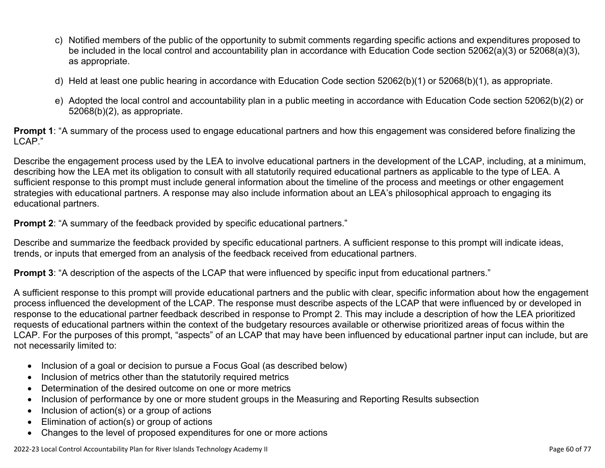- c) Notified members of the public of the opportunity to submit comments regarding specific actions and expenditures proposed to be included in the local control and accountability plan in accordance with Education Code section 52062(a)(3) or 52068(a)(3), as appropriate.
- d) Held at least one public hearing in accordance with Education Code section 52062(b)(1) or 52068(b)(1), as appropriate.
- e) Adopted the local control and accountability plan in a public meeting in accordance with Education Code section 52062(b)(2) or 52068(b)(2), as appropriate.

**Prompt 1**: "A summary of the process used to engage educational partners and how this engagement was considered before finalizing the LCAP."

Describe the engagement process used by the LEA to involve educational partners in the development of the LCAP, including, at a minimum, describing how the LEA met its obligation to consult with all statutorily required educational partners as applicable to the type of LEA. A sufficient response to this prompt must include general information about the timeline of the process and meetings or other engagement strategies with educational partners. A response may also include information about an LEA's philosophical approach to engaging its educational partners.

**Prompt 2:** "A summary of the feedback provided by specific educational partners."

Describe and summarize the feedback provided by specific educational partners. A sufficient response to this prompt will indicate ideas, trends, or inputs that emerged from an analysis of the feedback received from educational partners.

**Prompt 3**: "A description of the aspects of the LCAP that were influenced by specific input from educational partners."

A sufficient response to this prompt will provide educational partners and the public with clear, specific information about how the engagement process influenced the development of the LCAP. The response must describe aspects of the LCAP that were influenced by or developed in response to the educational partner feedback described in response to Prompt 2. This may include a description of how the LEA prioritized requests of educational partners within the context of the budgetary resources available or otherwise prioritized areas of focus within the LCAP. For the purposes of this prompt, "aspects" of an LCAP that may have been influenced by educational partner input can include, but are not necessarily limited to:

- Inclusion of a goal or decision to pursue a Focus Goal (as described below)
- Inclusion of metrics other than the statutorily required metrics
- Determination of the desired outcome on one or more metrics
- Inclusion of performance by one or more student groups in the Measuring and Reporting Results subsection
- Inclusion of action(s) or a group of actions
- Elimination of action(s) or group of actions
- Changes to the level of proposed expenditures for one or more actions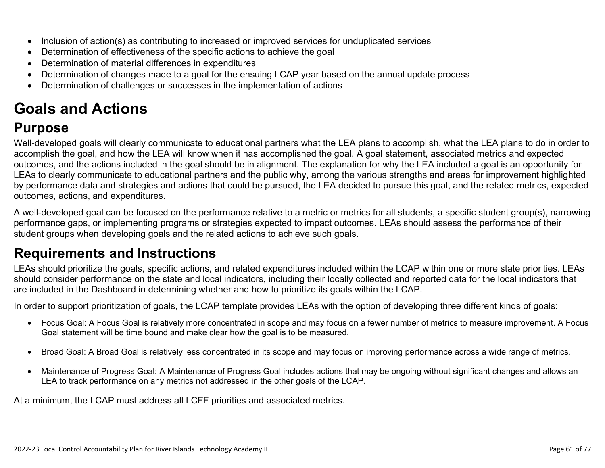- Inclusion of action(s) as contributing to increased or improved services for unduplicated services
- Determination of effectiveness of the specific actions to achieve the goal
- Determination of material differences in expenditures
- Determination of changes made to a goal for the ensuing LCAP year based on the annual update process
- Determination of challenges or successes in the implementation of actions

# **Goals and Actions**

## **Purpose**

Well-developed goals will clearly communicate to educational partners what the LEA plans to accomplish, what the LEA plans to do in order to accomplish the goal, and how the LEA will know when it has accomplished the goal. A goal statement, associated metrics and expected outcomes, and the actions included in the goal should be in alignment. The explanation for why the LEA included a goal is an opportunity for LEAs to clearly communicate to educational partners and the public why, among the various strengths and areas for improvement highlighted by performance data and strategies and actions that could be pursued, the LEA decided to pursue this goal, and the related metrics, expected outcomes, actions, and expenditures.

A well-developed goal can be focused on the performance relative to a metric or metrics for all students, a specific student group(s), narrowing performance gaps, or implementing programs or strategies expected to impact outcomes. LEAs should assess the performance of their student groups when developing goals and the related actions to achieve such goals.

## **Requirements and Instructions**

LEAs should prioritize the goals, specific actions, and related expenditures included within the LCAP within one or more state priorities. LEAs should consider performance on the state and local indicators, including their locally collected and reported data for the local indicators that are included in the Dashboard in determining whether and how to prioritize its goals within the LCAP.

In order to support prioritization of goals, the LCAP template provides LEAs with the option of developing three different kinds of goals:

- Focus Goal: A Focus Goal is relatively more concentrated in scope and may focus on a fewer number of metrics to measure improvement. A Focus Goal statement will be time bound and make clear how the goal is to be measured.
- Broad Goal: A Broad Goal is relatively less concentrated in its scope and may focus on improving performance across a wide range of metrics.
- Maintenance of Progress Goal: A Maintenance of Progress Goal includes actions that may be ongoing without significant changes and allows an LEA to track performance on any metrics not addressed in the other goals of the LCAP.

At a minimum, the LCAP must address all LCFF priorities and associated metrics.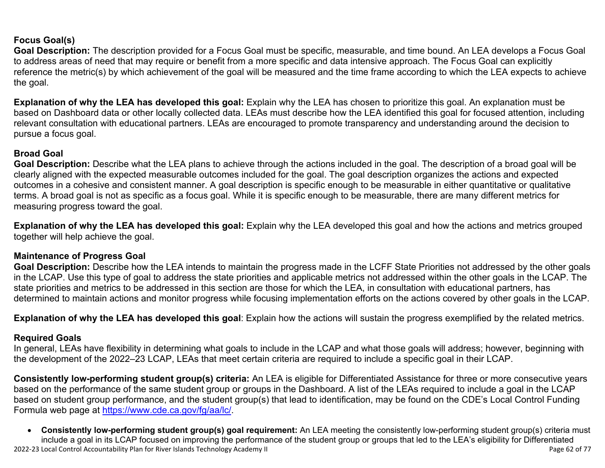### **Focus Goal(s)**

**Goal Description:** The description provided for a Focus Goal must be specific, measurable, and time bound. An LEA develops a Focus Goal to address areas of need that may require or benefit from a more specific and data intensive approach. The Focus Goal can explicitly reference the metric(s) by which achievement of the goal will be measured and the time frame according to which the LEA expects to achieve the goal.

**Explanation of why the LEA has developed this goal:** Explain why the LEA has chosen to prioritize this goal. An explanation must be based on Dashboard data or other locally collected data. LEAs must describe how the LEA identified this goal for focused attention, including relevant consultation with educational partners. LEAs are encouraged to promote transparency and understanding around the decision to pursue a focus goal.

#### **Broad Goal**

Goal Description: Describe what the LEA plans to achieve through the actions included in the goal. The description of a broad goal will be clearly aligned with the expected measurable outcomes included for the goal. The goal description organizes the actions and expected outcomes in a cohesive and consistent manner. A goal description is specific enough to be measurable in either quantitative or qualitative terms. A broad goal is not as specific as a focus goal. While it is specific enough to be measurable, there are many different metrics for measuring progress toward the goal.

**Explanation of why the LEA has developed this goal:** Explain why the LEA developed this goal and how the actions and metrics grouped together will help achieve the goal.

### **Maintenance of Progress Goal**

**Goal Description:** Describe how the LEA intends to maintain the progress made in the LCFF State Priorities not addressed by the other goals in the LCAP. Use this type of goal to address the state priorities and applicable metrics not addressed within the other goals in the LCAP. The state priorities and metrics to be addressed in this section are those for which the LEA, in consultation with educational partners, has determined to maintain actions and monitor progress while focusing implementation efforts on the actions covered by other goals in the LCAP.

**Explanation of why the LEA has developed this goal**: Explain how the actions will sustain the progress exemplified by the related metrics.

#### **Required Goals**

In general, LEAs have flexibility in determining what goals to include in the LCAP and what those goals will address; however, beginning with the development of the 2022–23 LCAP, LEAs that meet certain criteria are required to include a specific goal in their LCAP.

**Consistently low-performing student group(s) criteria:** An LEA is eligible for Differentiated Assistance for three or more consecutive years based on the performance of the same student group or groups in the Dashboard. A list of the LEAs required to include a goal in the LCAP based on student group performance, and the student group(s) that lead to identification, may be found on the CDE's Local Control Funding Formula web page at [https://www.cde.ca.gov/fg/aa/lc/.](https://www.cde.ca.gov/fg/aa/lc/)

2022-23 Local Control Accountability Plan for River Islands Technology Academy II Page 62 of 77 • **Consistently low-performing student group(s) goal requirement:** An LEA meeting the consistently low-performing student group(s) criteria must include a goal in its LCAP focused on improving the performance of the student group or groups that led to the LEA's eligibility for Differentiated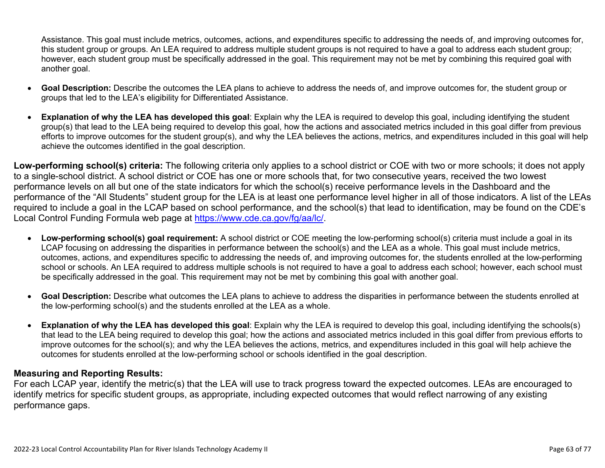Assistance. This goal must include metrics, outcomes, actions, and expenditures specific to addressing the needs of, and improving outcomes for, this student group or groups. An LEA required to address multiple student groups is not required to have a goal to address each student group; however, each student group must be specifically addressed in the goal. This requirement may not be met by combining this required goal with another goal.

- **Goal Description:** Describe the outcomes the LEA plans to achieve to address the needs of, and improve outcomes for, the student group or groups that led to the LEA's eligibility for Differentiated Assistance.
- **Explanation of why the LEA has developed this goal**: Explain why the LEA is required to develop this goal, including identifying the student group(s) that lead to the LEA being required to develop this goal, how the actions and associated metrics included in this goal differ from previous efforts to improve outcomes for the student group(s), and why the LEA believes the actions, metrics, and expenditures included in this goal will help achieve the outcomes identified in the goal description.

**Low-performing school(s) criteria:** The following criteria only applies to a school district or COE with two or more schools; it does not apply to a single-school district. A school district or COE has one or more schools that, for two consecutive years, received the two lowest performance levels on all but one of the state indicators for which the school(s) receive performance levels in the Dashboard and the performance of the "All Students" student group for the LEA is at least one performance level higher in all of those indicators. A list of the LEAs required to include a goal in the LCAP based on school performance, and the school(s) that lead to identification, may be found on the CDE's Local Control Funding Formula web page at [https://www.cde.ca.gov/fg/aa/lc/.](https://www.cde.ca.gov/fg/aa/lc/)

- **Low-performing school(s) goal requirement:** A school district or COE meeting the low-performing school(s) criteria must include a goal in its LCAP focusing on addressing the disparities in performance between the school(s) and the LEA as a whole. This goal must include metrics, outcomes, actions, and expenditures specific to addressing the needs of, and improving outcomes for, the students enrolled at the low-performing school or schools. An LEA required to address multiple schools is not required to have a goal to address each school; however, each school must be specifically addressed in the goal. This requirement may not be met by combining this goal with another goal.
- **Goal Description:** Describe what outcomes the LEA plans to achieve to address the disparities in performance between the students enrolled at the low-performing school(s) and the students enrolled at the LEA as a whole.
- **Explanation of why the LEA has developed this goal**: Explain why the LEA is required to develop this goal, including identifying the schools(s) that lead to the LEA being required to develop this goal; how the actions and associated metrics included in this goal differ from previous efforts to improve outcomes for the school(s); and why the LEA believes the actions, metrics, and expenditures included in this goal will help achieve the outcomes for students enrolled at the low-performing school or schools identified in the goal description.

### **Measuring and Reporting Results:**

For each LCAP year, identify the metric(s) that the LEA will use to track progress toward the expected outcomes. LEAs are encouraged to identify metrics for specific student groups, as appropriate, including expected outcomes that would reflect narrowing of any existing performance gaps.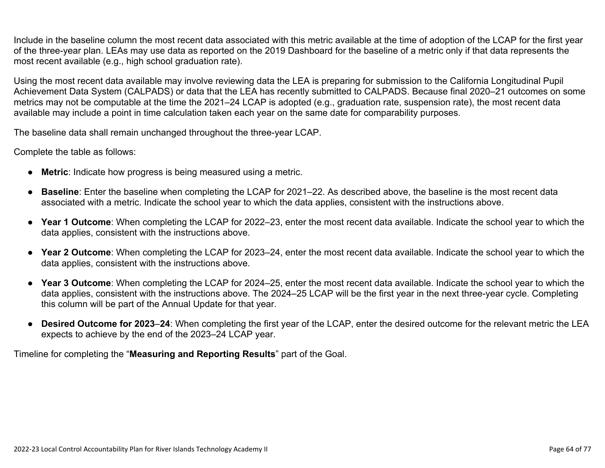Include in the baseline column the most recent data associated with this metric available at the time of adoption of the LCAP for the first year of the three-year plan. LEAs may use data as reported on the 2019 Dashboard for the baseline of a metric only if that data represents the most recent available (e.g., high school graduation rate).

Using the most recent data available may involve reviewing data the LEA is preparing for submission to the California Longitudinal Pupil Achievement Data System (CALPADS) or data that the LEA has recently submitted to CALPADS. Because final 2020–21 outcomes on some metrics may not be computable at the time the 2021–24 LCAP is adopted (e.g., graduation rate, suspension rate), the most recent data available may include a point in time calculation taken each year on the same date for comparability purposes.

The baseline data shall remain unchanged throughout the three-year LCAP.

Complete the table as follows:

- **Metric**: Indicate how progress is being measured using a metric.
- **Baseline**: Enter the baseline when completing the LCAP for 2021–22. As described above, the baseline is the most recent data associated with a metric. Indicate the school year to which the data applies, consistent with the instructions above.
- **Year 1 Outcome**: When completing the LCAP for 2022–23, enter the most recent data available. Indicate the school year to which the data applies, consistent with the instructions above.
- **Year 2 Outcome**: When completing the LCAP for 2023–24, enter the most recent data available. Indicate the school year to which the data applies, consistent with the instructions above.
- **Year 3 Outcome**: When completing the LCAP for 2024–25, enter the most recent data available. Indicate the school year to which the data applies, consistent with the instructions above. The 2024–25 LCAP will be the first year in the next three-year cycle. Completing this column will be part of the Annual Update for that year.
- **Desired Outcome for 2023**–**24**: When completing the first year of the LCAP, enter the desired outcome for the relevant metric the LEA expects to achieve by the end of the 2023–24 LCAP year.

Timeline for completing the "**Measuring and Reporting Results**" part of the Goal.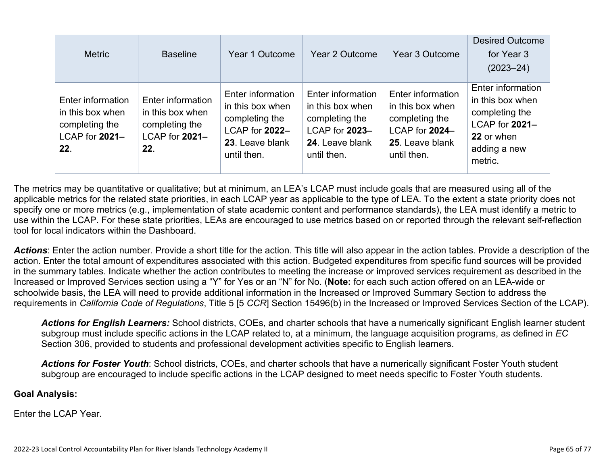| <b>Metric</b>                                                                    | <b>Baseline</b>                                                                  | Year 1 Outcome                                                                                              | Year 2 Outcome                                                                                              | Year 3 Outcome                                                                                              | <b>Desired Outcome</b><br>for Year 3<br>$(2023 - 24)$                                                              |
|----------------------------------------------------------------------------------|----------------------------------------------------------------------------------|-------------------------------------------------------------------------------------------------------------|-------------------------------------------------------------------------------------------------------------|-------------------------------------------------------------------------------------------------------------|--------------------------------------------------------------------------------------------------------------------|
| Enter information<br>in this box when<br>completing the<br>LCAP for 2021-<br>22. | Enter information<br>in this box when<br>completing the<br>LCAP for 2021-<br>22. | Enter information<br>in this box when<br>completing the<br>LCAP for 2022-<br>23. Leave blank<br>until then. | Enter information<br>in this box when<br>completing the<br>LCAP for 2023-<br>24. Leave blank<br>until then. | Enter information<br>in this box when<br>completing the<br>LCAP for 2024-<br>25. Leave blank<br>until then. | Enter information<br>in this box when<br>completing the<br>LCAP for 2021-<br>22 or when<br>adding a new<br>metric. |

The metrics may be quantitative or qualitative; but at minimum, an LEA's LCAP must include goals that are measured using all of the applicable metrics for the related state priorities, in each LCAP year as applicable to the type of LEA. To the extent a state priority does not specify one or more metrics (e.g., implementation of state academic content and performance standards), the LEA must identify a metric to use within the LCAP. For these state priorities, LEAs are encouraged to use metrics based on or reported through the relevant self-reflection tool for local indicators within the Dashboard.

*Actions*: Enter the action number. Provide a short title for the action. This title will also appear in the action tables. Provide a description of the action. Enter the total amount of expenditures associated with this action. Budgeted expenditures from specific fund sources will be provided in the summary tables. Indicate whether the action contributes to meeting the increase or improved services requirement as described in the Increased or Improved Services section using a "Y" for Yes or an "N" for No. (**Note:** for each such action offered on an LEA-wide or schoolwide basis, the LEA will need to provide additional information in the Increased or Improved Summary Section to address the requirements in *California Code of Regulations*, Title 5 [5 *CCR*] Section 15496(b) in the Increased or Improved Services Section of the LCAP).

*Actions for English Learners:* School districts, COEs, and charter schools that have a numerically significant English learner student subgroup must include specific actions in the LCAP related to, at a minimum, the language acquisition programs, as defined in *EC* Section 306, provided to students and professional development activities specific to English learners.

*Actions for Foster Youth*: School districts, COEs, and charter schools that have a numerically significant Foster Youth student subgroup are encouraged to include specific actions in the LCAP designed to meet needs specific to Foster Youth students.

#### **Goal Analysis:**

Enter the LCAP Year.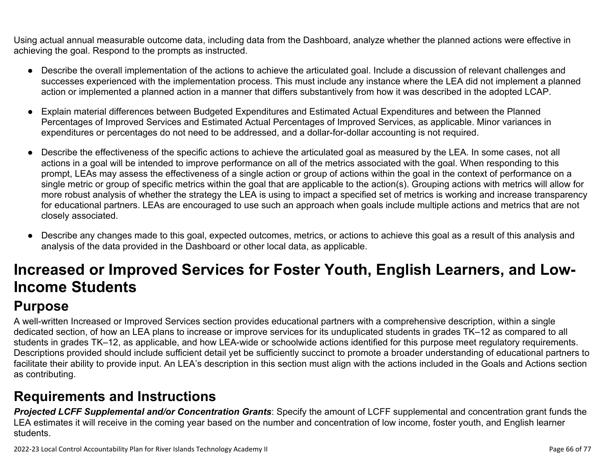Using actual annual measurable outcome data, including data from the Dashboard, analyze whether the planned actions were effective in achieving the goal. Respond to the prompts as instructed.

- Describe the overall implementation of the actions to achieve the articulated goal. Include a discussion of relevant challenges and successes experienced with the implementation process. This must include any instance where the LEA did not implement a planned action or implemented a planned action in a manner that differs substantively from how it was described in the adopted LCAP.
- Explain material differences between Budgeted Expenditures and Estimated Actual Expenditures and between the Planned Percentages of Improved Services and Estimated Actual Percentages of Improved Services, as applicable. Minor variances in expenditures or percentages do not need to be addressed, and a dollar-for-dollar accounting is not required.
- Describe the effectiveness of the specific actions to achieve the articulated goal as measured by the LEA. In some cases, not all actions in a goal will be intended to improve performance on all of the metrics associated with the goal. When responding to this prompt, LEAs may assess the effectiveness of a single action or group of actions within the goal in the context of performance on a single metric or group of specific metrics within the goal that are applicable to the action(s). Grouping actions with metrics will allow for more robust analysis of whether the strategy the LEA is using to impact a specified set of metrics is working and increase transparency for educational partners. LEAs are encouraged to use such an approach when goals include multiple actions and metrics that are not closely associated.
- Describe any changes made to this goal, expected outcomes, metrics, or actions to achieve this goal as a result of this analysis and analysis of the data provided in the Dashboard or other local data, as applicable.

# **Increased or Improved Services for Foster Youth, English Learners, and Low-Income Students**

## **Purpose**

A well-written Increased or Improved Services section provides educational partners with a comprehensive description, within a single dedicated section, of how an LEA plans to increase or improve services for its unduplicated students in grades TK–12 as compared to all students in grades TK–12, as applicable, and how LEA-wide or schoolwide actions identified for this purpose meet regulatory requirements. Descriptions provided should include sufficient detail yet be sufficiently succinct to promote a broader understanding of educational partners to facilitate their ability to provide input. An LEA's description in this section must align with the actions included in the Goals and Actions section as contributing.

## **Requirements and Instructions**

*Projected LCFF Supplemental and/or Concentration Grants*: Specify the amount of LCFF supplemental and concentration grant funds the LEA estimates it will receive in the coming year based on the number and concentration of low income, foster youth, and English learner students.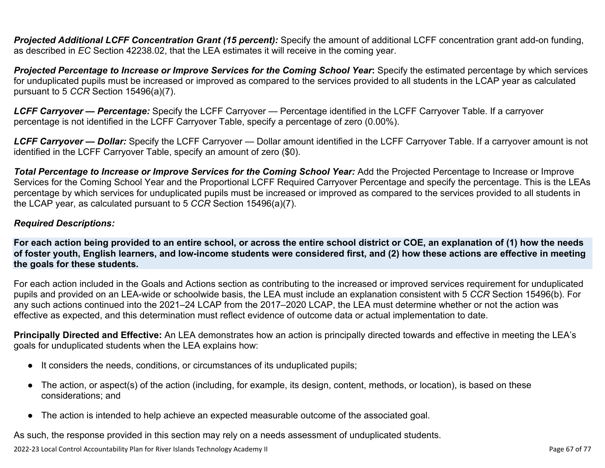**Projected Additional LCFF Concentration Grant (15 percent):** Specify the amount of additional LCFF concentration grant add-on funding, as described in *EC* Section 42238.02, that the LEA estimates it will receive in the coming year.

*Projected Percentage to Increase or Improve Services for the Coming School Year***:** Specify the estimated percentage by which services for unduplicated pupils must be increased or improved as compared to the services provided to all students in the LCAP year as calculated pursuant to 5 *CCR* Section 15496(a)(7).

*LCFF Carryover — Percentage:* Specify the LCFF Carryover — Percentage identified in the LCFF Carryover Table. If a carryover percentage is not identified in the LCFF Carryover Table, specify a percentage of zero (0.00%).

*LCFF Carryover — Dollar:* Specify the LCFF Carryover — Dollar amount identified in the LCFF Carryover Table. If a carryover amount is not identified in the LCFF Carryover Table, specify an amount of zero (\$0).

**Total Percentage to Increase or Improve Services for the Coming School Year:** Add the Projected Percentage to Increase or Improve Services for the Coming School Year and the Proportional LCFF Required Carryover Percentage and specify the percentage. This is the LEAs percentage by which services for unduplicated pupils must be increased or improved as compared to the services provided to all students in the LCAP year, as calculated pursuant to 5 *CCR* Section 15496(a)(7).

#### *Required Descriptions:*

**For each action being provided to an entire school, or across the entire school district or COE, an explanation of (1) how the needs of foster youth, English learners, and low-income students were considered first, and (2) how these actions are effective in meeting the goals for these students.**

For each action included in the Goals and Actions section as contributing to the increased or improved services requirement for unduplicated pupils and provided on an LEA-wide or schoolwide basis, the LEA must include an explanation consistent with 5 *CCR* Section 15496(b). For any such actions continued into the 2021–24 LCAP from the 2017–2020 LCAP, the LEA must determine whether or not the action was effective as expected, and this determination must reflect evidence of outcome data or actual implementation to date.

**Principally Directed and Effective:** An LEA demonstrates how an action is principally directed towards and effective in meeting the LEA's goals for unduplicated students when the LEA explains how:

- It considers the needs, conditions, or circumstances of its unduplicated pupils;
- The action, or aspect(s) of the action (including, for example, its design, content, methods, or location), is based on these considerations; and
- The action is intended to help achieve an expected measurable outcome of the associated goal.

As such, the response provided in this section may rely on a needs assessment of unduplicated students.

2022-23 Local Control Accountability Plan for River Islands Technology Academy II Page 67 of 77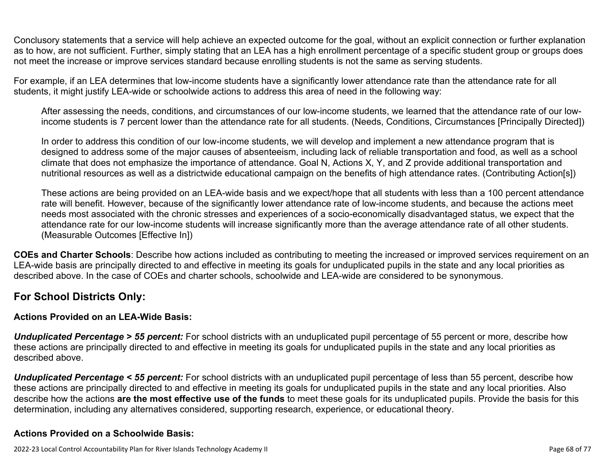Conclusory statements that a service will help achieve an expected outcome for the goal, without an explicit connection or further explanation as to how, are not sufficient. Further, simply stating that an LEA has a high enrollment percentage of a specific student group or groups does not meet the increase or improve services standard because enrolling students is not the same as serving students.

For example, if an LEA determines that low-income students have a significantly lower attendance rate than the attendance rate for all students, it might justify LEA-wide or schoolwide actions to address this area of need in the following way:

After assessing the needs, conditions, and circumstances of our low-income students, we learned that the attendance rate of our lowincome students is 7 percent lower than the attendance rate for all students. (Needs, Conditions, Circumstances [Principally Directed])

In order to address this condition of our low-income students, we will develop and implement a new attendance program that is designed to address some of the major causes of absenteeism, including lack of reliable transportation and food, as well as a school climate that does not emphasize the importance of attendance. Goal N, Actions X, Y, and Z provide additional transportation and nutritional resources as well as a districtwide educational campaign on the benefits of high attendance rates. (Contributing Action[s])

These actions are being provided on an LEA-wide basis and we expect/hope that all students with less than a 100 percent attendance rate will benefit. However, because of the significantly lower attendance rate of low-income students, and because the actions meet needs most associated with the chronic stresses and experiences of a socio-economically disadvantaged status, we expect that the attendance rate for our low-income students will increase significantly more than the average attendance rate of all other students. (Measurable Outcomes [Effective In])

**COEs and Charter Schools**: Describe how actions included as contributing to meeting the increased or improved services requirement on an LEA-wide basis are principally directed to and effective in meeting its goals for unduplicated pupils in the state and any local priorities as described above. In the case of COEs and charter schools, schoolwide and LEA-wide are considered to be synonymous.

### **For School Districts Only:**

### **Actions Provided on an LEA-Wide Basis:**

*Unduplicated Percentage > 55 percent:* For school districts with an unduplicated pupil percentage of 55 percent or more, describe how these actions are principally directed to and effective in meeting its goals for unduplicated pupils in the state and any local priorities as described above.

*Unduplicated Percentage < 55 percent:* For school districts with an unduplicated pupil percentage of less than 55 percent, describe how these actions are principally directed to and effective in meeting its goals for unduplicated pupils in the state and any local priorities. Also describe how the actions **are the most effective use of the funds** to meet these goals for its unduplicated pupils. Provide the basis for this determination, including any alternatives considered, supporting research, experience, or educational theory.

### **Actions Provided on a Schoolwide Basis:**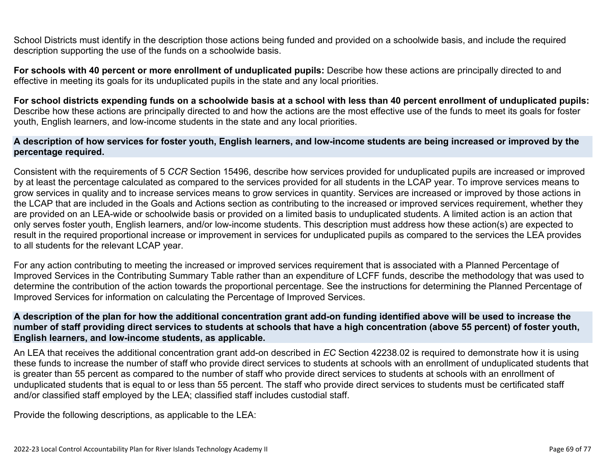School Districts must identify in the description those actions being funded and provided on a schoolwide basis, and include the required description supporting the use of the funds on a schoolwide basis.

**For schools with 40 percent or more enrollment of unduplicated pupils:** Describe how these actions are principally directed to and effective in meeting its goals for its unduplicated pupils in the state and any local priorities.

**For school districts expending funds on a schoolwide basis at a school with less than 40 percent enrollment of unduplicated pupils:** Describe how these actions are principally directed to and how the actions are the most effective use of the funds to meet its goals for foster youth, English learners, and low-income students in the state and any local priorities.

#### **A description of how services for foster youth, English learners, and low-income students are being increased or improved by the percentage required.**

Consistent with the requirements of 5 *CCR* Section 15496, describe how services provided for unduplicated pupils are increased or improved by at least the percentage calculated as compared to the services provided for all students in the LCAP year. To improve services means to grow services in quality and to increase services means to grow services in quantity. Services are increased or improved by those actions in the LCAP that are included in the Goals and Actions section as contributing to the increased or improved services requirement, whether they are provided on an LEA-wide or schoolwide basis or provided on a limited basis to unduplicated students. A limited action is an action that only serves foster youth, English learners, and/or low-income students. This description must address how these action(s) are expected to result in the required proportional increase or improvement in services for unduplicated pupils as compared to the services the LEA provides to all students for the relevant LCAP year.

For any action contributing to meeting the increased or improved services requirement that is associated with a Planned Percentage of Improved Services in the Contributing Summary Table rather than an expenditure of LCFF funds, describe the methodology that was used to determine the contribution of the action towards the proportional percentage. See the instructions for determining the Planned Percentage of Improved Services for information on calculating the Percentage of Improved Services.

#### **A description of the plan for how the additional concentration grant add-on funding identified above will be used to increase the number of staff providing direct services to students at schools that have a high concentration (above 55 percent) of foster youth, English learners, and low-income students, as applicable.**

An LEA that receives the additional concentration grant add-on described in *EC* Section 42238.02 is required to demonstrate how it is using these funds to increase the number of staff who provide direct services to students at schools with an enrollment of unduplicated students that is greater than 55 percent as compared to the number of staff who provide direct services to students at schools with an enrollment of unduplicated students that is equal to or less than 55 percent. The staff who provide direct services to students must be certificated staff and/or classified staff employed by the LEA; classified staff includes custodial staff.

Provide the following descriptions, as applicable to the LEA: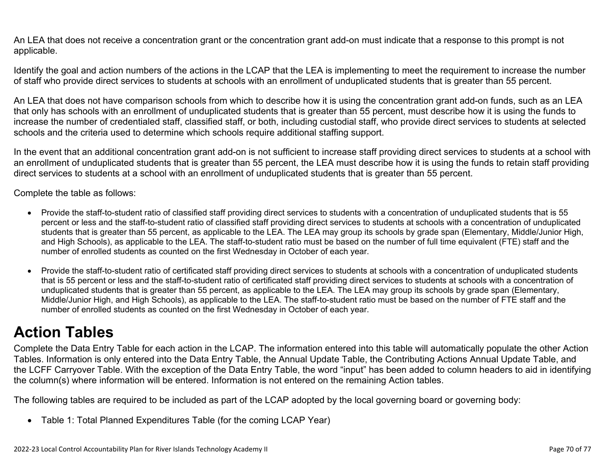An LEA that does not receive a concentration grant or the concentration grant add-on must indicate that a response to this prompt is not applicable.

Identify the goal and action numbers of the actions in the LCAP that the LEA is implementing to meet the requirement to increase the number of staff who provide direct services to students at schools with an enrollment of unduplicated students that is greater than 55 percent.

An LEA that does not have comparison schools from which to describe how it is using the concentration grant add-on funds, such as an LEA that only has schools with an enrollment of unduplicated students that is greater than 55 percent, must describe how it is using the funds to increase the number of credentialed staff, classified staff, or both, including custodial staff, who provide direct services to students at selected schools and the criteria used to determine which schools require additional staffing support.

In the event that an additional concentration grant add-on is not sufficient to increase staff providing direct services to students at a school with an enrollment of unduplicated students that is greater than 55 percent, the LEA must describe how it is using the funds to retain staff providing direct services to students at a school with an enrollment of unduplicated students that is greater than 55 percent.

Complete the table as follows:

- Provide the staff-to-student ratio of classified staff providing direct services to students with a concentration of unduplicated students that is 55 percent or less and the staff-to-student ratio of classified staff providing direct services to students at schools with a concentration of unduplicated students that is greater than 55 percent, as applicable to the LEA. The LEA may group its schools by grade span (Elementary, Middle/Junior High, and High Schools), as applicable to the LEA. The staff-to-student ratio must be based on the number of full time equivalent (FTE) staff and the number of enrolled students as counted on the first Wednesday in October of each year.
- Provide the staff-to-student ratio of certificated staff providing direct services to students at schools with a concentration of unduplicated students that is 55 percent or less and the staff-to-student ratio of certificated staff providing direct services to students at schools with a concentration of unduplicated students that is greater than 55 percent, as applicable to the LEA. The LEA may group its schools by grade span (Elementary, Middle/Junior High, and High Schools), as applicable to the LEA. The staff-to-student ratio must be based on the number of FTE staff and the number of enrolled students as counted on the first Wednesday in October of each year.

# **Action Tables**

Complete the Data Entry Table for each action in the LCAP. The information entered into this table will automatically populate the other Action Tables. Information is only entered into the Data Entry Table, the Annual Update Table, the Contributing Actions Annual Update Table, and the LCFF Carryover Table. With the exception of the Data Entry Table, the word "input" has been added to column headers to aid in identifying the column(s) where information will be entered. Information is not entered on the remaining Action tables.

The following tables are required to be included as part of the LCAP adopted by the local governing board or governing body:

• Table 1: Total Planned Expenditures Table (for the coming LCAP Year)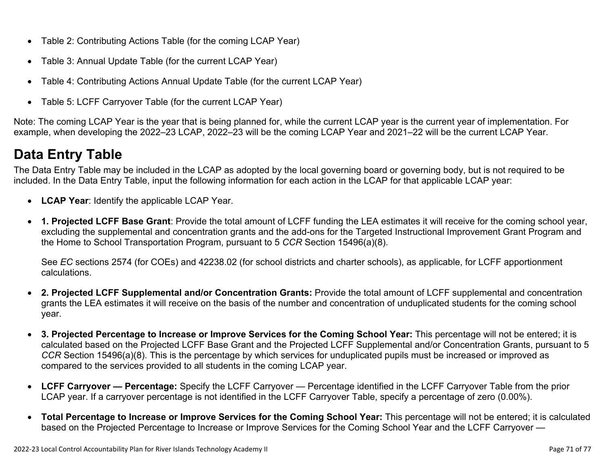- Table 2: Contributing Actions Table (for the coming LCAP Year)
- Table 3: Annual Update Table (for the current LCAP Year)
- Table 4: Contributing Actions Annual Update Table (for the current LCAP Year)
- Table 5: LCFF Carryover Table (for the current LCAP Year)

Note: The coming LCAP Year is the year that is being planned for, while the current LCAP year is the current year of implementation. For example, when developing the 2022–23 LCAP, 2022–23 will be the coming LCAP Year and 2021–22 will be the current LCAP Year.

## **Data Entry Table**

The Data Entry Table may be included in the LCAP as adopted by the local governing board or governing body, but is not required to be included. In the Data Entry Table, input the following information for each action in the LCAP for that applicable LCAP year:

- **LCAP Year**: Identify the applicable LCAP Year.
- **1. Projected LCFF Base Grant**: Provide the total amount of LCFF funding the LEA estimates it will receive for the coming school year, excluding the supplemental and concentration grants and the add-ons for the Targeted Instructional Improvement Grant Program and the Home to School Transportation Program, pursuant to 5 *CCR* Section 15496(a)(8).

See *EC* sections 2574 (for COEs) and 42238.02 (for school districts and charter schools), as applicable, for LCFF apportionment calculations.

- **2. Projected LCFF Supplemental and/or Concentration Grants:** Provide the total amount of LCFF supplemental and concentration grants the LEA estimates it will receive on the basis of the number and concentration of unduplicated students for the coming school year.
- **3. Projected Percentage to Increase or Improve Services for the Coming School Year:** This percentage will not be entered; it is calculated based on the Projected LCFF Base Grant and the Projected LCFF Supplemental and/or Concentration Grants, pursuant to 5 *CCR* Section 15496(a)(8). This is the percentage by which services for unduplicated pupils must be increased or improved as compared to the services provided to all students in the coming LCAP year.
- **LCFF Carryover Percentage:** Specify the LCFF Carryover Percentage identified in the LCFF Carryover Table from the prior LCAP year. If a carryover percentage is not identified in the LCFF Carryover Table, specify a percentage of zero (0.00%).
- **Total Percentage to Increase or Improve Services for the Coming School Year:** This percentage will not be entered; it is calculated based on the Projected Percentage to Increase or Improve Services for the Coming School Year and the LCFF Carryover —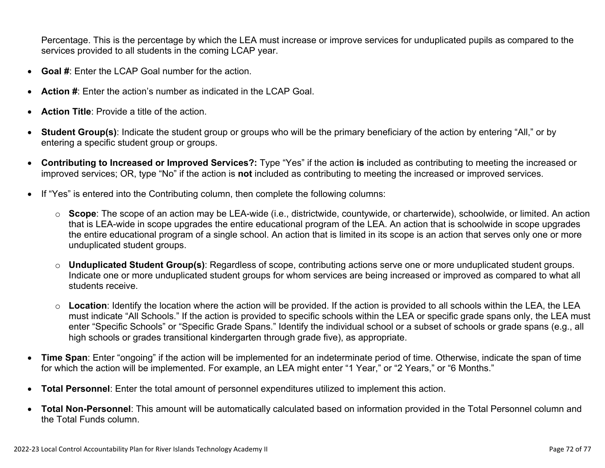Percentage. This is the percentage by which the LEA must increase or improve services for unduplicated pupils as compared to the services provided to all students in the coming LCAP year.

- **Goal #**: Enter the LCAP Goal number for the action.
- **Action #**: Enter the action's number as indicated in the LCAP Goal.
- **Action Title**: Provide a title of the action.
- **Student Group(s)**: Indicate the student group or groups who will be the primary beneficiary of the action by entering "All," or by entering a specific student group or groups.
- **Contributing to Increased or Improved Services?:** Type "Yes" if the action **is** included as contributing to meeting the increased or improved services; OR, type "No" if the action is **not** included as contributing to meeting the increased or improved services.
- If "Yes" is entered into the Contributing column, then complete the following columns:
	- o **Scope**: The scope of an action may be LEA-wide (i.e., districtwide, countywide, or charterwide), schoolwide, or limited. An action that is LEA-wide in scope upgrades the entire educational program of the LEA. An action that is schoolwide in scope upgrades the entire educational program of a single school. An action that is limited in its scope is an action that serves only one or more unduplicated student groups.
	- o **Unduplicated Student Group(s)**: Regardless of scope, contributing actions serve one or more unduplicated student groups. Indicate one or more unduplicated student groups for whom services are being increased or improved as compared to what all students receive.
	- o **Location**: Identify the location where the action will be provided. If the action is provided to all schools within the LEA, the LEA must indicate "All Schools." If the action is provided to specific schools within the LEA or specific grade spans only, the LEA must enter "Specific Schools" or "Specific Grade Spans." Identify the individual school or a subset of schools or grade spans (e.g., all high schools or grades transitional kindergarten through grade five), as appropriate.
- **Time Span**: Enter "ongoing" if the action will be implemented for an indeterminate period of time. Otherwise, indicate the span of time for which the action will be implemented. For example, an LEA might enter "1 Year," or "2 Years," or "6 Months."
- **Total Personnel**: Enter the total amount of personnel expenditures utilized to implement this action.
- **Total Non-Personnel**: This amount will be automatically calculated based on information provided in the Total Personnel column and the Total Funds column.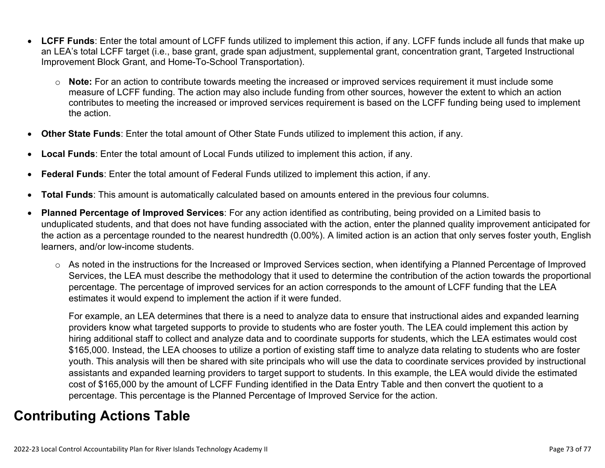- **LCFF Funds**: Enter the total amount of LCFF funds utilized to implement this action, if any. LCFF funds include all funds that make up an LEA's total LCFF target (i.e., base grant, grade span adjustment, supplemental grant, concentration grant, Targeted Instructional Improvement Block Grant, and Home-To-School Transportation).
	- o **Note:** For an action to contribute towards meeting the increased or improved services requirement it must include some measure of LCFF funding. The action may also include funding from other sources, however the extent to which an action contributes to meeting the increased or improved services requirement is based on the LCFF funding being used to implement the action.
- **Other State Funds**: Enter the total amount of Other State Funds utilized to implement this action, if any.
- **Local Funds**: Enter the total amount of Local Funds utilized to implement this action, if any.
- **Federal Funds**: Enter the total amount of Federal Funds utilized to implement this action, if any.
- **Total Funds**: This amount is automatically calculated based on amounts entered in the previous four columns.
- **Planned Percentage of Improved Services**: For any action identified as contributing, being provided on a Limited basis to unduplicated students, and that does not have funding associated with the action, enter the planned quality improvement anticipated for the action as a percentage rounded to the nearest hundredth (0.00%). A limited action is an action that only serves foster youth, English learners, and/or low-income students.
	- o As noted in the instructions for the Increased or Improved Services section, when identifying a Planned Percentage of Improved Services, the LEA must describe the methodology that it used to determine the contribution of the action towards the proportional percentage. The percentage of improved services for an action corresponds to the amount of LCFF funding that the LEA estimates it would expend to implement the action if it were funded.

For example, an LEA determines that there is a need to analyze data to ensure that instructional aides and expanded learning providers know what targeted supports to provide to students who are foster youth. The LEA could implement this action by hiring additional staff to collect and analyze data and to coordinate supports for students, which the LEA estimates would cost \$165,000. Instead, the LEA chooses to utilize a portion of existing staff time to analyze data relating to students who are foster youth. This analysis will then be shared with site principals who will use the data to coordinate services provided by instructional assistants and expanded learning providers to target support to students. In this example, the LEA would divide the estimated cost of \$165,000 by the amount of LCFF Funding identified in the Data Entry Table and then convert the quotient to a percentage. This percentage is the Planned Percentage of Improved Service for the action.

## **Contributing Actions Table**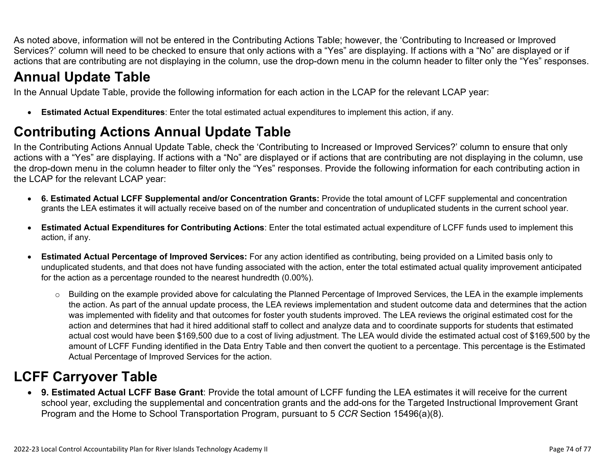As noted above, information will not be entered in the Contributing Actions Table; however, the 'Contributing to Increased or Improved Services?' column will need to be checked to ensure that only actions with a "Yes" are displaying. If actions with a "No" are displayed or if actions that are contributing are not displaying in the column, use the drop-down menu in the column header to filter only the "Yes" responses.

# **Annual Update Table**

In the Annual Update Table, provide the following information for each action in the LCAP for the relevant LCAP year:

• **Estimated Actual Expenditures**: Enter the total estimated actual expenditures to implement this action, if any.

# **Contributing Actions Annual Update Table**

In the Contributing Actions Annual Update Table, check the 'Contributing to Increased or Improved Services?' column to ensure that only actions with a "Yes" are displaying. If actions with a "No" are displayed or if actions that are contributing are not displaying in the column, use the drop-down menu in the column header to filter only the "Yes" responses. Provide the following information for each contributing action in the LCAP for the relevant LCAP year:

- **6. Estimated Actual LCFF Supplemental and/or Concentration Grants:** Provide the total amount of LCFF supplemental and concentration grants the LEA estimates it will actually receive based on of the number and concentration of unduplicated students in the current school year.
- **Estimated Actual Expenditures for Contributing Actions**: Enter the total estimated actual expenditure of LCFF funds used to implement this action, if any.
- **Estimated Actual Percentage of Improved Services:** For any action identified as contributing, being provided on a Limited basis only to unduplicated students, and that does not have funding associated with the action, enter the total estimated actual quality improvement anticipated for the action as a percentage rounded to the nearest hundredth (0.00%).
	- o Building on the example provided above for calculating the Planned Percentage of Improved Services, the LEA in the example implements the action. As part of the annual update process, the LEA reviews implementation and student outcome data and determines that the action was implemented with fidelity and that outcomes for foster youth students improved. The LEA reviews the original estimated cost for the action and determines that had it hired additional staff to collect and analyze data and to coordinate supports for students that estimated actual cost would have been \$169,500 due to a cost of living adjustment. The LEA would divide the estimated actual cost of \$169,500 by the amount of LCFF Funding identified in the Data Entry Table and then convert the quotient to a percentage. This percentage is the Estimated Actual Percentage of Improved Services for the action.

## **LCFF Carryover Table**

• **9. Estimated Actual LCFF Base Grant**: Provide the total amount of LCFF funding the LEA estimates it will receive for the current school year, excluding the supplemental and concentration grants and the add-ons for the Targeted Instructional Improvement Grant Program and the Home to School Transportation Program, pursuant to 5 *CCR* Section 15496(a)(8).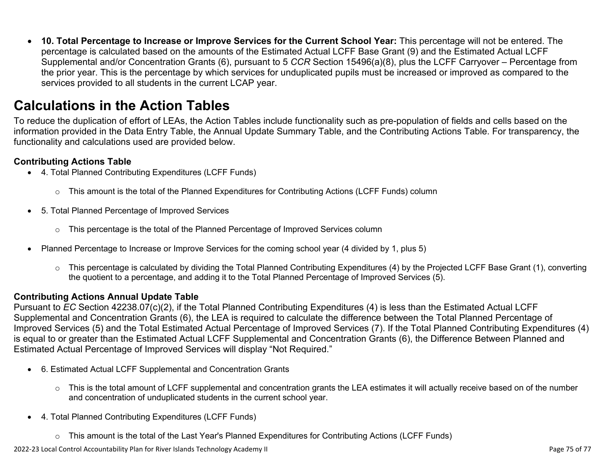• **10. Total Percentage to Increase or Improve Services for the Current School Year:** This percentage will not be entered. The percentage is calculated based on the amounts of the Estimated Actual LCFF Base Grant (9) and the Estimated Actual LCFF Supplemental and/or Concentration Grants (6), pursuant to 5 *CCR* Section 15496(a)(8), plus the LCFF Carryover – Percentage from the prior year. This is the percentage by which services for unduplicated pupils must be increased or improved as compared to the services provided to all students in the current LCAP year.

### **Calculations in the Action Tables**

To reduce the duplication of effort of LEAs, the Action Tables include functionality such as pre-population of fields and cells based on the information provided in the Data Entry Table, the Annual Update Summary Table, and the Contributing Actions Table. For transparency, the functionality and calculations used are provided below.

#### **Contributing Actions Table**

- 4. Total Planned Contributing Expenditures (LCFF Funds)
	- $\circ$  This amount is the total of the Planned Expenditures for Contributing Actions (LCFF Funds) column
- 5. Total Planned Percentage of Improved Services
	- $\circ$  This percentage is the total of the Planned Percentage of Improved Services column
- Planned Percentage to Increase or Improve Services for the coming school year (4 divided by 1, plus 5)
	- o This percentage is calculated by dividing the Total Planned Contributing Expenditures (4) by the Projected LCFF Base Grant (1), converting the quotient to a percentage, and adding it to the Total Planned Percentage of Improved Services (5).

### **Contributing Actions Annual Update Table**

Pursuant to *EC* Section 42238.07(c)(2), if the Total Planned Contributing Expenditures (4) is less than the Estimated Actual LCFF Supplemental and Concentration Grants (6), the LEA is required to calculate the difference between the Total Planned Percentage of Improved Services (5) and the Total Estimated Actual Percentage of Improved Services (7). If the Total Planned Contributing Expenditures (4) is equal to or greater than the Estimated Actual LCFF Supplemental and Concentration Grants (6), the Difference Between Planned and Estimated Actual Percentage of Improved Services will display "Not Required."

- 6. Estimated Actual LCFF Supplemental and Concentration Grants
	- $\circ$  This is the total amount of LCFF supplemental and concentration grants the LEA estimates it will actually receive based on of the number and concentration of unduplicated students in the current school year.
- 4. Total Planned Contributing Expenditures (LCFF Funds)
	- $\circ$  This amount is the total of the Last Year's Planned Expenditures for Contributing Actions (LCFF Funds)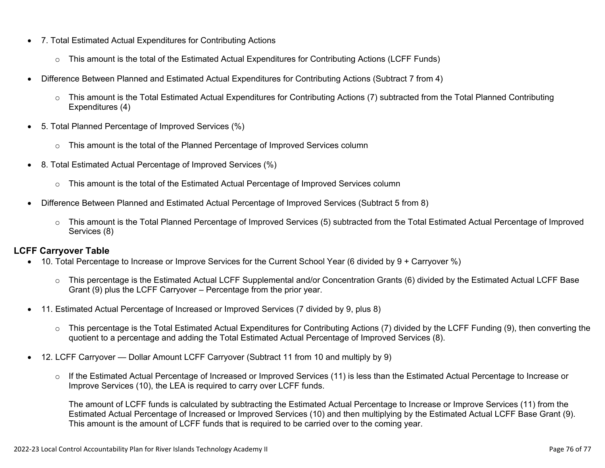- 7. Total Estimated Actual Expenditures for Contributing Actions
	- o This amount is the total of the Estimated Actual Expenditures for Contributing Actions (LCFF Funds)
- Difference Between Planned and Estimated Actual Expenditures for Contributing Actions (Subtract 7 from 4)
	- $\circ$  This amount is the Total Estimated Actual Expenditures for Contributing Actions (7) subtracted from the Total Planned Contributing Expenditures (4)
- 5. Total Planned Percentage of Improved Services (%)
	- $\circ$  This amount is the total of the Planned Percentage of Improved Services column
- 8. Total Estimated Actual Percentage of Improved Services (%)
	- o This amount is the total of the Estimated Actual Percentage of Improved Services column
- Difference Between Planned and Estimated Actual Percentage of Improved Services (Subtract 5 from 8)
	- o This amount is the Total Planned Percentage of Improved Services (5) subtracted from the Total Estimated Actual Percentage of Improved Services (8)

### **LCFF Carryover Table**

- 10. Total Percentage to Increase or Improve Services for the Current School Year (6 divided by 9 + Carryover %)
	- $\circ$  This percentage is the Estimated Actual LCFF Supplemental and/or Concentration Grants (6) divided by the Estimated Actual LCFF Base Grant (9) plus the LCFF Carryover – Percentage from the prior year.
- 11. Estimated Actual Percentage of Increased or Improved Services (7 divided by 9, plus 8)
	- o This percentage is the Total Estimated Actual Expenditures for Contributing Actions (7) divided by the LCFF Funding (9), then converting the quotient to a percentage and adding the Total Estimated Actual Percentage of Improved Services (8).
- 12. LCFF Carryover Dollar Amount LCFF Carryover (Subtract 11 from 10 and multiply by 9)
	- $\circ$  If the Estimated Actual Percentage of Increased or Improved Services (11) is less than the Estimated Actual Percentage to Increase or Improve Services (10), the LEA is required to carry over LCFF funds.

The amount of LCFF funds is calculated by subtracting the Estimated Actual Percentage to Increase or Improve Services (11) from the Estimated Actual Percentage of Increased or Improved Services (10) and then multiplying by the Estimated Actual LCFF Base Grant (9). This amount is the amount of LCFF funds that is required to be carried over to the coming year.